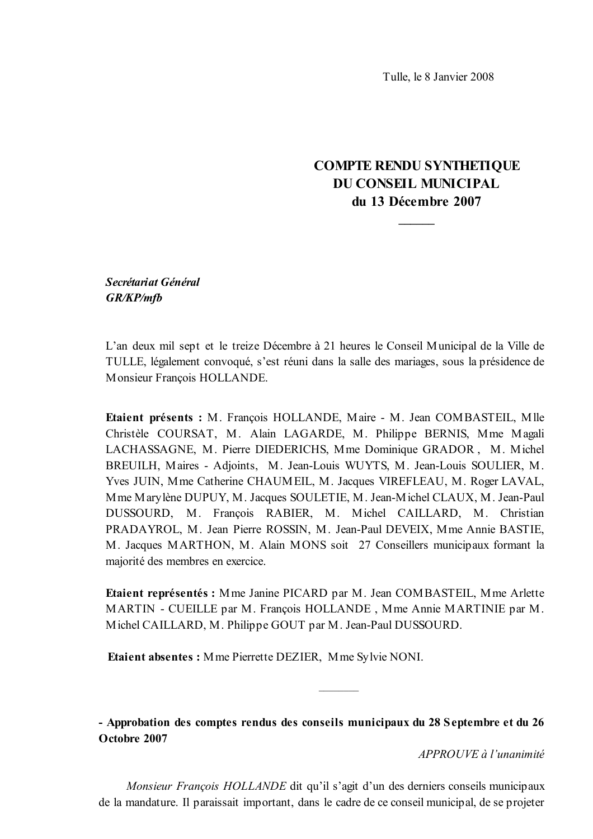Tulle, le 8 Janvier 2008

# **COMPTE RENDU SYNTHETIQUE DU CONSEIL MUNICIPAL** du 13 Décembre 2007

Secrétariat Général GR/KP/mfb

L'an deux mil sept et le treize Décembre à 21 heures le Conseil Municipal de la Ville de TULLE, légalement convoqué, s'est réuni dans la salle des mariages, sous la présidence de Monsieur Francois HOLLANDE.

Etaient présents : M. François HOLLANDE, Maire - M. Jean COMBASTEIL, Mlle Christèle COURSAT, M. Alain LAGARDE, M. Philippe BERNIS, Mme Magali LACHASSAGNE, M. Pierre DIEDERICHS, Mme Dominique GRADOR, M. Michel BREUILH, Maires - Adjoints, M. Jean-Louis WUYTS, M. Jean-Louis SOULIER, M. Yves JUIN, Mme Catherine CHAUMEIL, M. Jacques VIREFLEAU, M. Roger LAVAL, M me M arylène DUPUY, M. Jacques SOULETIE, M. Jean-Michel CLAUX, M. Jean-Paul DUSSOURD, M. François RABIER, M. Michel CAILLARD, M. Christian PRADAYROL, M. Jean Pierre ROSSIN, M. Jean-Paul DEVEIX, Mme Annie BASTIE, M. Jacques MARTHON, M. Alain MONS soit 27 Conseillers municipaux formant la majorité des membres en exercice.

Etaient représentés : Mme Janine PICARD par M. Jean COMBASTEIL, Mme Arlette MARTIN - CUEILLE par M. François HOLLANDE, Mme Annie MARTINIE par M. Michel CAILLARD, M. Philippe GOUT par M. Jean-Paul DUSSOURD.

**Etaient absentes:** Mme Pierrette DEZIER, Mme Sylvie NONI.

- Approbation des comptes rendus des conseils municipaux du 28 Septembre et du 26 Octobre 2007

APPROUVE à l'unanimité

Monsieur François HOLLANDE dit qu'il s'agit d'un des derniers conseils municipaux de la mandature. Il paraissait important, dans le cadre de ce conseil municipal, de se projeter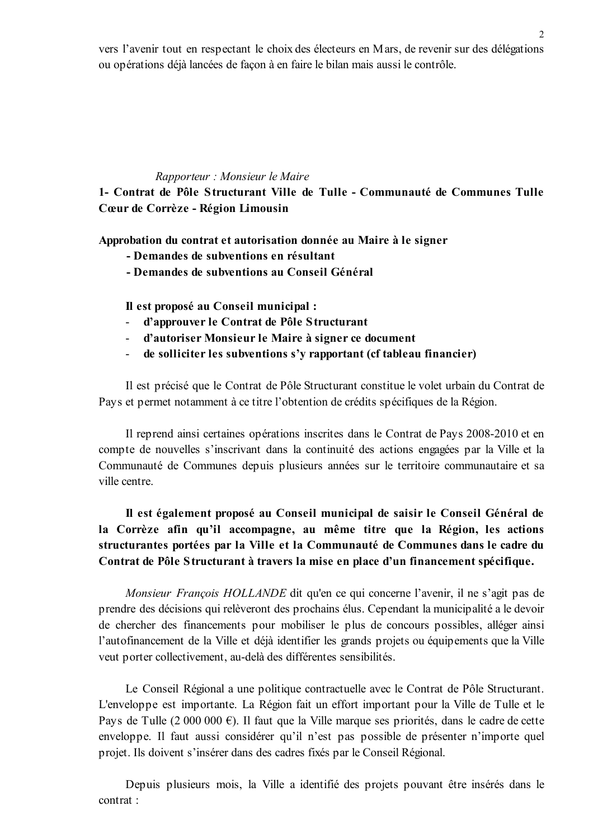vers l'avenir tout en respectant le choix des électeurs en Mars, de revenir sur des délégations ou opérations déjà lancées de façon à en faire le bilan mais aussi le contrôle.

 $\overline{2}$ 

### Rapporteur : Monsieur le Maire

1- Contrat de Pôle Structurant Ville de Tulle - Communauté de Communes Tulle Cœur de Corrèze - Région Limousin

Approbation du contrat et autorisation donnée au Maire à le signer

- Demandes de subventions en résultant
- Demandes de subventions au Conseil Général

Il est proposé au Conseil municipal :

- d'approuver le Contrat de Pôle Structurant  $\Delta \phi$
- d'autoriser Monsieur le Maire à signer ce document
- de solliciter les subventions s'y rapportant (cf tableau financier)  $\mathbf{r}$

Il est précisé que le Contrat de Pôle Structurant constitue le volet urbain du Contrat de Pays et permet notamment à ce titre l'obtention de crédits spécifiques de la Région.

Il reprend ainsi certaines opérations inscrites dans le Contrat de Pays 2008-2010 et en compte de nouvelles s'inscrivant dans la continuité des actions engagées par la Ville et la Communauté de Communes depuis plusieurs années sur le territoire communautaire et sa ville centre.

Il est également proposé au Conseil municipal de saisir le Conseil Général de la Corrèze afin qu'il accompagne, au même titre que la Région, les actions structurantes portées par la Ville et la Communauté de Communes dans le cadre du Contrat de Pôle Structurant à travers la mise en place d'un financement spécifique.

Monsieur François HOLLANDE dit qu'en ce qui concerne l'avenir, il ne s'agit pas de prendre des décisions qui relèveront des prochains élus. Cependant la municipalité a le devoir de chercher des financements pour mobiliser le plus de concours possibles, alléger ainsi l'autofinancement de la Ville et déjà identifier les grands projets ou équipements que la Ville veut porter collectivement, au-delà des différentes sensibilités.

Le Conseil Régional a une politique contractuelle avec le Contrat de Pôle Structurant. L'enveloppe est importante. La Région fait un effort important pour la Ville de Tulle et le Pays de Tulle (2 000 000 €). Il faut que la Ville marque ses priorités, dans le cadre de cette enveloppe. Il faut aussi considérer qu'il n'est pas possible de présenter n'importe quel projet. Ils doivent s'insérer dans des cadres fixés par le Conseil Régional.

Depuis plusieurs mois, la Ville a identifié des projets pouvant être insérés dans le contrat ·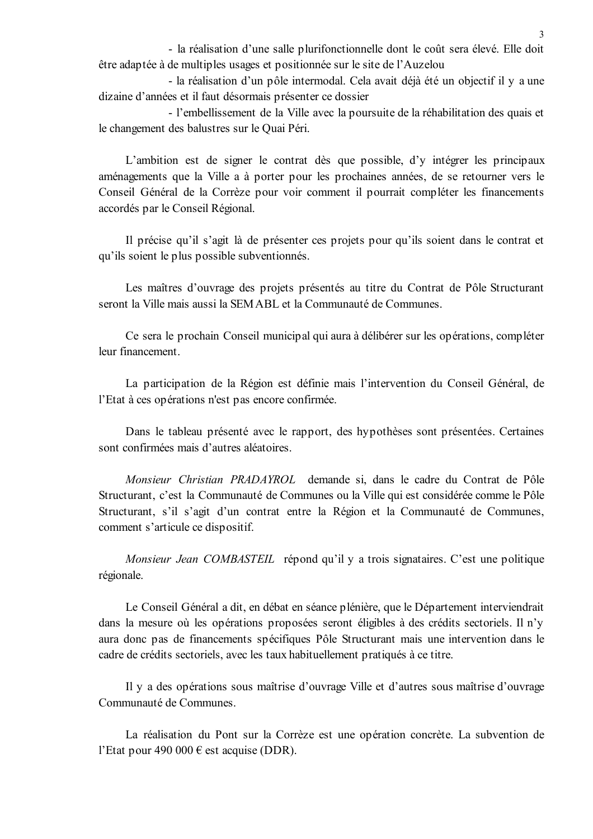- la réalisation d'une salle plurifonctionnelle dont le coût sera élevé. Elle doit être adaptée à de multiples usages et positionnée sur le site de l'Auzelou

- la réalisation d'un pôle intermodal. Cela avait déjà été un objectif il y a une dizaine d'années et il faut désormais présenter ce dossier

- l'embellissement de la Ville avec la poursuite de la réhabilitation des quais et le changement des balustres sur le Quai Péri.

L'ambition est de signer le contrat dès que possible, d'y intégrer les principaux aménagements que la Ville a à porter pour les prochaines années, de se retourner vers le Conseil Général de la Corrèze pour voir comment il pourrait compléter les financements accordés par le Conseil Régional.

Il précise qu'il s'agit là de présenter ces projets pour qu'ils soient dans le contrat et qu'ils soient le plus possible subventionnés.

Les maîtres d'ouvrage des projets présentés au titre du Contrat de Pôle Structurant seront la Ville mais aussi la SEM ABL et la Communauté de Communes.

Ce sera le prochain Conseil municipal qui aura à délibérer sur les opérations, compléter leur financement.

La participation de la Région est définie mais l'intervention du Conseil Général, de l'Etat à ces opérations n'est pas encore confirmée.

Dans le tableau présenté avec le rapport, des hypothèses sont présentées. Certaines sont confirmées mais d'autres aléatoires.

Monsieur Christian PRADAYROL demande si, dans le cadre du Contrat de Pôle Structurant, c'est la Communauté de Communes ou la Ville qui est considérée comme le Pôle Structurant, s'il s'agit d'un contrat entre la Région et la Communauté de Communes, comment s'articule ce dispositif.

Monsieur Jean COMBASTEIL répond qu'il y a trois signataires. C'est une politique régionale.

Le Conseil Général a dit, en débat en séance plénière, que le Département interviendrait dans la mesure où les opérations proposées seront éligibles à des crédits sectoriels. Il n'y aura donc pas de financements spécifiques Pôle Structurant mais une intervention dans le cadre de crédits sectoriels, avec les taux habituellement pratiqués à ce titre.

Il y a des opérations sous maîtrise d'ouvrage Ville et d'autres sous maîtrise d'ouvrage Communauté de Communes.

La réalisation du Pont sur la Corrèze est une opération concrète. La subvention de l'Etat pour 490 000  $\epsilon$  est acquise (DDR).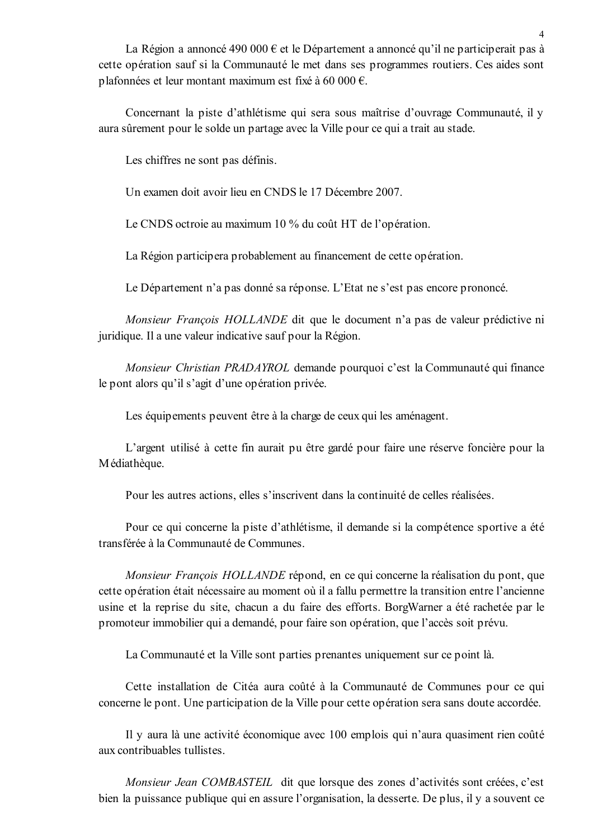La Région a annoncé 490 000 € et le Département a annoncé qu'il ne participerait pas à cette opération sauf si la Communauté le met dans ses programmes routiers. Ces aides sont plafonnées et leur montant maximum est fixé à 60 000 €.

Concernant la piste d'athlétisme qui sera sous maîtrise d'ouvrage Communauté, il y aura sûrement pour le solde un partage avec la Ville pour ce qui a trait au stade.

Les chiffres ne sont pas définis.

Un examen doit avoir lieu en CNDS le 17 Décembre 2007.

Le CNDS octroie au maximum 10 % du coût HT de l'opération.

La Région participera probablement au financement de cette opération.

Le Département n'a pas donné sa réponse. L'Etat ne s'est pas encore prononcé.

Monsieur François HOLLANDE dit que le document n'a pas de valeur prédictive ni juridique. Il a une valeur indicative sauf pour la Région.

Monsieur Christian PRADAYROL demande pourquoi c'est la Communauté qui finance le pont alors qu'il s'agit d'une opération privée.

Les équipements peuvent être à la charge de ceux qui les aménagent.

L'argent utilisé à cette fin aurait pu être gardé pour faire une réserve foncière pour la Médiathèque.

Pour les autres actions, elles s'inscrivent dans la continuité de celles réalisées.

Pour ce qui concerne la piste d'athlétisme, il demande si la compétence sportive a été transférée à la Communauté de Communes.

Monsieur François HOLLANDE répond, en ce qui concerne la réalisation du pont, que cette opération était nécessaire au moment où il a fallu permettre la transition entre l'ancienne usine et la reprise du site, chacun a du faire des efforts. BorgWarner a été rachetée par le promoteur immobilier qui a demandé, pour faire son opération, que l'accès soit prévu.

La Communauté et la Ville sont parties prenantes uniquement sur ce point là.

Cette installation de Citéa aura coûté à la Communauté de Communes pour ce qui concerne le pont. Une participation de la Ville pour cette opération sera sans doute accordée.

Il y aura là une activité économique avec 100 emplois qui n'aura quasiment rien coûté aux contribuables tullistes

Monsieur Jean COMBASTEIL dit que lorsque des zones d'activités sont créées, c'est bien la puissance publique qui en assure l'organisation, la desserte. De plus, il y a souvent ce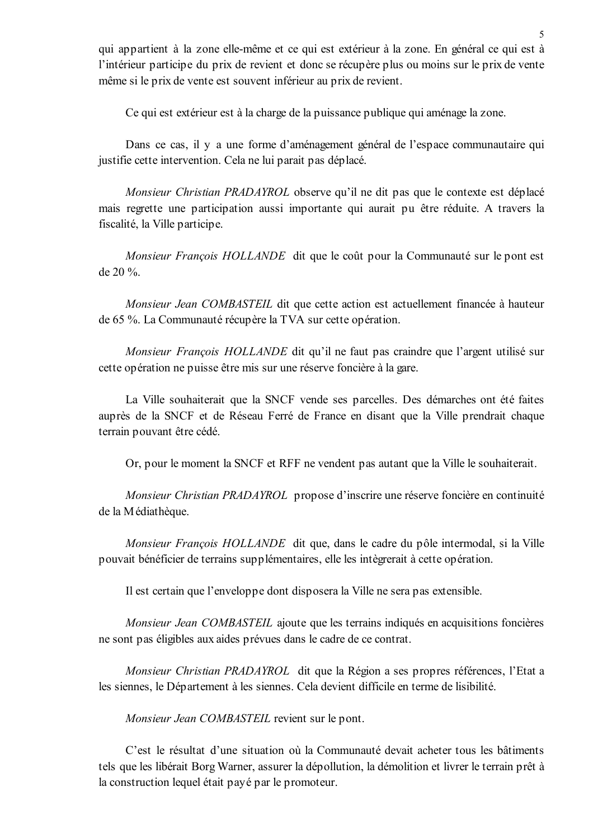qui appartient à la zone elle-même et ce qui est extérieur à la zone. En général ce qui est à l'intérieur participe du prix de revient et donc se récupère plus ou moins sur le prix de vente même si le prix de vente est souvent inférieur au prix de revient.

Ce qui est extérieur est à la charge de la puissance publique qui aménage la zone.

Dans ce cas, il y a une forme d'aménagement général de l'espace communautaire qui justifie cette intervention. Cela ne lui parait pas déplacé.

Monsieur Christian PRADAYROL observe qu'il ne dit pas que le contexte est déplacé mais regrette une participation aussi importante qui aurait pu être réduite. A travers la fiscalité, la Ville participe.

Monsieur François HOLLANDE dit que le coût pour la Communauté sur le pont est de 20 %.

Monsieur Jean COMBASTEIL dit que cette action est actuellement financée à hauteur de 65 %. La Communauté récupère la TVA sur cette opération.

*Monsieur François HOLLANDE* dit qu'il ne faut pas craindre que l'argent utilisé sur cette opération ne puisse être mis sur une réserve foncière à la gare.

La Ville souhaiterait que la SNCF vende ses parcelles. Des démarches ont été faites auprès de la SNCF et de Réseau Ferré de France en disant que la Ville prendrait chaque terrain pouvant être cédé.

Or, pour le moment la SNCF et RFF ne vendent pas autant que la Ville le souhaiterait.

Monsieur Christian PRADAYROL propose d'inscrire une réserve foncière en continuité de la Médiathèque.

Monsieur François HOLLANDE dit que, dans le cadre du pôle intermodal, si la Ville pouvait bénéficier de terrains supplémentaires, elle les intègrerait à cette opération.

Il est certain que l'enveloppe dont disposera la Ville ne sera pas extensible.

*Monsieur Jean COMBASTEIL* ajoute que les terrains indiqués en acquisitions foncières ne sont pas éligibles aux aides prévues dans le cadre de ce contrat.

Monsieur Christian PRADAYROL dit que la Région a ses propres références. l'Etat a les siennes, le Département à les siennes. Cela devient difficile en terme de lisibilité.

*Monsieur Jean COMBASTEIL* revient sur le pont.

C'est le résultat d'une situation où la Communauté devait acheter tous les bâtiments tels que les libérait Borg Warner, assurer la dépollution, la démolition et livrer le terrain prêt à la construction lequel était payé par le promoteur.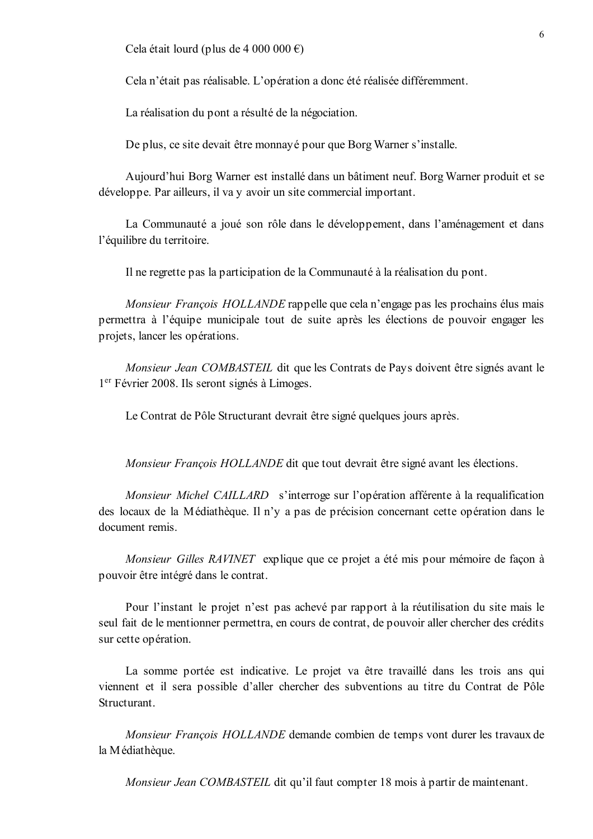Cela était lourd (plus de 4 000 000 €)

Cela n'était pas réalisable. L'opération a donc été réalisée différemment.

La réalisation du pont a résulté de la négociation.

De plus, ce site devait être monnayé pour que Borg Warner s'installe.

Aujourd'hui Borg Warner est installé dans un bâtiment neuf. Borg Warner produit et se développe. Par ailleurs, il va y avoir un site commercial important.

La Communauté a joué son rôle dans le développement, dans l'aménagement et dans l'équilibre du territoire.

Il ne regrette pas la participation de la Communauté à la réalisation du pont.

Monsieur François HOLLANDE rappelle que cela n'engage pas les prochains élus mais permettra à l'équipe municipale tout de suite après les élections de pouvoir engager les projets, lancer les opérations.

Monsieur Jean COMBASTEIL dit que les Contrats de Pays doivent être signés avant le 1<sup>er</sup> Février 2008. Ils seront signés à Limoges.

Le Contrat de Pôle Structurant devrait être signé quelques jours après.

*Monsieur François HOLLANDE* dit que tout devrait être signé avant les élections.

Monsieur Michel CAILLARD s'interroge sur l'opération afférente à la requalification des locaux de la Médiathèque. Il n'y a pas de précision concernant cette opération dans le document remis

Monsieur Gilles RAVINET explique que ce projet a été mis pour mémoire de façon à pouvoir être intégré dans le contrat.

Pour l'instant le projet n'est pas achevé par rapport à la réutilisation du site mais le seul fait de le mentionner permettra, en cours de contrat, de pouvoir aller chercher des crédits sur cette opération.

La somme portée est indicative. Le projet va être travaillé dans les trois ans qui viennent et il sera possible d'aller chercher des subventions au titre du Contrat de Pôle Structurant

Monsieur François HOLLANDE demande combien de temps vont durer les travaux de la Médiathèque.

Monsieur Jean COMBASTEIL dit qu'il faut compter 18 mois à partir de maintenant.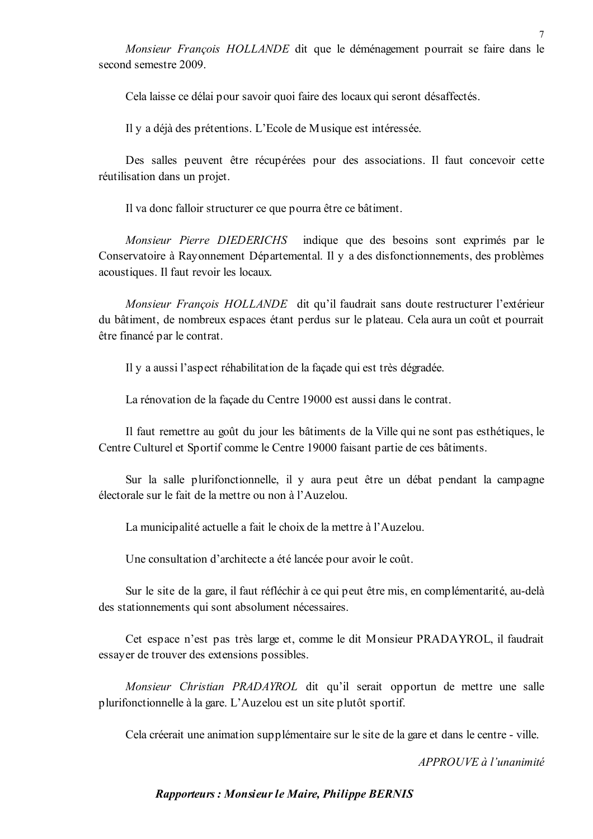Monsieur François HOLLANDE dit que le déménagement pourrait se faire dans le second semestre 2009.

Cela laisse ce délai pour savoir quoi faire des locaux qui seront désaffectés.

Il y a déjà des prétentions. L'Ecole de Musique est intéressée.

Des salles peuvent être récupérées pour des associations. Il faut concevoir cette réutilisation dans un projet.

Il va donc falloir structurer ce que pourra être ce bâtiment.

Monsieur Pierre DIEDERICHS indique que des besoins sont exprimés par le Conservatoire à Rayonnement Départemental. Il y a des disfonctionnements, des problèmes acoustiques. Il faut revoir les locaux.

Monsieur François HOLLANDE dit qu'il faudrait sans doute restructurer l'extérieur du bâtiment, de nombreux espaces étant perdus sur le plateau. Cela aura un coût et pourrait être financé par le contrat.

Il y a aussi l'aspect réhabilitation de la façade qui est très dégradée.

La rénovation de la façade du Centre 19000 est aussi dans le contrat.

Il faut remettre au goût du jour les bâtiments de la Ville qui ne sont pas esthétiques, le Centre Culturel et Sportif comme le Centre 19000 faisant partie de ces bâtiments.

Sur la salle plurifonctionnelle, il y aura peut être un débat pendant la campagne électorale sur le fait de la mettre ou non à l'Auzelou.

La municipalité actuelle a fait le choix de la mettre à l'Auzelou.

Une consultation d'architecte a été lancée pour avoir le coût.

Sur le site de la gare, il faut réfléchir à ce qui peut être mis, en complémentarité, au-delà des stationnements qui sont absolument nécessaires.

Cet espace n'est pas très large et, comme le dit Monsieur PRADAYROL, il faudrait essayer de trouver des extensions possibles.

Monsieur Christian PRADAYROL dit qu'il serait opportun de mettre une salle plurifonctionnelle à la gare. L'Auzelou est un site plutôt sportif.

Cela créerait une animation supplémentaire sur le site de la gare et dans le centre - ville.

APPROUVE à l'unanimité

## Rapporteurs: Monsieur le Maire, Philippe BERNIS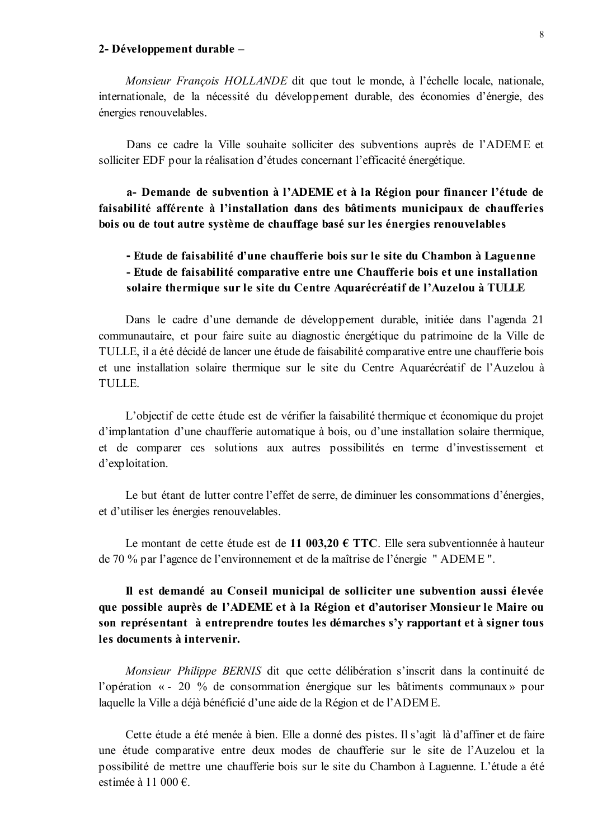#### 2- Développement durable -

Monsieur François HOLLANDE dit que tout le monde, à l'échelle locale, nationale, internationale, de la nécessité du développement durable, des économies d'énergie, des énergies renouvelables.

Dans ce cadre la Ville souhaite solliciter des subventions auprès de l'ADEME et solliciter EDF pour la réalisation d'études concernant l'efficacité énergétique.

a- Demande de subvention à l'ADEME et à la Région pour financer l'étude de faisabilité afférente à l'installation dans des bâtiments municipaux de chaufferies bois ou de tout autre système de chauffage basé sur les énergies renouvelables

# - Etude de faisabilité d'une chaufferie bois sur le site du Chambon à Laguenne - Etude de faisabilité comparative entre une Chaufferie bois et une installation solaire thermique sur le site du Centre Aquarécréatif de l'Auzelou à TULLE

Dans le cadre d'une demande de développement durable, initiée dans l'agenda 21 communautaire, et pour faire suite au diagnostic énergétique du patrimoine de la Ville de TULLE, il a été décidé de lancer une étude de faisabilité comparative entre une chaufferie bois et une installation solaire thermique sur le site du Centre Aquarécréatif de l'Auzelou à **TULLE** 

L'objectif de cette étude est de vérifier la faisabilité thermique et économique du projet d'implantation d'une chaufferie automatique à bois, ou d'une installation solaire thermique, et de comparer ces solutions aux autres possibilités en terme d'investissement et d'exploitation.

Le but étant de lutter contre l'effet de serre, de diminuer les consommations d'énergies, et d'utiliser les énergies renouvelables.

Le montant de cette étude est de 11 003.20  $\epsilon$  TTC. Elle sera subventionnée à hauteur de 70 % par l'agence de l'environnement et de la maîtrise de l'énergie "ADEME".

# Il est demandé au Conseil municipal de solliciter une subvention aussi élevée que possible auprès de l'ADEME et à la Région et d'autoriser Monsieur le Maire ou son représentant à entreprendre toutes les démarches s'y rapportant et à signer tous les documents à intervenir.

Monsieur Philippe BERNIS dit que cette délibération s'inscrit dans la continuité de l'opération « - 20 % de consommation énergique sur les bâtiments communaux » pour laquelle la Ville a déjà bénéficié d'une aide de la Région et de l'ADEME.

Cette étude a été menée à bien. Elle a donné des pistes. Il s'agit là d'affiner et de faire une étude comparative entre deux modes de chaufferie sur le site de l'Auzelou et la possibilité de mettre une chaufferie bois sur le site du Chambon à Laguenne. L'étude a été estimée à 11 000  $\epsilon$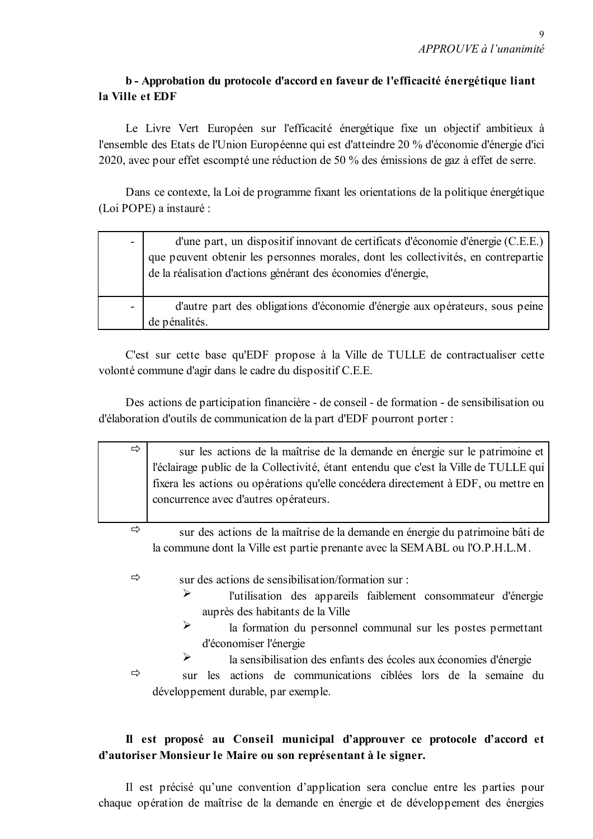# b - Approbation du protocole d'accord en faveur de l'efficacité énergétique liant la Ville et EDF

Le Livre Vert Européen sur l'efficacité énergétique fixe un objectif ambitieux à l'ensemble des Etats de l'Union Européenne qui est d'atteindre 20 % d'économie d'énergie d'ici 2020, avec pour effet escompté une réduction de 50 % des émissions de gaz à effet de serre.

Dans ce contexte, la Loi de programme fixant les orientations de la politique énergétique (Loi POPE) a instauré :

| $\overline{\phantom{a}}$ | d'une part, un dispositif innovant de certificats d'économie d'énergie (C.E.E.)<br>que peuvent obtenir les personnes morales, dont les collectivités, en contrepartie<br>de la réalisation d'actions générant des économies d'énergie, |
|--------------------------|----------------------------------------------------------------------------------------------------------------------------------------------------------------------------------------------------------------------------------------|
| $\overline{\phantom{a}}$ | d'autre part des obligations d'économie d'énergie aux opérateurs, sous peine<br>de pénalités.                                                                                                                                          |

C'est sur cette base qu'EDF propose à la Ville de TULLE de contractualiser cette volonté commune d'agir dans le cadre du dispositif C.E.E.

Des actions de participation financière - de conseil - de formation - de sensibilisation ou d'élaboration d'outils de communication de la part d'EDF pourront porter :

| ⇨ | sur les actions de la maîtrise de la demande en énergie sur le patrimoine et<br>l'éclairage public de la Collectivité, étant entendu que c'est la Ville de TULLE qui<br>fixera les actions ou opérations qu'elle concédera directement à EDF, ou mettre en<br>concurrence avec d'autres opérateurs. |  |  |  |
|---|-----------------------------------------------------------------------------------------------------------------------------------------------------------------------------------------------------------------------------------------------------------------------------------------------------|--|--|--|
| ⇨ | sur des actions de la maîtrise de la demande en énergie du patrimoine bâti de                                                                                                                                                                                                                       |  |  |  |
|   | la commune dont la Ville est partie prenante avec la SEMABL ou l'O.P.H.L.M.                                                                                                                                                                                                                         |  |  |  |
| ⇨ | sur des actions de sensibilisation/formation sur :                                                                                                                                                                                                                                                  |  |  |  |
|   | ➤                                                                                                                                                                                                                                                                                                   |  |  |  |
|   | l'utilisation des appareils faiblement consommateur d'énergie                                                                                                                                                                                                                                       |  |  |  |
|   | auprès des habitants de la Ville                                                                                                                                                                                                                                                                    |  |  |  |
|   | ➤<br>la formation du personnel communal sur les postes permettant                                                                                                                                                                                                                                   |  |  |  |
|   | d'économiser l'énergie                                                                                                                                                                                                                                                                              |  |  |  |
|   | ➤<br>la sensibilisation des enfants des écoles aux économies d'énergie                                                                                                                                                                                                                              |  |  |  |
| ⇨ | les actions de communications ciblées lors de la semaine du<br>sur                                                                                                                                                                                                                                  |  |  |  |
|   | développement durable, par exemple.                                                                                                                                                                                                                                                                 |  |  |  |
|   |                                                                                                                                                                                                                                                                                                     |  |  |  |

# Il est proposé au Conseil municipal d'approuver ce protocole d'accord et d'autoriser Monsieur le Maire ou son représentant à le signer.

Il est précisé qu'une convention d'application sera conclue entre les parties pour chaque opération de maîtrise de la demande en énergie et de développement des énergies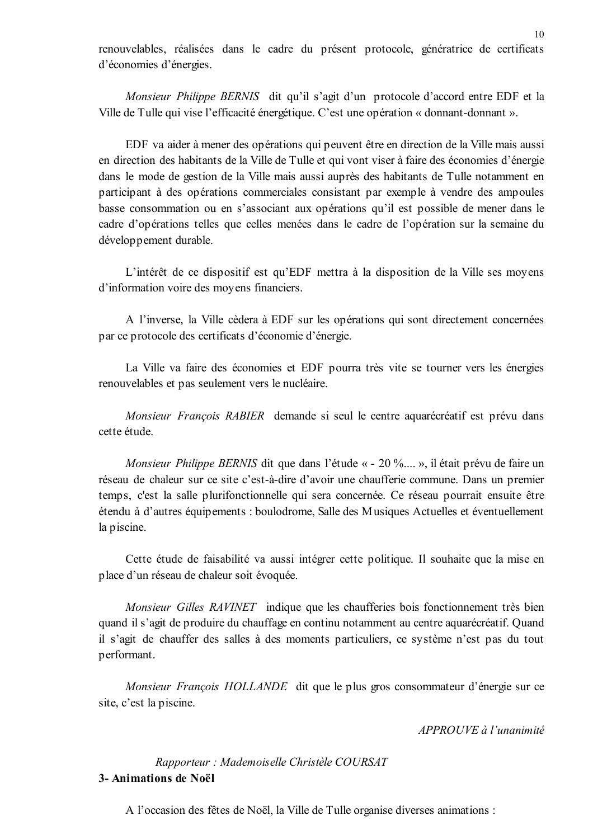renouvelables, réalisées dans le cadre du présent protocole, génératrice de certificats d'économies d'énergies.

Monsieur Philippe BERNIS dit qu'il s'agit d'un protocole d'accord entre EDF et la Ville de Tulle qui vise l'efficacité énergétique. C'est une opération « donnant-donnant ».

EDF va aider à mener des opérations qui peuvent être en direction de la Ville mais aussi en direction des habitants de la Ville de Tulle et qui vont viser à faire des économies d'énergie dans le mode de gestion de la Ville mais aussi auprès des habitants de Tulle notamment en participant à des opérations commerciales consistant par exemple à vendre des ampoules basse consommation ou en s'associant aux opérations qu'il est possible de mener dans le cadre d'opérations telles que celles menées dans le cadre de l'opération sur la semaine du développement durable.

L'intérêt de ce dispositif est qu'EDF mettra à la disposition de la Ville ses moyens d'information voire des moyens financiers.

A l'inverse, la Ville cèdera à EDF sur les opérations qui sont directement concernées par ce protocole des certificats d'économie d'énergie.

La Ville va faire des économies et EDF pourra très vite se tourner vers les énergies renouvelables et pas seulement vers le nucléaire.

Monsieur François RABIER demande si seul le centre aquarécréatif est prévu dans cette étude.

*Monsieur Philippe BERNIS* dit que dans l'étude « - 20 %..., », il était prévu de faire un réseau de chaleur sur ce site c'est-à-dire d'avoir une chaufferie commune. Dans un premier temps, c'est la salle plurifonctionnelle qui sera concernée. Ce réseau pourrait ensuite être étendu à d'autres équipements : boulodrome, Salle des Musiques Actuelles et éventuellement la piscine.

Cette étude de faisabilité va aussi intégrer cette politique. Il souhaite que la mise en place d'un réseau de chaleur soit évoquée.

*Monsieur Gilles RAVINET* indique que les chaufferies bois fonctionnement très bien quand il s'agit de produire du chauffage en continu notamment au centre aquarécréatif. Quand il s'agit de chauffer des salles à des moments particuliers, ce système n'est pas du tout performant.

Monsieur François HOLLANDE dit que le plus gros consommateur d'énergie sur ce site, c'est la piscine.

APPROUVE à l'unanimité

Rapporteur : Mademoiselle Christèle COURSAT 3- Animations de Noël

A l'occasion des fêtes de Noël, la Ville de Tulle organise diverses animations :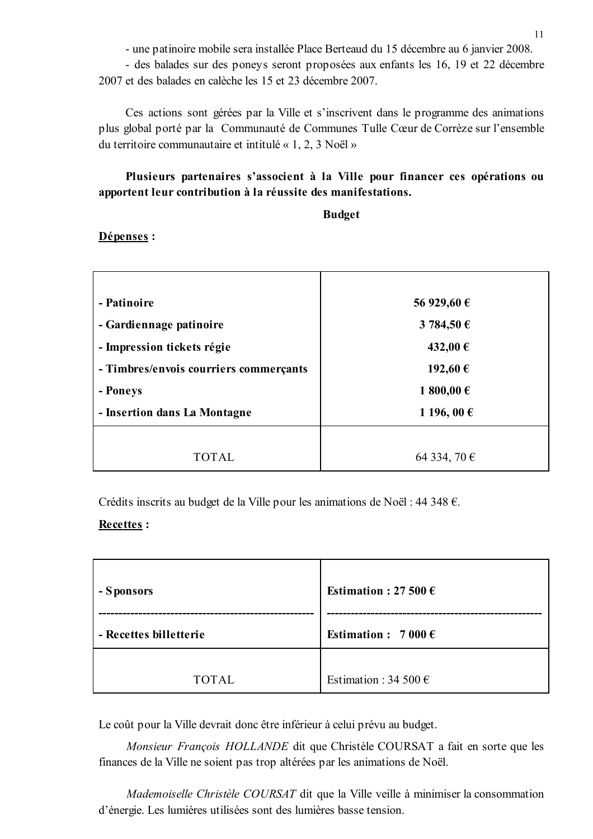- une patinoire mobile sera installée Place Berteaud du 15 décembre au 6 janvier 2008.

- des balades sur des poneys seront proposées aux enfants les 16, 19 et 22 décembre 2007 et des balades en calèche les 15 et 23 décembre 2007.

Ces actions sont gérées par la Ville et s'inscrivent dans le programme des animations plus global porté par la Communauté de Communes Tulle Cœur de Corrèze sur l'ensemble du territoire communautaire et intitulé «  $1, 2, 3$  Noël »

# Plusieurs partenaires s'associent à la Ville pour financer ces opérations ou apportent leur contribution à la réussite des manifestations.

#### **Budget**

### Dépenses :

| - Patinoire                            | 56 929,60 €  |
|----------------------------------------|--------------|
| - Gardiennage patinoire                | 3 784,50 €   |
| - Impression tickets régie             | 432,00 €     |
| - Timbres/envois courriers commerçants | 192,60 €     |
| - Poneys                               | 1 800,00 €   |
| - Insertion dans La Montagne           | 1 196, 00 €  |
|                                        |              |
| TOTAL.                                 | 64 334, 70 € |

Crédits inscrits au budget de la Ville pour les animations de Noël : 44 348  $\epsilon$ .

## Recettes:

| - Sponsors             | Estimation: 27 500 $\epsilon$  |  |
|------------------------|--------------------------------|--|
| - Recettes billetterie | Estimation : $7000 \in$        |  |
|                        |                                |  |
| <b>TOTAL</b>           | Estimation : 34 500 $\epsilon$ |  |

Le coût pour la Ville devrait donc être inférieur à celui prévu au budget.

Monsieur François HOLLANDE dit que Christèle COURSAT a fait en sorte que les finances de la Ville ne soient pas trop altérées par les animations de Noël.

Mademoiselle Christèle COURSAT dit que la Ville veille à minimiser la consommation d'énergie. Les lumières utilisées sont des lumières basse tension.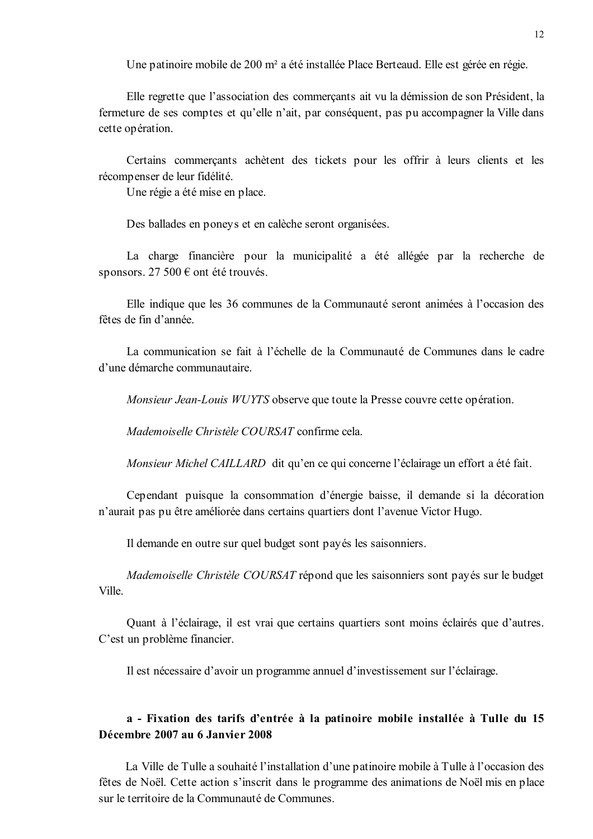Une patinoire mobile de 200 m<sup>2</sup> a été installée Place Berteaud. Elle est gérée en régie.

Elle regrette que l'association des commerçants ait vu la démission de son Président, la fermeture de ses comptes et qu'elle n'ait, par conséquent, pas pu accompagner la Ville dans cette opération.

Certains commerçants achètent des tickets pour les offrir à leurs clients et les récompenser de leur fidélité.

Une régie a été mise en place.

Des ballades en ponevs et en calèche seront organisées.

La charge financière pour la municipalité a été allégée par la recherche de sponsors. 27 500  $\epsilon$  ont été trouvés.

Elle indique que les 36 communes de la Communauté seront animées à l'occasion des fêtes de fin d'année

La communication se fait à l'échelle de la Communauté de Communes dans le cadre d'une démarche communautaire

Monsieur Jean-Louis WUYTS observe que toute la Presse couvre cette opération.

Mademoiselle Christèle COURSAT confirme cela.

*Monsieur Michel CAILLARD* dit qu'en ce qui concerne l'éclairage un effort a été fait.

Cependant puisque la consommation d'énergie baisse, il demande si la décoration n'aurait pas pu être améliorée dans certains quartiers dont l'avenue Victor Hugo.

Il demande en outre sur quel budget sont payés les saisonniers.

Mademoiselle Christèle COURSAT répond que les saisonniers sont payés sur le budget **Ville** 

Quant à l'éclairage, il est vrai que certains quartiers sont moins éclairés que d'autres. C'est un problème financier.

Il est nécessaire d'avoir un programme annuel d'investissement sur l'éclairage.

## a - Fixation des tarifs d'entrée à la patinoire mobile installée à Tulle du 15 Décembre 2007 au 6 Janvier 2008

La Ville de Tulle a souhaité l'installation d'une patinoire mobile à Tulle à l'occasion des fêtes de Noël. Cette action s'inscrit dans le programme des animations de Noël mis en place sur le territoire de la Communauté de Communes.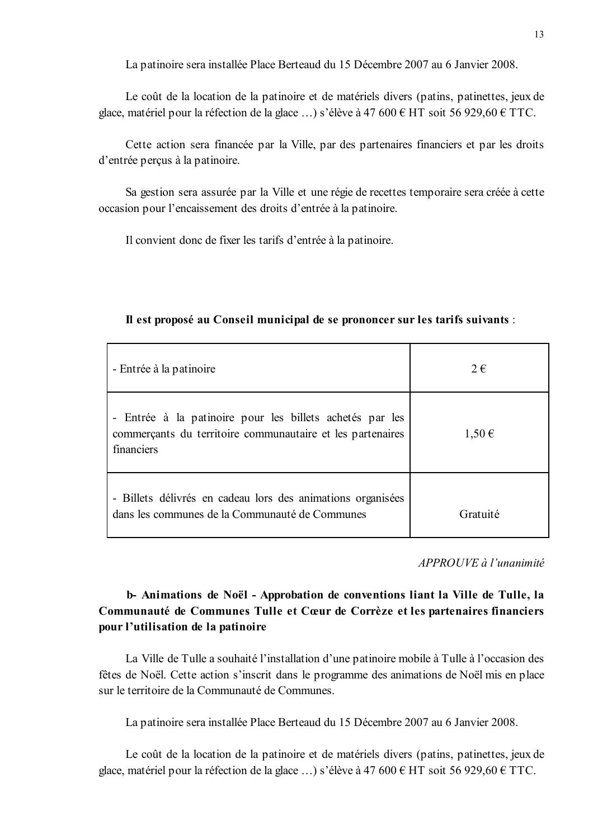La patinoire sera installée Place Berteaud du 15 Décembre 2007 au 6 Janvier 2008.

Le coût de la location de la patinoire et de matériels divers (patins, patinettes, jeux de glace, matériel pour la réfection de la glace ...) s'élève à 47 600 € HT soit 56 929,60 € TTC.

Cette action sera financée par la Ville, par des partenaires financiers et par les droits d'entrée percus à la patinoire.

Sa gestion sera assurée par la Ville et une régie de recettes temporaire sera créée à cette occasion pour l'encaissement des droits d'entrée à la patinoire.

Il convient donc de fixer les tarifs d'entrée à la patinoire.

| - Entrée à la patinoire                                                                                                              | $2 \in$    |
|--------------------------------------------------------------------------------------------------------------------------------------|------------|
| - Entrée à la patinoire pour les billets achetés par les<br>commerçants du territoire communautaire et les partenaires<br>financiers | $1,50 \in$ |
| - Billets délivrés en cadeau lors des animations organisées<br>dans les communes de la Communauté de Communes                        | Gratuité   |

Il est proposé au Conseil municipal de se prononcer sur les tarifs suivants :

APPROUVE à l'unanimité

# b- Animations de Noël - Approbation de conventions liant la Ville de Tulle, la Communauté de Communes Tulle et Cœur de Corrèze et les partenaires financiers pour l'utilisation de la patinoire

La Ville de Tulle a souhaité l'installation d'une patinoire mobile à Tulle à l'occasion des fêtes de Noël. Cette action s'inscrit dans le programme des animations de Noël mis en place sur le territoire de la Communauté de Communes.

La patinoire sera installée Place Berteaud du 15 Décembre 2007 au 6 Janvier 2008.

Le coût de la location de la patinoire et de matériels divers (patins, patinettes, jeux de glace, matériel pour la réfection de la glace ...) s'élève à 47 600 € HT soit 56 929,60 € TTC.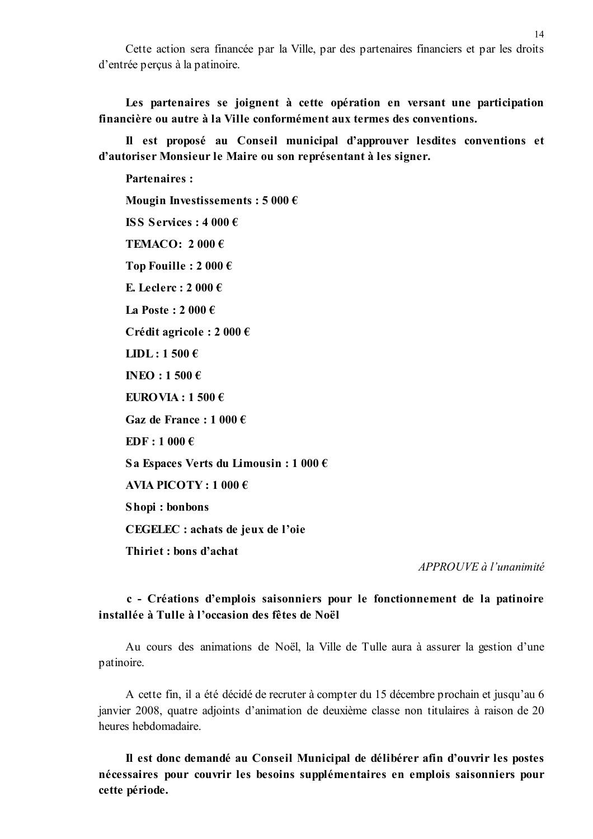Cette action sera financée par la Ville, par des partenaires financiers et par les droits d'entrée perçus à la patinoire.

Les partenaires se joignent à cette opération en versant une participation financière ou autre à la Ville conformément aux termes des conventions.

Il est proposé au Conseil municipal d'approuver lesdites conventions et d'autoriser Monsieur le Maire ou son représentant à les signer.

**Partenaires:** Mougin Investissements:  $5000 \in$ **ISS Services : 4 000 €** TEMACO:  $2000 \in$ Top Fouille:  $2000 \in$ E. Leclerc : 2 000  $\epsilon$ La Poste:  $2000 \in$ Crédit agricole : 2 000  $\epsilon$ LIDL:  $1500 \text{ } \in$ INEO:  $1500 \text{ } \in$ EUROVIA :  $1500 \in$ Gaz de France : 1 000  $\epsilon$  $EDF: 1000 \in$ Sa Espaces Verts du Limousin : 1 000  $\epsilon$ AVIA PICOTY:  $1\,000\,\text{€}$ Shopi: bonbons CEGELEC : achats de jeux de l'oie Thiriet: bons d'achat

APPROUVE à l'unanimité

# c - Créations d'emplois saisonniers pour le fonctionnement de la patinoire installée à Tulle à l'occasion des fêtes de Noël

Au cours des animations de Noël, la Ville de Tulle aura à assurer la gestion d'une patinoire.

A cette fin, il a été décidé de recruter à compter du 15 décembre prochain et jusqu'au 6 janvier 2008, quatre adjoints d'animation de deuxième classe non titulaires à raison de 20 heures hebdomadaire

Il est donc demandé au Conseil Municipal de délibérer afin d'ouvrir les postes nécessaires pour couvrir les besoins supplémentaires en emplois saisonniers pour cette période.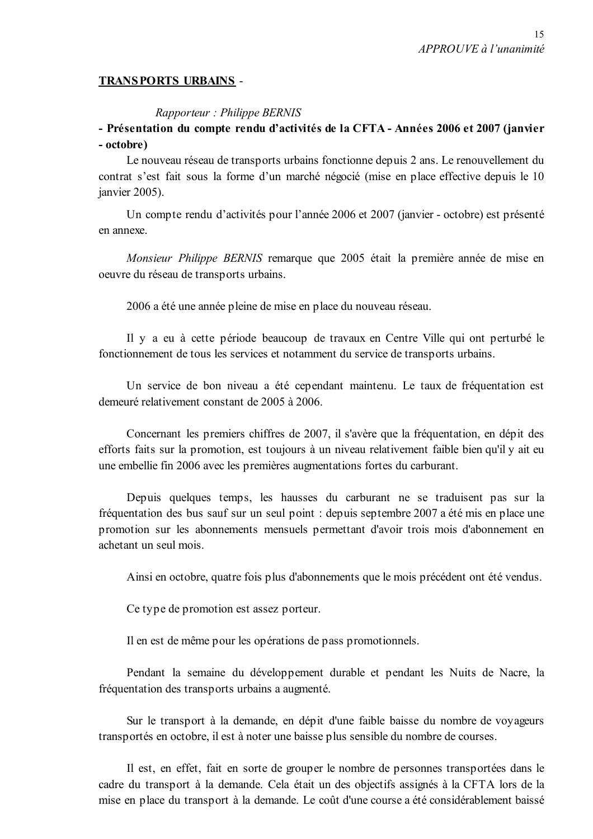### **TRANSPORTS URBAINS -**

### Rapporteur: Philippe BERNIS

# - Présentation du compte rendu d'activités de la CFTA - Années 2006 et 2007 (janvier - octobre)

Le nouveau réseau de transports urbains fonctionne depuis 2 ans. Le renouvellement du contrat s'est fait sous la forme d'un marché négocié (mise en place effective depuis le 10 janvier 2005).

Un compte rendu d'activités pour l'année 2006 et 2007 (janvier - octobre) est présenté en annexe

Monsieur Philippe BERNIS remarque que 2005 était la première année de mise en oeuvre du réseau de transports urbains.

2006 a été une année pleine de mise en place du nouveau réseau.

Il y a eu à cette période beaucoup de travaux en Centre Ville qui ont perturbé le fonctionnement de tous les services et notamment du service de transports urbains.

Un service de bon niveau a été cependant maintenu. Le taux de fréquentation est demeuré relativement constant de 2005 à 2006.

Concernant les premiers chiffres de 2007, il s'avère que la fréquentation, en dépit des efforts faits sur la promotion, est toujours à un niveau relativement faible bien qu'il y ait eu une embellie fin 2006 avec les premières augmentations fortes du carburant.

Depuis quelques temps, les hausses du carburant ne se traduisent pas sur la fréquentation des bus sauf sur un seul point : depuis septembre 2007 a été mis en place une promotion sur les abonnements mensuels permettant d'avoir trois mois d'abonnement en achetant un seul mois.

Ainsi en octobre, quatre fois plus d'abonnements que le mois précédent ont été vendus.

Ce type de promotion est assez porteur.

Il en est de même pour les opérations de pass promotionnels.

Pendant la semaine du développement durable et pendant les Nuits de Nacre, la fréquentation des transports urbains a augmenté.

Sur le transport à la demande, en dépit d'une faible baisse du nombre de voyageurs transportés en octobre, il est à noter une baisse plus sensible du nombre de courses.

Il est, en effet, fait en sorte de grouper le nombre de personnes transportées dans le cadre du transport à la demande. Cela était un des objectifs assignés à la CFTA lors de la mise en place du transport à la demande. Le coût d'une course a été considérablement baissé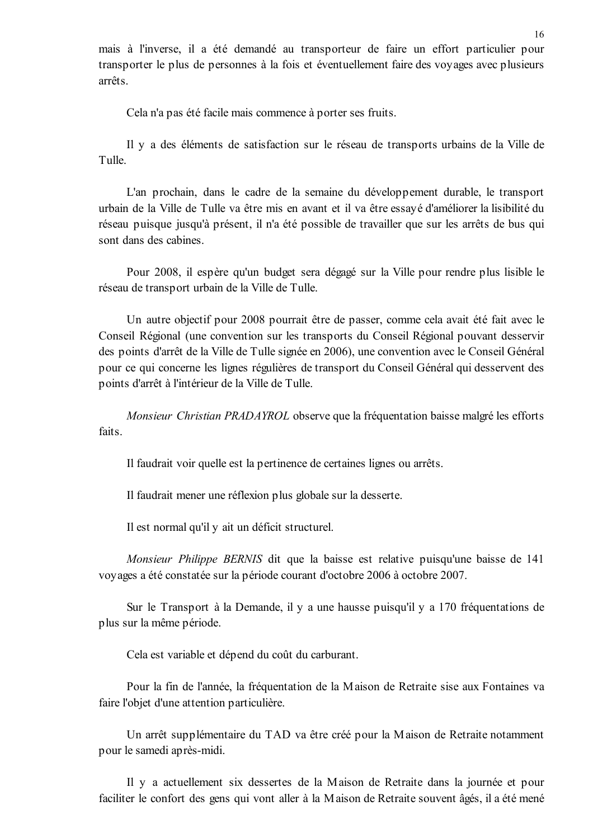mais à l'inverse, il a été demandé au transporteur de faire un effort particulier pour transporter le plus de personnes à la fois et éventuellement faire des voyages avec plusieurs arrêts

Cela n'a pas été facile mais commence à porter ses fruits.

Il y a des éléments de satisfaction sur le réseau de transports urbains de la Ville de Tulle

L'an prochain, dans le cadre de la semaine du développement durable, le transport urbain de la Ville de Tulle va être mis en avant et il va être essayé d'améliorer la lisibilité du réseau puisque jusqu'à présent, il n'a été possible de travailler que sur les arrêts de bus qui sont dans des cabines.

Pour 2008, il espère qu'un budget sera dégagé sur la Ville pour rendre plus lisible le réseau de transport urbain de la Ville de Tulle.

Un autre objectif pour 2008 pourrait être de passer, comme cela avait été fait avec le Conseil Régional (une convention sur les transports du Conseil Régional pouvant desservir des points d'arrêt de la Ville de Tulle signée en 2006), une convention avec le Conseil Général pour ce qui concerne les lignes régulières de transport du Conseil Général qui desservent des points d'arrêt à l'intérieur de la Ville de Tulle.

*Monsieur Christian PRADAYROL* observe que la fréquentation baisse malgré les efforts faits.

Il faudrait voir quelle est la pertinence de certaines lignes ou arrêts.

Il faudrait mener une réflexion plus globale sur la desserte.

Il est normal qu'il y ait un déficit structurel.

*Monsieur Philippe BERNIS* dit que la baisse est relative puisqu'une baisse de 141 voyages a été constatée sur la période courant d'octobre 2006 à octobre 2007.

Sur le Transport à la Demande, il y a une hausse puisqu'il y a 170 fréquentations de plus sur la même période.

Cela est variable et dépend du coût du carburant.

Pour la fin de l'année, la fréquentation de la Maison de Retraite sise aux Fontaines va faire l'objet d'une attention particulière.

Un arrêt supplémentaire du TAD va être créé pour la Maison de Retraite notamment pour le samedi après-midi.

Il y a actuellement six dessertes de la Maison de Retraite dans la journée et pour faciliter le confort des gens qui vont aller à la Maison de Retraite souvent âgés, il a été mené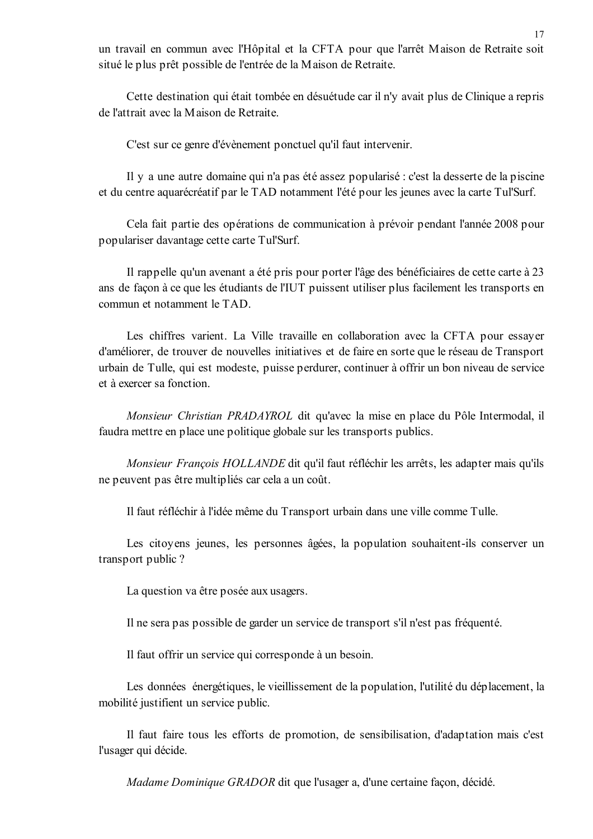un travail en commun avec l'Hôpital et la CFTA pour que l'arrêt Maison de Retraite soit situé le plus prêt possible de l'entrée de la Maison de Retraite.

Cette destination qui était tombée en désuétude car il n'y avait plus de Clinique a repris de l'attrait avec la Maison de Retraite.

C'est sur ce genre d'évènement ponctuel qu'il faut intervenir.

Il y a une autre domaine qui n'a pas été assez popularisé : c'est la desserte de la piscine et du centre aquarécréatif par le TAD notamment l'été pour les jeunes avec la carte Tul'Surf.

Cela fait partie des opérations de communication à prévoir pendant l'année 2008 pour populariser davantage cette carte Tul'Surf.

Il rappelle qu'un avenant a été pris pour porter l'âge des bénéficiaires de cette carte à 23 ans de façon à ce que les étudiants de l'IUT puissent utiliser plus facilement les transports en commun et notamment le TAD.

Les chiffres varient. La Ville travaille en collaboration avec la CFTA pour essayer d'améliorer, de trouver de nouvelles initiatives et de faire en sorte que le réseau de Transport urbain de Tulle, qui est modeste, puisse perdurer, continuer à offrir un bon niveau de service et à exercer sa fonction

Monsieur Christian PRADAYROL dit qu'avec la mise en place du Pôle Intermodal, il faudra mettre en place une politique globale sur les transports publics.

*Monsieur François HOLLANDE* dit qu'il faut réfléchir les arrêts, les adapter mais qu'ils ne peuvent pas être multipliés car cela a un coût.

Il faut réfléchir à l'idée même du Transport urbain dans une ville comme Tulle.

Les citoyens jeunes, les personnes âgées, la population souhaitent-ils conserver un transport public?

La question va être posée aux usagers.

Il ne sera pas possible de garder un service de transport s'il n'est pas fréquenté.

Il faut offrir un service qui corresponde à un besoin.

Les données énergétiques, le vieillissement de la population, l'utilité du déplacement, la mobilité justifient un service public.

Il faut faire tous les efforts de promotion, de sensibilisation, d'adaptation mais c'est l'usager qui décide.

Madame Dominique GRADOR dit que l'usager a, d'une certaine façon, décidé.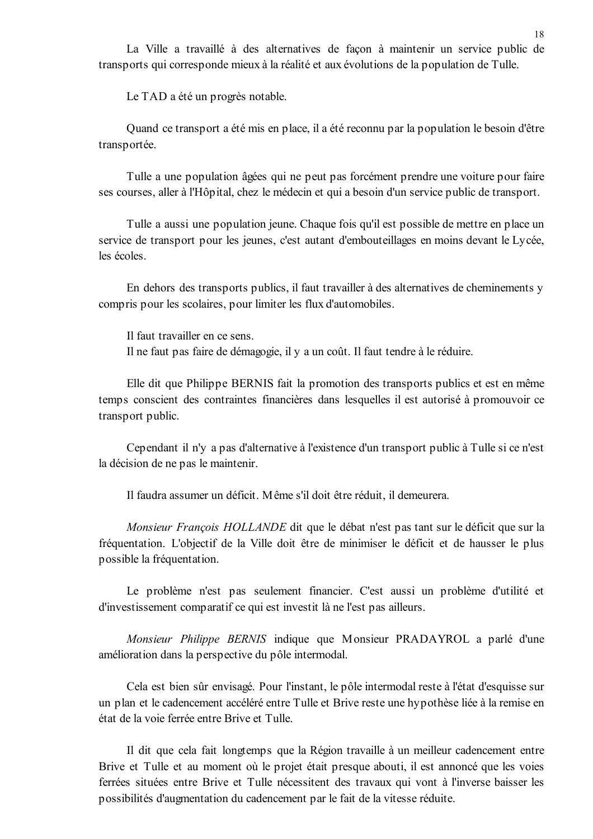La Ville a travaillé à des alternatives de façon à maintenir un service public de transports qui corresponde mieux à la réalité et aux évolutions de la population de Tulle.

Le TAD a été un progrès notable.

Ouand ce transport a été mis en place, il a été reconnu par la population le besoin d'être transportée.

Tulle a une population âgées qui ne peut pas forcément prendre une voiture pour faire ses courses, aller à l'Hôpital, chez le médecin et qui a besoin d'un service public de transport.

Tulle a aussi une population jeune. Chaque fois qu'il est possible de mettre en place un service de transport pour les jeunes, c'est autant d'embouteillages en moins devant le Lycée, les écoles.

En dehors des transports publics, il faut travailler à des alternatives de cheminements y compris pour les scolaires, pour limiter les flux d'automobiles.

Il faut travailler en ce sens. Il ne faut pas faire de démagogie, il y a un coût. Il faut tendre à le réduire.

Elle dit que Philippe BERNIS fait la promotion des transports publics et est en même temps conscient des contraintes financières dans lesquelles il est autorisé à promouvoir ce transport public.

Cependant il n'y a pas d'alternative à l'existence d'un transport public à Tulle si ce n'est la décision de ne pas le maintenir.

Il faudra assumer un déficit. Même s'il doit être réduit, il demeurera.

Monsieur François HOLLANDE dit que le débat n'est pas tant sur le déficit que sur la fréquentation. L'objectif de la Ville doit être de minimiser le déficit et de hausser le plus possible la fréquentation.

Le problème n'est pas seulement financier. C'est aussi un problème d'utilité et d'investissement comparatif ce qui est investit là ne l'est pas ailleurs.

Monsieur Philippe BERNIS indique que Monsieur PRADAYROL a parlé d'une amélioration dans la perspective du pôle intermodal.

Cela est bien sûr envisagé. Pour l'instant, le pôle intermodal reste à l'état d'esquisse sur un plan et le cadencement accéléré entre Tulle et Brive reste une hypothèse liée à la remise en état de la voie ferrée entre Brive et Tulle.

Il dit que cela fait longtemps que la Région travaille à un meilleur cadencement entre Brive et Tulle et au moment où le projet était presque abouti, il est annoncé que les voies ferrées situées entre Brive et Tulle nécessitent des travaux qui vont à l'inverse baisser les possibilités d'augmentation du cadencement par le fait de la vitesse réduite.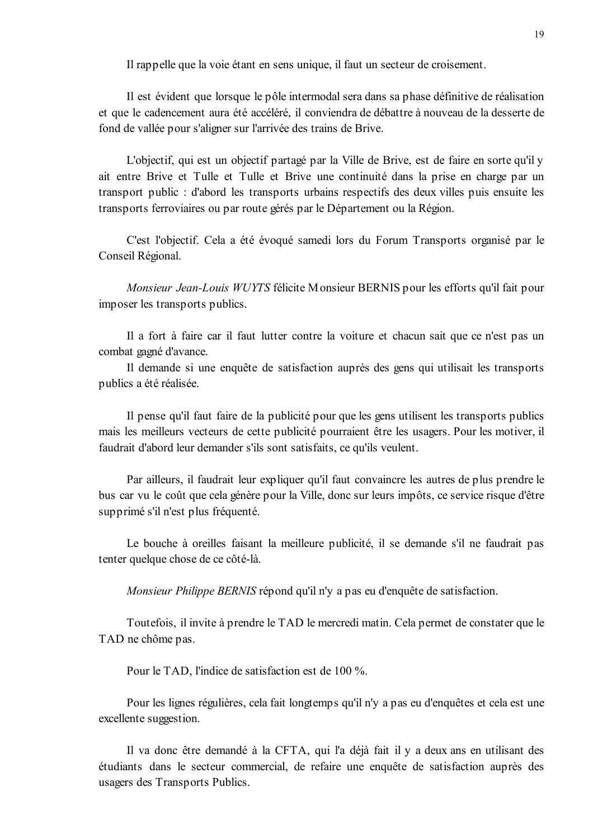Il rappelle que la voie étant en sens unique, il faut un secteur de croisement.

Il est évident que lorsque le pôle intermodal sera dans sa phase définitive de réalisation et que le cadencement aura été accéléré, il conviendra de débattre à nouveau de la desserte de fond de vallée pour s'aligner sur l'arrivée des trains de Brive.

L'objectif, qui est un objectif partagé par la Ville de Brive, est de faire en sorte qu'il y ait entre Brive et Tulle et Tulle et Brive une continuité dans la prise en charge par un transport public: d'abord les transports urbains respectifs des deux villes puis ensuite les transports ferroviaires ou par route gérés par le Département ou la Région.

C'est l'objectif. Cela a été évoqué samedi lors du Forum Transports organisé par le Conseil Régional.

Monsieur Jean-Louis WUYTS félicite Monsieur BERNIS pour les efforts qu'il fait pour imposer les transports publics.

Il a fort à faire car il faut lutter contre la voiture et chacun sait que ce n'est pas un combat gagné d'avance.

Il demande si une enquête de satisfaction auprès des gens qui utilisait les transports publics a été réalisée.

Il pense qu'il faut faire de la publicité pour que les gens utilisent les transports publics mais les meilleurs vecteurs de cette publicité pourraient être les usagers. Pour les motiver, il faudrait d'abord leur demander s'ils sont satisfaits, ce qu'ils veulent.

Par ailleurs, il faudrait leur expliquer qu'il faut convaincre les autres de plus prendre le bus car vu le coût que cela génère pour la Ville, donc sur leurs impôts, ce service risque d'être supprimé s'il n'est plus fréquenté.

Le bouche à oreilles faisant la meilleure publicité, il se demande s'il ne faudrait pas tenter quelque chose de ce côté-là.

Monsieur Philippe BERNIS répond qu'il n'y a pas eu d'enquête de satisfaction.

Toutefois, il invite à prendre le TAD le mercredi matin. Cela permet de constater que le TAD ne chôme pas.

Pour le TAD, l'indice de satisfaction est de 100 %.

Pour les lignes régulières, cela fait longtemps qu'il n'y a pas eu d'enquêtes et cela est une excellente suggestion.

Il va donc être demandé à la CFTA, qui l'a déjà fait il y a deux ans en utilisant des étudiants dans le secteur commercial, de refaire une enquête de satisfaction auprès des usagers des Transports Publics.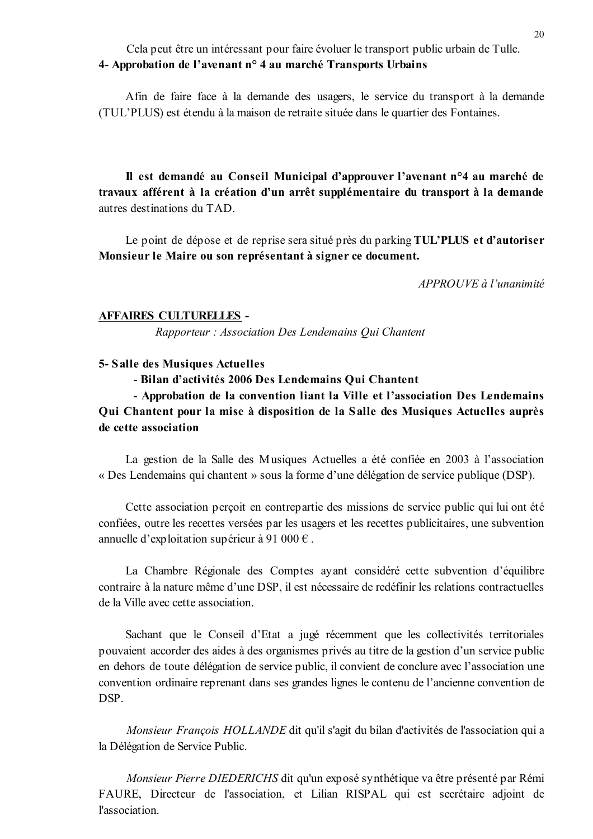# Cela peut être un intéressant pour faire évoluer le transport public urbain de Tulle. 4- Approbation de l'avenant n° 4 au marché Transports Urbains

Afin de faire face à la demande des usagers, le service du transport à la demande (TUL'PLUS) est étendu à la maison de retraite située dans le quartier des Fontaines.

Il est demandé au Conseil Municipal d'approuver l'avenant n°4 au marché de travaux afférent à la création d'un arrêt supplémentaire du transport à la demande autres destinations du TAD.

Le point de dépose et de reprise sera situé près du parking TUL'PLUS et d'autoriser Monsieur le Maire ou son représentant à signer ce document.

 $APPROUVE$  à l'unanimité

#### **AFFAIRES CULTURELLES -**

Rapporteur: Association Des Lendemains Qui Chantent

#### 5- Salle des Musiques Actuelles

- Bilan d'activités 2006 Des Lendemains Oui Chantent

- Approbation de la convention liant la Ville et l'association Des Lendemains Qui Chantent pour la mise à disposition de la Salle des Musiques Actuelles auprès de cette association

La gestion de la Salle des Musiques Actuelles a été confiée en 2003 à l'association « Des Lendemains qui chantent » sous la forme d'une délégation de service publique (DSP).

Cette association perçoit en contrepartie des missions de service public qui lui ont été confiées, outre les recettes versées par les usagers et les recettes publicitaires, une subvention annuelle d'exploitation supérieur à 91 000 €.

La Chambre Régionale des Comptes ayant considéré cette subvention d'équilibre contraire à la nature même d'une DSP, il est nécessaire de redéfinir les relations contractuelles de la Ville avec cette association.

Sachant que le Conseil d'Etat a jugé récemment que les collectivités territoriales pouvaient accorder des aides à des organismes privés au titre de la gestion d'un service public en dehors de toute délégation de service public, il convient de conclure avec l'association une convention ordinaire reprenant dans ses grandes lignes le contenu de l'ancienne convention de **DSP** 

Monsieur François HOLLANDE dit qu'il s'agit du bilan d'activités de l'association qui a la Délégation de Service Public.

Monsieur Pierre DIEDERICHS dit qu'un exposé synthétique va être présenté par Rémi FAURE, Directeur de l'association, et Lilian RISPAL qui est secrétaire adjoint de l'association.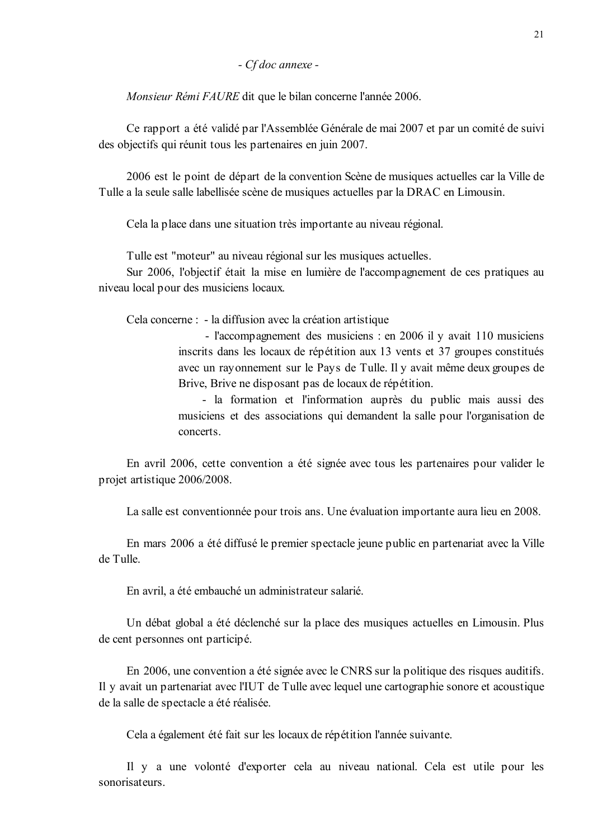- Cf doc annexe -

Monsieur Rémi FAURE dit que le bilan concerne l'année 2006.

Ce rapport a été validé par l'Assemblée Générale de mai 2007 et par un comité de suivi des objectifs qui réunit tous les partenaires en juin 2007.

2006 est le point de départ de la convention Scène de musiques actuelles car la Ville de Tulle a la seule salle labellisée scène de musiques actuelles par la DRAC en Limousin.

Cela la place dans une situation très importante au niveau régional.

Tulle est "moteur" au niveau régional sur les musiques actuelles.

Sur 2006, l'objectif était la mise en lumière de l'accompagnement de ces pratiques au niveau local pour des musiciens locaux.

Cela concerne : - la diffusion avec la création artistique

- l'accompagnement des musiciens : en 2006 il y avait 110 musiciens inscrits dans les locaux de répétition aux 13 vents et 37 groupes constitués avec un rayonnement sur le Pays de Tulle. Il y avait même deux groupes de Brive, Brive ne disposant pas de locaux de répétition.

- la formation et l'information auprès du public mais aussi des musiciens et des associations qui demandent la salle pour l'organisation de concerts.

En avril 2006, cette convention a été signée avec tous les partenaires pour valider le projet artistique 2006/2008.

La salle est conventionnée pour trois ans. Une évaluation importante aura lieu en 2008.

En mars 2006 a été diffusé le premier spectacle jeune public en partenariat avec la Ville de Tulle.

En avril, a été embauché un administrateur salarié.

Un débat global a été déclenché sur la place des musiques actuelles en Limousin. Plus de cent personnes ont participé.

En 2006, une convention a été signée avec le CNRS sur la politique des risques auditifs. Il y avait un partenariat avec l'IUT de Tulle avec lequel une cartographie sonore et acoustique de la salle de spectacle a été réalisée.

Cela a également été fait sur les locaux de répétition l'année suivante.

Il y a une volonté d'exporter cela au niveau national. Cela est utile pour les sonorisateurs.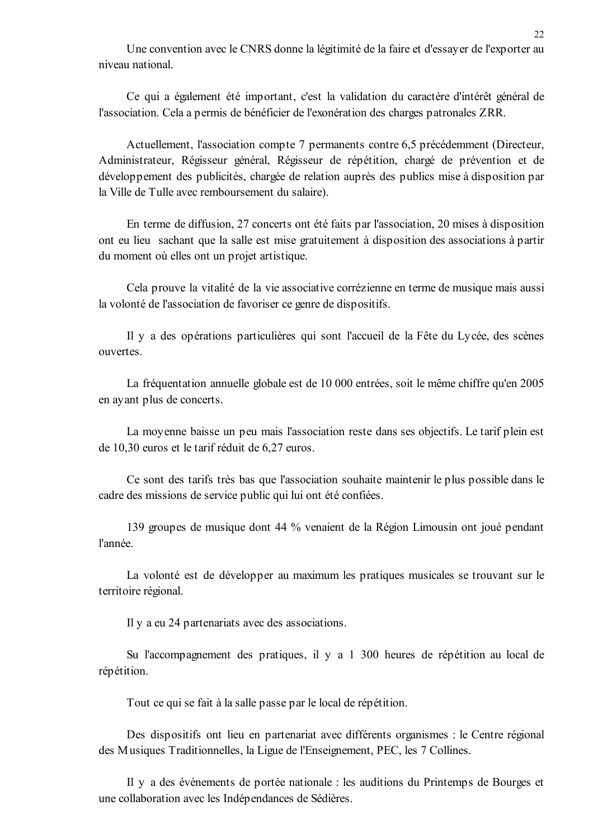Une convention avec le CNRS donne la légitimité de la faire et d'essayer de l'exporter au niveau national

Ce qui a également été important, c'est la validation du caractère d'intérêt général de l'association. Cela a permis de bénéficier de l'exonération des charges patronales ZRR.

Actuellement, l'association compte 7 permanents contre 6,5 précédemment (Directeur, Administrateur, Régisseur général, Régisseur de répétition, chargé de prévention et de développement des publicités, chargée de relation auprès des publics mise à disposition par la Ville de Tulle avec remboursement du salaire).

En terme de diffusion, 27 concerts ont été faits par l'association, 20 mises à disposition ont eu lieu sachant que la salle est mise gratuitement à disposition des associations à partir du moment où elles ont un projet artistique.

Cela prouve la vitalité de la vie associative corrézienne en terme de musique mais aussi la volonté de l'association de favoriser ce genre de dispositifs.

Il y a des opérations particulières qui sont l'accueil de la Fête du Lycée, des scènes ouvertes.

La fréquentation annuelle globale est de 10 000 entrées, soit le même chiffre qu'en 2005 en ayant plus de concerts.

La moyenne baisse un peu mais l'association reste dans ses objectifs. Le tarif plein est de 10,30 euros et le tarif réduit de 6,27 euros.

Ce sont des tarifs très bas que l'association souhaite maintenir le plus possible dans le cadre des missions de service public qui lui ont été confiées.

139 groupes de musique dont 44 % venaient de la Région Limousin ont joué pendant l'année

La volonté est de développer au maximum les pratiques musicales se trouvant sur le territoire régional.

Il y a eu 24 partenariats avec des associations.

Su l'accompagnement des pratiques, il y a 1 300 heures de répétition au local de répétition.

Tout ce qui se fait à la salle passe par le local de répétition.

Des dispositifs ont lieu en partenariat avec différents organismes : le Centre régional des Musiques Traditionnelles, la Ligue de l'Enseignement, PEC, les 7 Collines.

Il y a des évènements de portée nationale : les auditions du Printemps de Bourges et une collaboration avec les Indépendances de Sédières.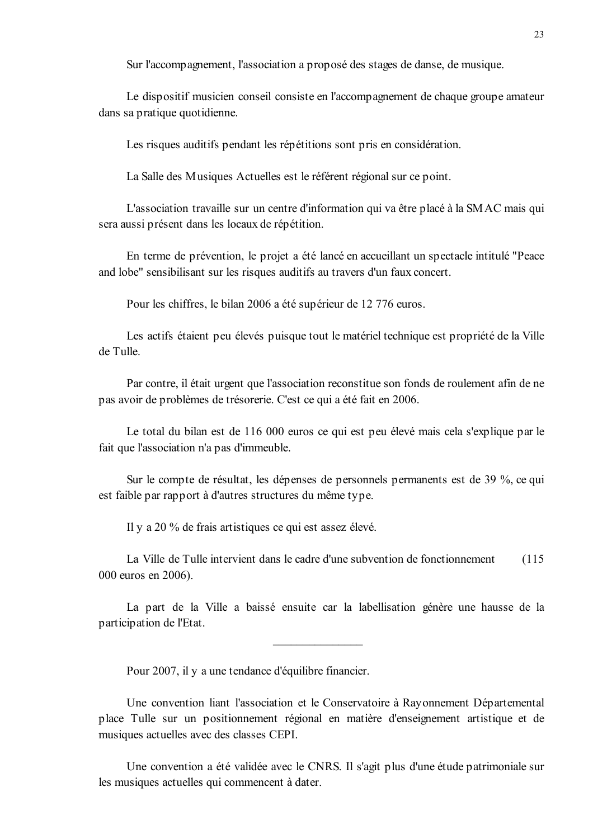Sur l'accompagnement, l'association a proposé des stages de danse, de musique.

Le dispositif musicien conseil consiste en l'accompagnement de chaque groupe amateur dans sa pratique quotidienne.

Les risques auditifs pendant les répétitions sont pris en considération.

La Salle des Musiques Actuelles est le référent régional sur ce point.

L'association travaille sur un centre d'information qui va être placé à la SMAC mais qui sera aussi présent dans les locaux de répétition.

En terme de prévention, le projet a été lancé en accueillant un spectacle intitulé "Peace" and lobe" sensibilisant sur les risques auditifs au travers d'un faux concert.

Pour les chiffres, le bilan 2006 a été supérieur de 12 776 euros.

Les actifs étaient peu élevés puisque tout le matériel technique est propriété de la Ville de Tulle.

Par contre, il était urgent que l'association reconstitue son fonds de roulement afin de ne pas avoir de problèmes de trésorerie. C'est ce qui a été fait en 2006.

Le total du bilan est de 116 000 euros ce qui est peu élevé mais cela s'explique par le fait que l'association n'a pas d'immeuble.

Sur le compte de résultat, les dépenses de personnels permanents est de 39 %, ce qui est faible par rapport à d'autres structures du même type.

Il y a 20 % de frais artistiques ce qui est assez élevé.

La Ville de Tulle intervient dans le cadre d'une subvention de fonctionnement  $(115$ 000 euros en 2006).

La part de la Ville a baissé ensuite car la labellisation génère une hausse de la participation de l'Etat.

Pour 2007, il y a une tendance d'équilibre financier.

Une convention liant l'association et le Conservatoire à Rayonnement Départemental place Tulle sur un positionnement régional en matière d'enseignement artistique et de musiques actuelles avec des classes CEPI.

Une convention a été validée avec le CNRS. Il s'agit plus d'une étude patrimoniale sur les musiques actuelles qui commencent à dater.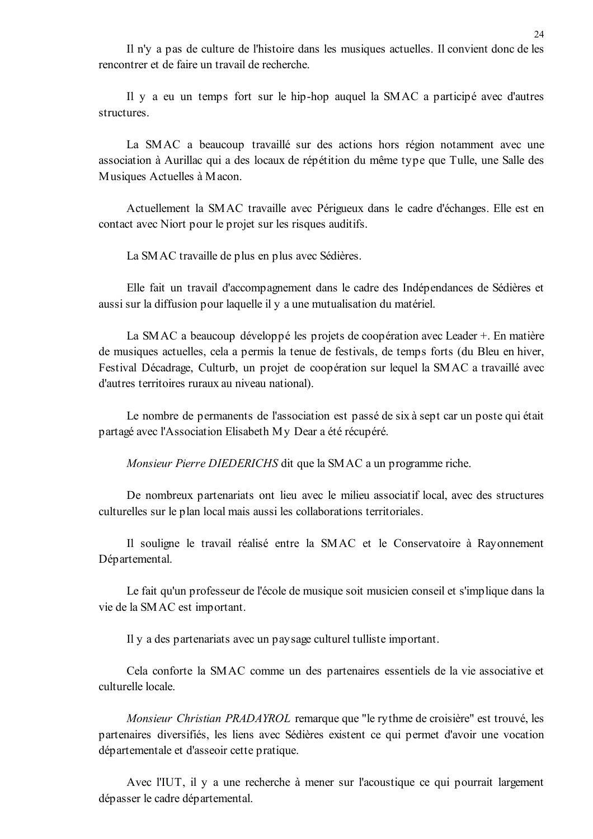Il n'y a pas de culture de l'histoire dans les musiques actuelles. Il convient donc de les rencontrer et de faire un travail de recherche

Il y a eu un temps fort sur le hip-hop auquel la SMAC a participé avec d'autres structures.

La SMAC a beaucoup travaillé sur des actions hors région notamment avec une association à Aurillac qui a des locaux de répétition du même type que Tulle, une Salle des Musiques Actuelles à Macon.

Actuellement la SMAC travaille avec Périgueux dans le cadre d'échanges. Elle est en contact avec Niort pour le projet sur les risques auditifs.

La SMAC travaille de plus en plus avec Sédières.

Elle fait un travail d'accompagnement dans le cadre des Indépendances de Sédières et aussi sur la diffusion pour laquelle il y a une mutualisation du matériel.

La SMAC a beaucoup développé les projets de coopération avec Leader +. En matière de musiques actuelles, cela a permis la tenue de festivals, de temps forts (du Bleu en hiver, Festival Décadrage, Culturb, un projet de coopération sur lequel la SMAC a travaillé avec d'autres territoires ruraux au niveau national).

Le nombre de permanents de l'association est passé de six à sept car un poste qui était partagé avec l'Association Elisabeth My Dear a été récupéré.

Monsieur Pierre DIEDERICHS dit que la SMAC a un programme riche.

De nombreux partenariats ont lieu avec le milieu associatif local, avec des structures culturelles sur le plan local mais aussi les collaborations territoriales.

Il souligne le travail réalisé entre la SMAC et le Conservatoire à Rayonnement Départemental.

Le fait qu'un professeur de l'école de musique soit musicien conseil et s'implique dans la vie de la SMAC est important.

Il y a des partenariats avec un paysage culturel tulliste important.

Cela conforte la SMAC comme un des partenaires essentiels de la vie associative et culturelle locale

*Monsieur Christian PRADAYROL* remarque que "le rythme de croisière" est trouvé, les partenaires diversifiés, les liens avec Sédières existent ce qui permet d'avoir une vocation départementale et d'asseoir cette pratique.

Avec l'IUT, il y a une recherche à mener sur l'acoustique ce qui pourrait largement dépasser le cadre départemental.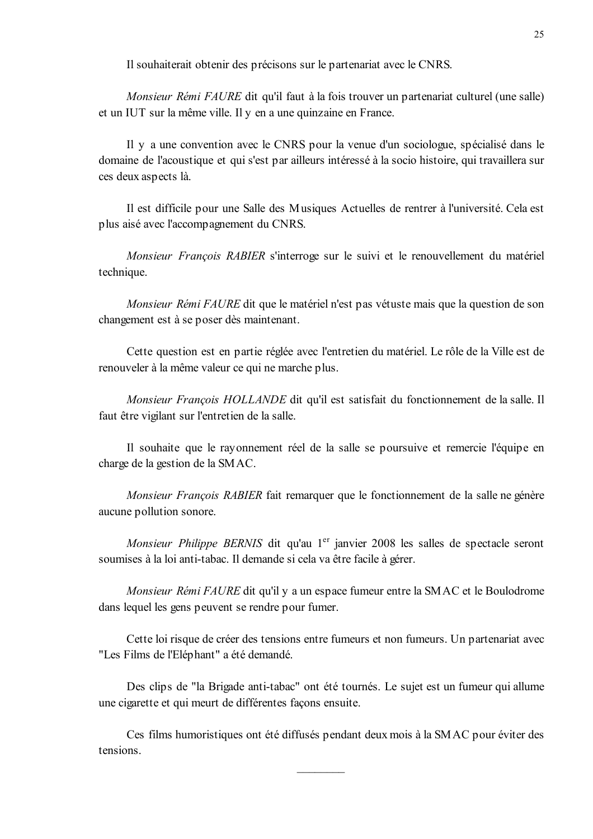Il souhaiterait obtenir des précisons sur le partenariat avec le CNRS.

*Monsieur Rémi FAURE* dit qu'il faut à la fois trouver un partenariat culturel (une salle) et un IUT sur la même ville. Il y en a une quinzaine en France.

Il y a une convention avec le CNRS pour la venue d'un sociologue, spécialisé dans le domaine de l'acoustique et qui s'est par ailleurs intéressé à la socio histoire, qui travaillera sur ces deux aspects là.

Il est difficile pour une Salle des Musiques Actuelles de rentrer à l'université. Cela est plus aisé avec l'accompagnement du CNRS.

Monsieur François RABIER s'interroge sur le suivi et le renouvellement du matériel technique.

Monsieur Rémi FAURE dit que le matériel n'est pas vétuste mais que la question de son changement est à se poser dès maintenant.

Cette question est en partie réglée avec l'entretien du matériel. Le rôle de la Ville est de renouveler à la même valeur ce qui ne marche plus.

Monsieur François HOLLANDE dit qu'il est satisfait du fonctionnement de la salle. Il faut être vigilant sur l'entretien de la salle.

Il souhaite que le rayonnement réel de la salle se poursuive et remercie l'équipe en charge de la gestion de la SMAC.

Monsieur François RABIER fait remarquer que le fonctionnement de la salle ne génère aucune pollution sonore.

Monsieur Philippe BERNIS dit qu'au 1<sup>er</sup> janvier 2008 les salles de spectacle seront soumises à la loi anti-tabac. Il demande si cela va être facile à gérer.

Monsieur Rémi FAURE dit qu'il y a un espace fumeur entre la SMAC et le Boulodrome dans lequel les gens peuvent se rendre pour fumer.

Cette loi risque de créer des tensions entre fumeurs et non fumeurs. Un partenariat avec "Les Films de l'Eléphant" a été demandé.

Des clips de "la Brigade anti-tabac" ont été tournés. Le sujet est un fumeur qui allume une cigarette et qui meurt de différentes façons ensuite.

Ces films humoristiques ont été diffusés pendant deux mois à la SMAC pour éviter des tensions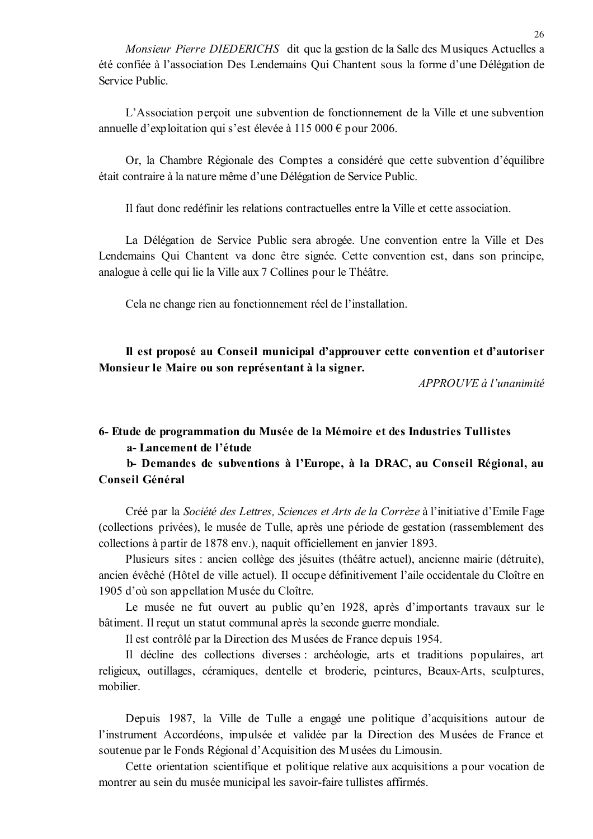Monsieur Pierre DIEDERICHS dit que la gestion de la Salle des Musiques Actuelles a été confiée à l'association Des Lendemains Qui Chantent sous la forme d'une Délégation de Service Public

L'Association perçoit une subvention de fonctionnement de la Ville et une subvention annuelle d'exploitation qui s'est élevée à 115 000 € pour 2006.

Or, la Chambre Régionale des Comptes a considéré que cette subvention d'équilibre était contraire à la nature même d'une Délégation de Service Public.

Il faut donc redéfinir les relations contractuelles entre la Ville et cette association.

La Délégation de Service Public sera abrogée. Une convention entre la Ville et Des Lendemains Qui Chantent va donc être signée. Cette convention est, dans son principe, analogue à celle qui lie la Ville aux 7 Collines pour le Théâtre.

Cela ne change rien au fonctionnement réel de l'installation.

Il est proposé au Conseil municipal d'approuver cette convention et d'autoriser Monsieur le Maire ou son représentant à la signer.

APPROUVE à l'unanimité

# 6- Etude de programmation du Musée de la Mémoire et des Industries Tullistes a-Lancement de l'étude

b- Demandes de subventions à l'Europe, à la DRAC, au Conseil Régional, au Conseil Général

Créé par la Société des Lettres, Sciences et Arts de la Corrèze à l'initiative d'Emile Fage (collections privées), le musée de Tulle, après une période de gestation (rassemblement des collections à partir de 1878 env.), naquit officiellement en janvier 1893.

Plusieurs sites : ancien collège des jésuites (théâtre actuel), ancienne mairie (détruite), ancien évêché (Hôtel de ville actuel). Il occupe définitivement l'aile occidentale du Cloître en 1905 d'où son appellation Musée du Cloître.

Le musée ne fut ouvert au public qu'en 1928, après d'importants travaux sur le bâtiment. Il recut un statut communal après la seconde guerre mondiale.

Il est contrôlé par la Direction des Musées de France depuis 1954.

Il décline des collections diverses : archéologie, arts et traditions populaires, art religieux, outillages, céramiques, dentelle et broderie, peintures, Beaux-Arts, sculptures, mobilier

Depuis 1987, la Ville de Tulle a engagé une politique d'acquisitions autour de l'instrument Accordéons, impulsée et validée par la Direction des Musées de France et soutenue par le Fonds Régional d'Acquisition des Musées du Limousin.

Cette orientation scientifique et politique relative aux acquisitions a pour vocation de montrer au sein du musée municipal les savoir-faire tullistes affirmés.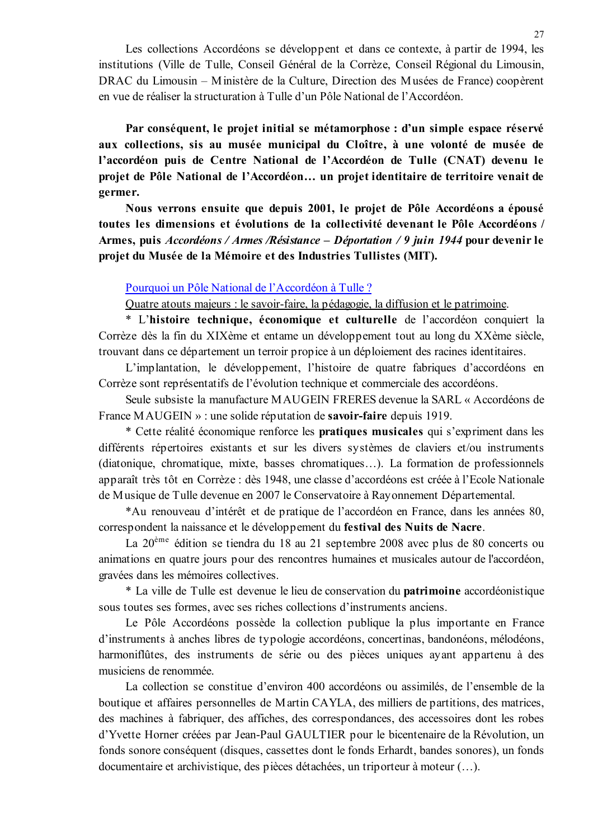Les collections Accordéons se développent et dans ce contexte, à partir de 1994, les institutions (Ville de Tulle, Conseil Général de la Corrèze, Conseil Régional du Limousin, DRAC du Limousin – Ministère de la Culture, Direction des Musées de France) coopèrent en vue de réaliser la structuration à Tulle d'un Pôle National de l'Accordéon.

Par conséquent, le projet initial se métamorphose : d'un simple espace réservé aux collections, sis au musée municipal du Cloître, à une volonté de musée de l'accordéon puis de Centre National de l'Accordéon de Tulle (CNAT) devenu le projet de Pôle National de l'Accordéon... un projet identitaire de territoire venait de germer.

Nous verrons ensuite que depuis 2001, le projet de Pôle Accordéons a épousé toutes les dimensions et évolutions de la collectivité devenant le Pôle Accordéons / Armes, puis Accordéons / Armes / Résistance – Déportation / 9 juin 1944 pour devenir le projet du Musée de la Mémoire et des Industries Tullistes (MIT).

#### Pourquoi un Pôle National de l'Accordéon à Tulle ?

Quatre atouts majeurs : le savoir-faire, la pédagogie, la diffusion et le patrimoine.

\* L'histoire technique, économique et culturelle de l'accordéon conquiert la Corrèze dès la fin du XIXème et entame un développement tout au long du XXème siècle. trouvant dans ce département un terroir propice à un déploiement des racines identitaires.

L'implantation, le développement, l'histoire de quatre fabriques d'accordéons en Corrèze sont représentatifs de l'évolution technique et commerciale des accordéons.

Seule subsiste la manufacture MAUGEIN FRERES devenue la SARL « Accordéons de France MAUGEIN » : une solide réputation de **savoir-faire** depuis 1919.

\* Cette réalité économique renforce les **pratiques musicales** qui s'expriment dans les différents répertoires existants et sur les divers systèmes de claviers et/ou instruments (diatonique, chromatique, mixte, basses chromatiques...). La formation de professionnels apparaît très tôt en Corrèze : dès 1948, une classe d'accordéons est créée à l'Ecole Nationale de Musique de Tulle devenue en 2007 le Conservatoire à Rayonnement Départemental.

\*Au renouveau d'intérêt et de pratique de l'accordéon en France, dans les années 80, correspondent la naissance et le développement du festival des Nuits de Nacre.

La 20<sup>ème</sup> édition se tiendra du 18 au 21 septembre 2008 avec plus de 80 concerts ou animations en quatre jours pour des rencontres humaines et musicales autour de l'accordéon, gravées dans les mémoires collectives.

\* La ville de Tulle est devenue le lieu de conservation du **patrimoine** accordéonistique sous toutes ses formes, avec ses riches collections d'instruments anciens.

Le Pôle Accordéons possède la collection publique la plus importante en France d'instruments à anches libres de typologie accordéons, concertinas, bandonéons, mélodéons, harmoniflûtes, des instruments de série ou des pièces uniques ayant appartenu à des musiciens de renommée.

La collection se constitue d'environ 400 accordéons ou assimilés, de l'ensemble de la boutique et affaires personnelles de Martin CAYLA, des milliers de partitions, des matrices, des machines à fabriquer, des affiches, des correspondances, des accessoires dont les robes d'Yvette Horner créées par Jean-Paul GAULTIER pour le bicentenaire de la Révolution, un fonds sonore conséquent (disques, cassettes dont le fonds Erhardt, bandes sonores), un fonds documentaire et archivistique, des pièces détachées, un triporteur à moteur (...).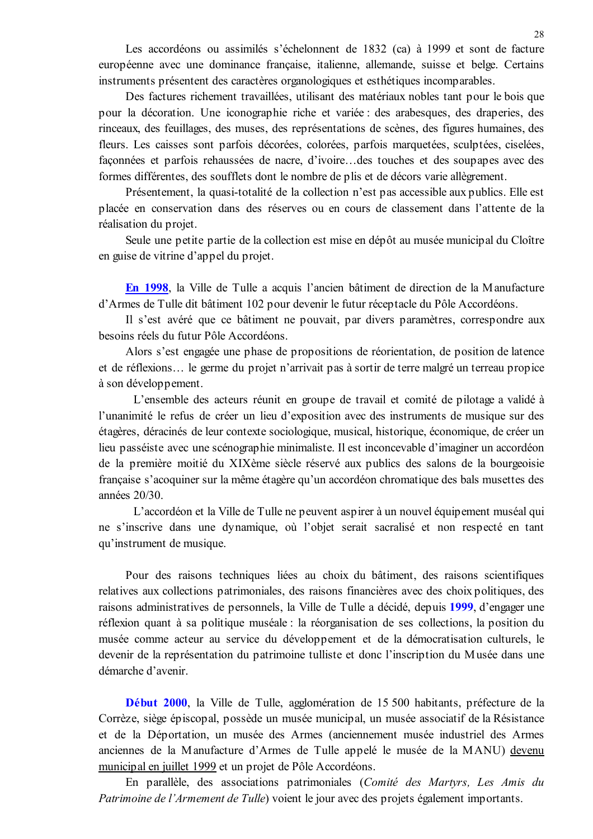Les accordéons ou assimilés s'échelonnent de 1832 (ca) à 1999 et sont de facture européenne avec une dominance française, italienne, allemande, suisse et belge. Certains instruments présentent des caractères organologiques et esthétiques incomparables.

Des factures richement travaillées, utilisant des matériaux nobles tant pour le bois que pour la décoration. Une iconographie riche et variée : des arabesques, des draperies, des rinceaux, des feuillages, des muses, des représentations de scènes, des figures humaines, des fleurs. Les caisses sont parfois décorées, colorées, parfois marquetées, sculptées, ciselées, façonnées et parfois rehaussées de nacre, d'ivoire...des touches et des soupapes avec des formes différentes, des soufflets dont le nombre de plis et de décors varie allègrement.

Présentement, la quasi-totalité de la collection n'est pas accessible aux publics. Elle est placée en conservation dans des réserves ou en cours de classement dans l'attente de la réalisation du projet.

Seule une petite partie de la collection est mise en dépôt au musée municipal du Cloître en guise de vitrine d'appel du projet.

En 1998, la Ville de Tulle a acquis l'ancien bâtiment de direction de la Manufacture d'Armes de Tulle dit bâtiment 102 pour devenir le futur réceptacle du Pôle Accordéons.

Il s'est avéré que ce bâtiment ne pouvait, par divers paramètres, correspondre aux besoins réels du futur Pôle Accordéons.

Alors s'est engagée une phase de propositions de réorientation, de position de latence et de réflexions... le germe du projet n'arrivait pas à sortir de terre malgré un terreau propice à son développement.

L'ensemble des acteurs réunit en groupe de travail et comité de pilotage a validé à l'unanimité le refus de créer un lieu d'exposition avec des instruments de musique sur des étagères, déracinés de leur contexte sociologique, musical, historique, économique, de créer un lieu passéiste avec une scénographie minimaliste. Il est inconcevable d'imaginer un accordéon de la première moitié du XIXème siècle réservé aux publics des salons de la bourgeoisie française s'acoquiner sur la même étagère qu'un accordéon chromatique des bals musettes des années 20/30.

L'accordéon et la Ville de Tulle ne peuvent aspirer à un nouvel équipement muséal qui ne s'inscrive dans une dynamique, où l'objet serait sacralisé et non respecté en tant qu'instrument de musique.

Pour des raisons techniques liées au choix du bâtiment, des raisons scientifiques relatives aux collections patrimoniales, des raisons financières avec des choix politiques, des raisons administratives de personnels, la Ville de Tulle a décidé, depuis 1999, d'engager une réflexion quant à sa politique muséale : la réorganisation de ses collections, la position du musée comme acteur au service du développement et de la démocratisation culturels, le devenir de la représentation du patrimoine tulliste et donc l'inscription du Musée dans une démarche d'avenir.

Début 2000, la Ville de Tulle, agglomération de 15 500 habitants, préfecture de la Corrèze, siège épiscopal, possède un musée municipal, un musée associatif de la Résistance et de la Déportation, un musée des Armes (anciennement musée industriel des Armes anciennes de la Manufacture d'Armes de Tulle appelé le musée de la MANU) devenu municipal en juillet 1999 et un projet de Pôle Accordéons.

En parallèle, des associations patrimoniales (Comité des Martyrs, Les Amis du Patrimoine de l'Armement de Tulle) voient le jour avec des projets également importants.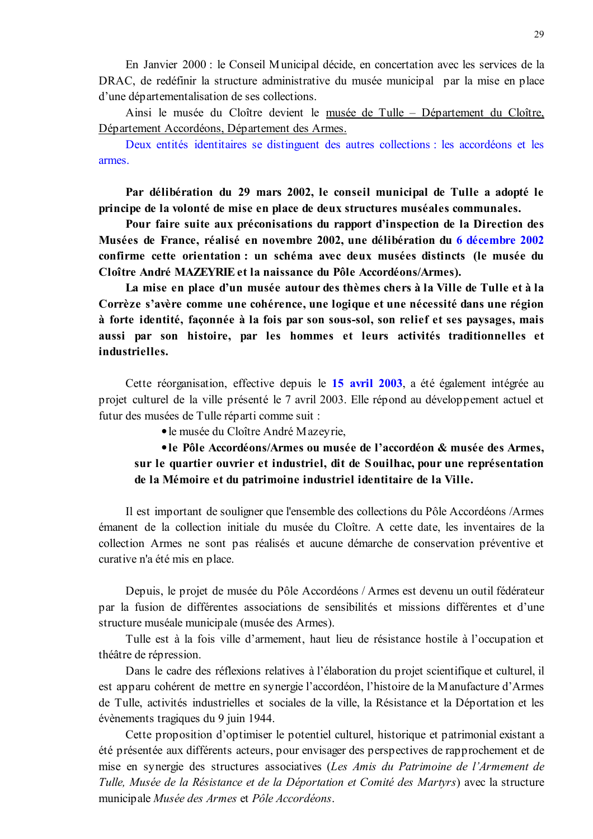En Janvier 2000 : le Conseil Municipal décide, en concertation avec les services de la DRAC, de redéfinir la structure administrative du musée municipal par la mise en place d'une départementalisation de ses collections.

Ainsi le musée du Cloître devient le musée de Tulle – Département du Cloître, Département Accordéons, Département des Armes.

Deux entités identitaires se distinguent des autres collections : les accordéons et les armes.

Par délibération du 29 mars 2002, le conseil municipal de Tulle a adopté le principe de la volonté de mise en place de deux structures muséales communales.

Pour faire suite aux préconisations du rapport d'inspection de la Direction des Musées de France, réalisé en novembre 2002, une délibération du 6 décembre 2002 confirme cette orientation : un schéma avec deux musées distincts (le musée du Cloître André MAZEYRIE et la naissance du Pôle Accordéons/Armes).

La mise en place d'un musée autour des thèmes chers à la Ville de Tulle et à la Corrèze s'avère comme une cohérence, une logique et une nécessité dans une région à forte identité, façonnée à la fois par son sous-sol, son relief et ses paysages, mais aussi par son histoire, par les hommes et leurs activités traditionnelles et industrielles.

Cette réorganisation, effective depuis le 15 avril 2003, a été également intégrée au projet culturel de la ville présenté le 7 avril 2003. Elle répond au développement actuel et futur des musées de Tulle réparti comme suit :

• le musée du Cloître André Mazeyrie.

• le Pôle Accordéons/Armes ou musée de l'accordéon & musée des Armes, sur le quartier ouvrier et industriel, dit de Souilhac, pour une représentation de la Mémoire et du patrimoine industriel identitaire de la Ville.

Il est important de souligner que l'ensemble des collections du Pôle Accordéons /Armes émanent de la collection initiale du musée du Cloître. A cette date, les inventaires de la collection Armes ne sont pas réalisés et aucune démarche de conservation préventive et curative n'a été mis en place.

Depuis, le projet de musée du Pôle Accordéons / Armes est devenu un outil fédérateur par la fusion de différentes associations de sensibilités et missions différentes et d'une structure muséale municipale (musée des Armes).

Tulle est à la fois ville d'armement, haut lieu de résistance hostile à l'occupation et théâtre de répression.

Dans le cadre des réflexions relatives à l'élaboration du projet scientifique et culturel, il est apparu cohérent de mettre en synergie l'accordéon, l'histoire de la Manufacture d'Armes de Tulle, activités industrielles et sociales de la ville, la Résistance et la Déportation et les évènements tragiques du 9 juin 1944.

Cette proposition d'optimiser le potentiel culturel, historique et patrimonial existant a été présentée aux différents acteurs, pour envisager des perspectives de rapprochement et de mise en synergie des structures associatives (Les Amis du Patrimoine de l'Armement de Tulle, Musée de la Résistance et de la Déportation et Comité des Martyrs) avec la structure municipale Musée des Armes et Pôle Accordéons.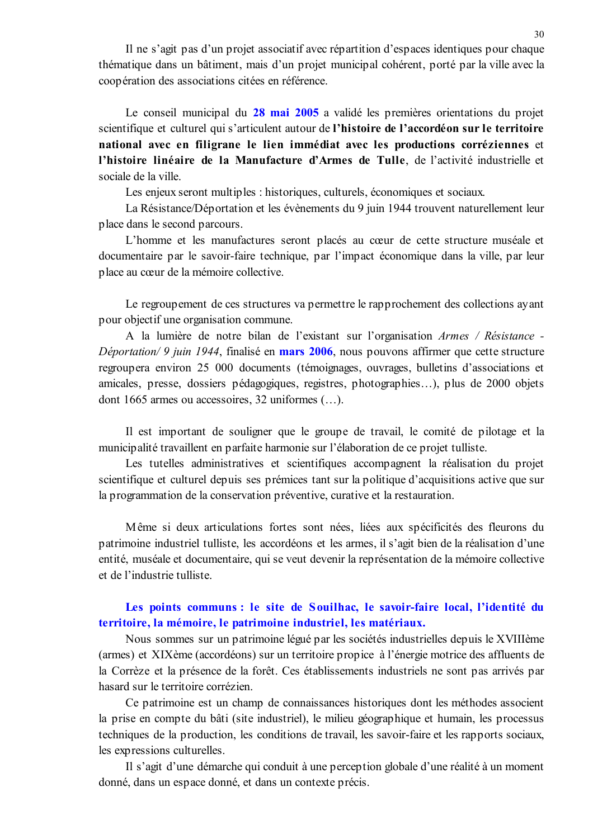Il ne s'agit pas d'un projet associatif avec répartition d'espaces identiques pour chaque thématique dans un bâtiment, mais d'un projet municipal cohérent, porté par la ville avec la coopération des associations citées en référence.

Le conseil municipal du 28 mai 2005 a validé les premières orientations du projet scientifique et culturel qui s'articulent autour de l'histoire de l'accordéon sur le territoire national avec en filigrane le lien immédiat avec les productions corréziennes et l'histoire linéaire de la Manufacture d'Armes de Tulle, de l'activité industrielle et sociale de la ville

Les enjeux seront multiples : historiques, culturels, économiques et sociaux.

La Résistance/Déportation et les évènements du 9 juin 1944 trouvent naturellement leur place dans le second parcours.

L'homme et les manufactures seront placés au cœur de cette structure muséale et documentaire par le savoir-faire technique, par l'impact économique dans la ville, par leur place au cœur de la mémoire collective.

Le regroupement de ces structures va permettre le rapprochement des collections ayant pour object if une organisation commune.

A la lumière de notre bilan de l'existant sur l'organisation Armes / Résistance -*Déportation/9 juin 1944*, finalisé en mars 2006, nous pouvons affirmer que cette structure regroupera environ 25 000 documents (témoignages, ouvrages, bulletins d'associations et amicales, presse, dossiers pédagogiques, registres, photographies...), plus de 2000 objets dont 1665 armes ou accessoires, 32 uniformes (...).

Il est important de souligner que le groupe de travail, le comité de pilotage et la municipalité travaillent en parfaite harmonie sur l'élaboration de ce projet tulliste.

Les tutelles administratives et scientifiques accompagnent la réalisation du projet scientifique et culturel depuis ses prémices tant sur la politique d'acquisitions active que sur la programmation de la conservation préventive, curative et la restauration.

Même si deux articulations fortes sont nées, liées aux spécificités des fleurons du patrimoine industriel tulliste, les accordéons et les armes, il s'agit bien de la réalisation d'une entité, muséale et documentaire, qui se veut devenir la représentation de la mémoire collective et de l'industrie tulliste

## Les points communs : le site de Souilhac, le savoir-faire local, l'identité du territoire, la mémoire, le patrimoine industriel, les matériaux.

Nous sommes sur un patrimoine légué par les sociétés industrielles depuis le XVIIIème (armes) et XIXème (accordéons) sur un territoire propice à l'énergie motrice des affluents de la Corrèze et la présence de la forêt. Ces établissements industriels ne sont pas arrivés par hasard sur le territoire corrézien.

Ce patrimoine est un champ de connaissances historiques dont les méthodes associent la prise en compte du bâti (site industriel), le milieu géographique et humain, les processus techniques de la production, les conditions de travail, les savoir-faire et les rapports sociaux, les expressions culturelles.

Il s'agit d'une démarche qui conduit à une perception globale d'une réalité à un moment donné, dans un espace donné, et dans un contexte précis.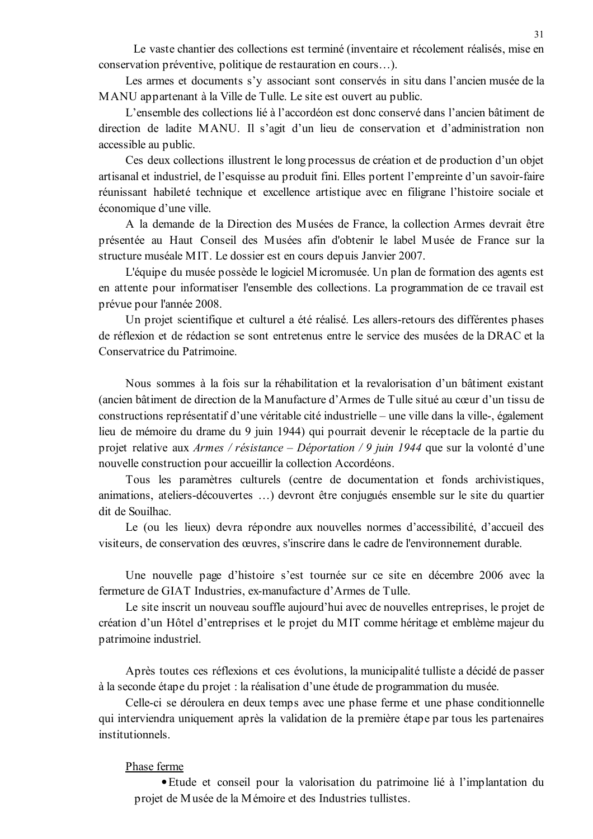Le vaste chantier des collections est terminé (inventaire et récolement réalisés, mise en conservation préventive, politique de restauration en cours...).

Les armes et documents s'y associant sont conservés in situ dans l'ancien musée de la MANU appartenant à la Ville de Tulle. Le site est ouvert au public.

L'ensemble des collections lié à l'accordéon est donc conservé dans l'ancien bâtiment de direction de ladite MANU. Il s'agit d'un lieu de conservation et d'administration non accessible au public.

Ces deux collections illustrent le long processus de création et de production d'un objet artisanal et industriel, de l'esquisse au produit fini. Elles portent l'empreinte d'un savoir-faire réunissant habileté technique et excellence artistique avec en filigrane l'histoire sociale et économique d'une ville.

A la demande de la Direction des Musées de France, la collection Armes devrait être présentée au Haut Conseil des Musées afin d'obtenir le label Musée de France sur la structure muséale MIT. Le dossier est en cours depuis Janvier 2007.

L'équipe du musée possède le logiciel Micromusée. Un plan de formation des agents est en attente pour informatiser l'ensemble des collections. La programmation de ce travail est prévue pour l'année 2008.

Un projet scientifique et culturel a été réalisé. Les allers-retours des différentes phases de réflexion et de rédaction se sont entretenus entre le service des musées de la DRAC et la Conservatrice du Patrimoine.

Nous sommes à la fois sur la réhabilitation et la revalorisation d'un bâtiment existant (ancien bâtiment de direction de la Manufacture d'Armes de Tulle situé au cœur d'un tissu de constructions représentatif d'une véritable cité industrielle – une ville dans la ville-, également lieu de mémoire du drame du 9 juin 1944) qui pourrait devenir le réceptacle de la partie du projet relative aux Armes / résistance – Déportation / 9 juin 1944 que sur la volonté d'une nouvelle construction pour accueillir la collection Accordéons.

Tous les paramètres culturels (centre de documentation et fonds archivistiques, animations, ateliers-découvertes ...) devront être conjugués ensemble sur le site du quartier dit de Souilhac.

Le (ou les lieux) devra répondre aux nouvelles normes d'accessibilité, d'accueil des visiteurs, de conservation des œuvres, s'inscrire dans le cadre de l'environnement durable.

Une nouvelle page d'histoire s'est tournée sur ce site en décembre 2006 avec la fermeture de GIAT Industries, ex-manufacture d'Armes de Tulle.

Le site inscrit un nouveau souffle aujourd'hui avec de nouvelles entreprises, le projet de création d'un Hôtel d'entreprises et le projet du MIT comme héritage et emblème majeur du patrimoine industriel.

Après toutes ces réflexions et ces évolutions, la municipalité tulliste a décidé de passer à la seconde étape du projet : la réalisation d'une étude de programmation du musée.

Celle-ci se déroulera en deux temps avec une phase ferme et une phase conditionnelle qui interviendra uniquement après la validation de la première étape par tous les partenaires institutionnels

### Phase ferme

• Etude et conseil pour la valorisation du patrimoine lié à l'implantation du projet de Musée de la Mémoire et des Industries tullistes.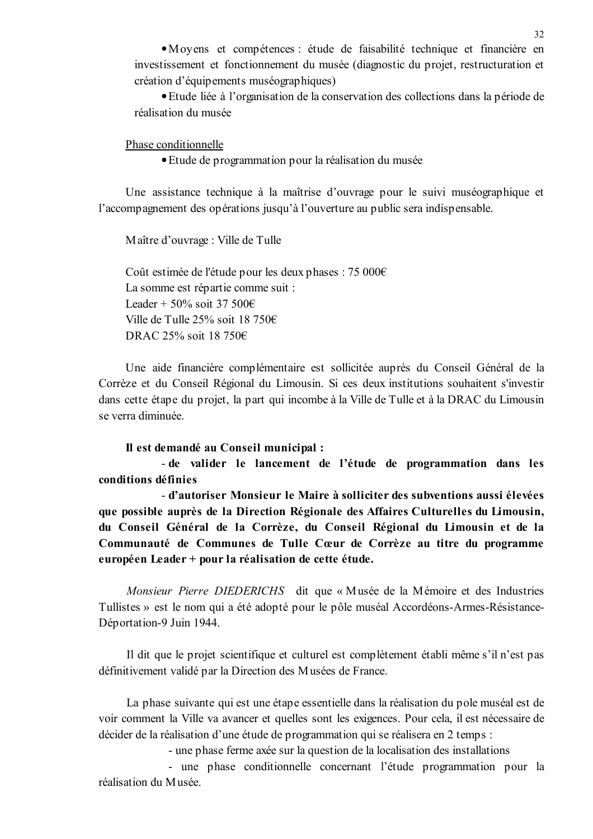• Moyens et compétences : étude de faisabilité technique et financière en investissement et fonctionnement du musée (diagnostic du projet, restructuration et création d'équipements muséographiques)

• Etude liée à l'organisation de la conservation des collections dans la période de réalisation du musée

Phase conditionnelle

• Etude de programmation pour la réalisation du musée

Une assistance technique à la maîtrise d'ouvrage pour le suivi muséographique et l'accompagnement des opérations jusqu'à l'ouverture au public sera indispensable.

Maître d'ouvrage : Ville de Tulle

Coût estimée de l'étude pour les deux phases : 75 000€ La somme est répartie comme suit : Leader + 50% soit 37 500€ Ville de Tulle 25% soit 18 750€ DRAC 25% soit 18 750€

Une aide financière complémentaire est sollicitée auprès du Conseil Général de la Corrèze et du Conseil Régional du Limousin. Si ces deux institutions souhaitent s'investir dans cette étape du projet, la part qui incombe à la Ville de Tulle et à la DRAC du Limousin se verra diminuée.

#### Il est demandé au Conseil municipal :

- de valider le lancement de l'étude de programmation dans les conditions définies

- d'autoriser Monsieur le Maire à solliciter des subventions aussi élevées que possible auprès de la Direction Régionale des Affaires Culturelles du Limousin, du Conseil Général de la Corrèze, du Conseil Régional du Limousin et de la Communauté de Communes de Tulle Cœur de Corrèze au titre du programme européen Leader + pour la réalisation de cette étude.

Monsieur Pierre DIEDERICHS dit que « Musée de la Mémoire et des Industries Tullistes » est le nom qui a été adopté pour le pôle muséal Accordéons-Armes-Résistance-Déportation-9 Juin 1944.

Il dit que le projet scientifique et culturel est complètement établi même s'il n'est pas définitivement validé par la Direction des Musées de France.

La phase suivante qui est une étape essentielle dans la réalisation du pole muséal est de voir comment la Ville va avancer et quelles sont les exigences. Pour cela, il est nécessaire de décider de la réalisation d'une étude de programmation qui se réalisera en 2 temps :

- une phase ferme axée sur la question de la localisation des installations

- une phase conditionnelle concernant l'étude programmation pour la réalisation du Musée.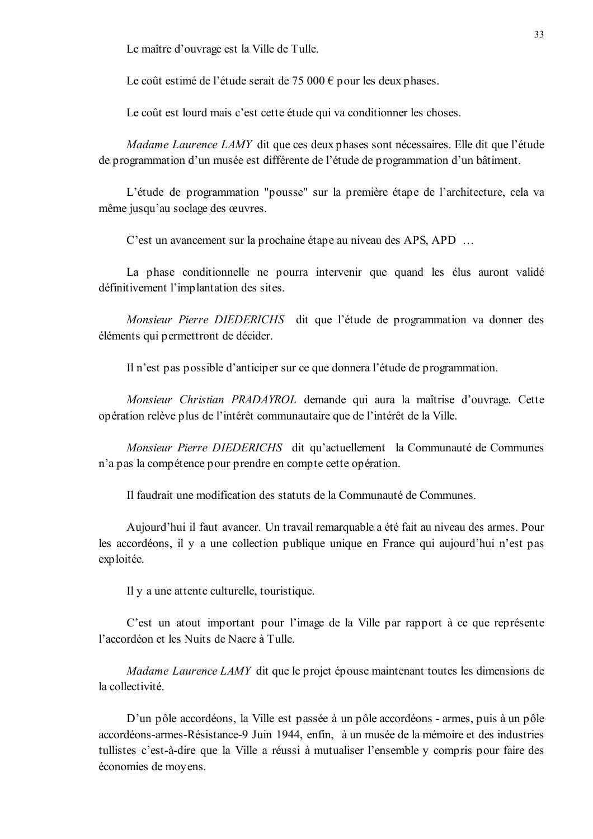Le maître d'ouvrage est la Ville de Tulle.

Le coût estimé de l'étude serait de 75 000  $\epsilon$  pour les deux phases.

Le coût est lourd mais c'est cette étude qui va conditionner les choses.

*Madame Laurence LAMY* dit que ces deux phases sont nécessaires. Elle dit que l'étude de programmation d'un musée est différente de l'étude de programmation d'un bâtiment.

L'étude de programmation "pousse" sur la première étape de l'architecture, cela va même jusqu'au soclage des œuvres.

C'est un avancement sur la prochaine étape au niveau des APS, APD ...

La phase conditionnelle ne pourra intervenir que quand les élus auront validé définitivement l'implantation des sites.

Monsieur Pierre DIEDERICHS dit que l'étude de programmation va donner des éléments qui permettront de décider.

Il n'est pas possible d'anticiper sur ce que donnera l'étude de programmation.

Monsieur Christian PRADAYROL demande qui aura la maîtrise d'ouvrage. Cette opération relève plus de l'intérêt communautaire que de l'intérêt de la Ville.

*Monsieur Pierre DIEDERICHS* dit qu'actuellement la Communauté de Communes n'a pas la compétence pour prendre en compte cette opération.

Il faudrait une modification des statuts de la Communauté de Communes.

Aujourd'hui il faut avancer. Un travail remarquable a été fait au niveau des armes. Pour les accordéons, il y a une collection publique unique en France qui aujourd'hui n'est pas exploitée.

Il y a une attente culturelle, touristique.

C'est un atout important pour l'image de la Ville par rapport à ce que représente l'accordéon et les Nuits de Nacre à Tulle

*Madame Laurence LAMY* dit que le projet épouse maintenant toutes les dimensions de la collectivité

D'un pôle accordéons, la Ville est passée à un pôle accordéons - armes, puis à un pôle accordéons-armes-Résistance-9 Juin 1944, enfin, à un musée de la mémoire et des industries tullistes c'est-à-dire que la Ville a réussi à mutualiser l'ensemble y compris pour faire des économies de moyens.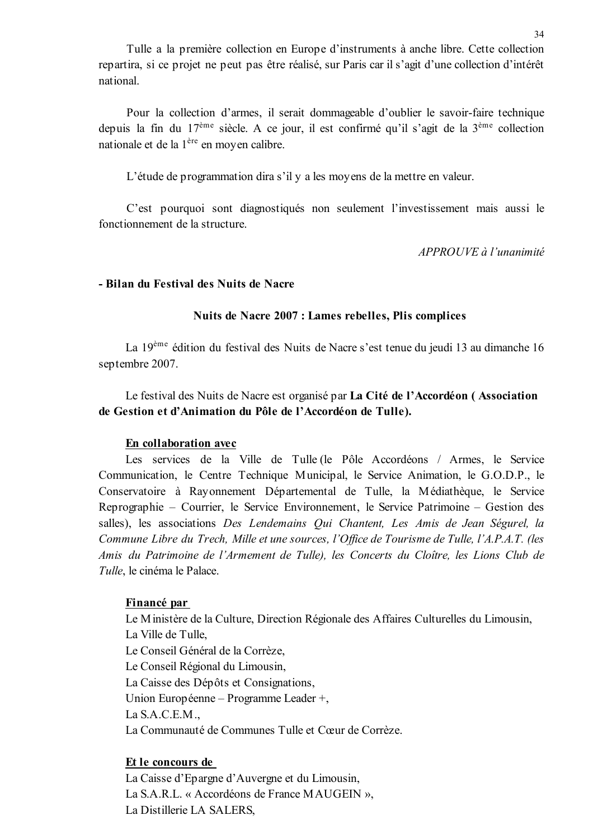Tulle a la première collection en Europe d'instruments à anche libre. Cette collection repartira, si ce projet ne peut pas être réalisé, sur Paris car il s'agit d'une collection d'intérêt national

Pour la collection d'armes, il serait dommageable d'oublier le savoir-faire technique depuis la fin du  $17^{\text{eme}}$  siècle. A ce jour, il est confirmé qu'il s'agit de la  $3^{\text{eme}}$  collection nationale et de la 1<sup>ère</sup> en moyen calibre.

L'étude de programmation dira s'il y a les moyens de la mettre en valeur.

C'est pourquoi sont diagnostiqués non seulement l'investissement mais aussi le fonctionnement de la structure

APPROUVE à l'unanimité

### - Bilan du Festival des Nuits de Nacre

### Nuits de Nacre 2007 : Lames rebelles, Plis complices

La 19<sup>ème</sup> édition du festival des Nuits de Nacre s'est tenue du jeudi 13 au dimanche 16 septembre 2007.

Le festival des Nuits de Nacre est organisé par La Cité de l'Accordéon (Association de Gestion et d'Animation du Pôle de l'Accordéon de Tulle).

### En collaboration avec

Les services de la Ville de Tulle (le Pôle Accordéons / Armes, le Service Communication, le Centre Technique Municipal, le Service Animation, le G.O.D.P., le Conservatoire à Rayonnement Départemental de Tulle, la Médiathèque, le Service Reprographie – Courrier, le Service Environnement, le Service Patrimoine – Gestion des salles), les associations Des Lendemains Qui Chantent, Les Amis de Jean Ségurel, la Commune Libre du Trech, Mille et une sources, l'Office de Tourisme de Tulle, l'A.P.A.T. (les Amis du Patrimoine de l'Armement de Tulle), les Concerts du Cloître, les Lions Club de Tulle, le cinéma le Palace.

#### Financé par

Le Ministère de la Culture, Direction Régionale des Affaires Culturelles du Limousin, La Ville de Tulle. Le Conseil Général de la Corrèze. Le Conseil Régional du Limousin, La Caisse des Dépôts et Consignations. Union Européenne – Programme Leader +, La  $S.A.C.E.M.$ La Communauté de Communes Tulle et Cœur de Corrèze.

### Et le concours de

La Caisse d'Epargne d'Auvergne et du Limousin, La S.A.R.L. « Accordéons de France MAUGEIN ». La Distillerie LA SALERS,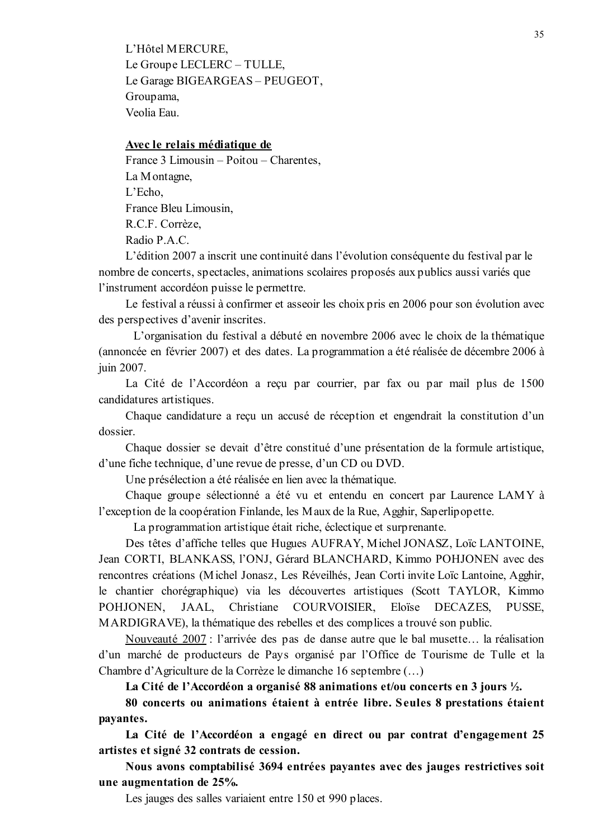L'Hôtel MERCURE, Le Groupe LECLERC - TULLE, Le Garage BIGEARGEAS - PEUGEOT, Groupama, Veolia Eau

#### Avec le relais médiatique de

France 3 Limousin – Poitou – Charentes, La Montagne,  $L'Echo.$ France Bleu Limousin, R.C.F. Corrèze. Radio P.A.C.

L'édition 2007 a inscrit une continuité dans l'évolution conséquente du festival par le nombre de concerts, spectacles, animations scolaires proposés aux publics aussi variés que l'instrument accordéon puisse le permettre.

Le festival a réussi à confirmer et asseoir les choix pris en 2006 pour son évolution avec des perspectives d'avenir inscrites.

L'organisation du festival a débuté en novembre 2006 avec le choix de la thématique (annoncée en février 2007) et des dates. La programmation a été réalisée de décembre 2006 à iuin 2007.

La Cité de l'Accordéon a reçu par courrier, par fax ou par mail plus de 1500 candidatures artistiques.

Chaque candidature a reçu un accusé de réception et engendrait la constitution d'un dossier.

Chaque dossier se devait d'être constitué d'une présentation de la formule artistique, d'une fiche technique, d'une revue de presse, d'un CD ou DVD.

Une présélection a été réalisée en lien avec la thématique.

Chaque groupe sélectionné a été vu et entendu en concert par Laurence LAMY à l'exception de la coopération Finlande, les Maux de la Rue, Agghir, Saperlipopette.

La programmation artistique était riche, éclectique et surprenante.

Des têtes d'affiche telles que Hugues AUFRAY, Michel JONASZ, Loïc LANTOINE, Jean CORTI, BLANKASS, l'ONJ, Gérard BLANCHARD, Kimmo POHJONEN avec des rencontres créations (Michel Jonasz, Les Réveilhés, Jean Corti invite Loïc Lantoine, Agghir, le chantier chorégraphique) via les découvertes artistiques (Scott TAYLOR, Kimmo JAAL. Christiane COURVOISIER. POHJONEN. Eloïse DECAZES. PUSSE. MARDIGRAVE), la thématique des rebelles et des complices a trouvé son public.

Nouveauté 2007 : l'arrivée des pas de danse autre que le bal musette... la réalisation d'un marché de producteurs de Pays organisé par l'Office de Tourisme de Tulle et la Chambre d'Agriculture de la Corrèze le dimanche 16 septembre (...)

La Cité de l'Accordéon a organisé 88 animations et/ou concerts en 3 jours 1/2.

80 concerts ou animations étaient à entrée libre. Seules 8 prestations étaient payantes.

La Cité de l'Accordéon a engagé en direct ou par contrat d'engagement 25 artistes et signé 32 contrats de cession.

Nous avons comptabilisé 3694 entrées payantes avec des jauges restrictives soit une augmentation de 25%.

Les jauges des salles variaient entre 150 et 990 places.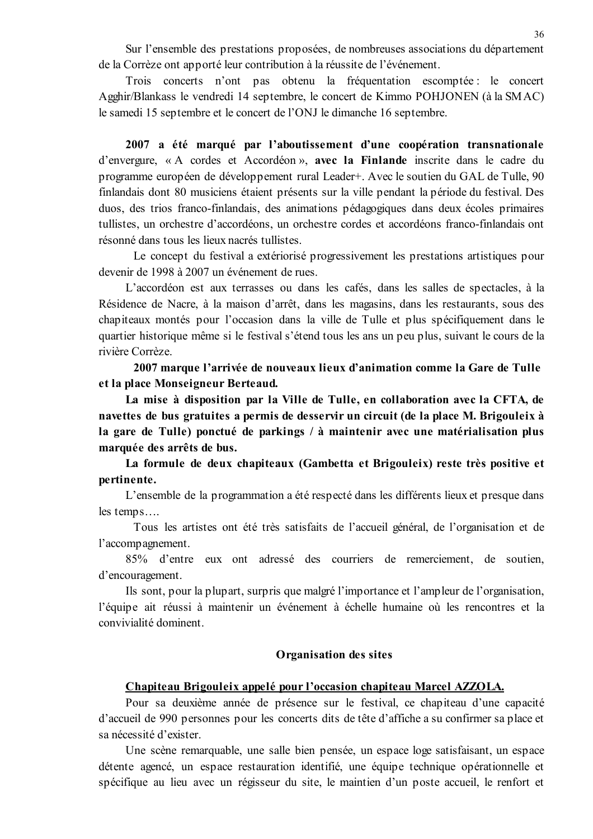Sur l'ensemble des prestations proposées, de nombreuses associations du département de la Corrèze ont apporté leur contribution à la réussite de l'événement.

Trois concerts n'ont pas obtenu la fréquentation escomptée : le concert Agghir/Blankass le vendredi 14 septembre, le concert de Kimmo POHJONEN (à la SMAC) le samedi 15 septembre et le concert de l'ONJ le dimanche 16 septembre.

2007 a été marqué par l'aboutissement d'une coopération transnationale d'envergure, « A cordes et Accordéon », avec la Finlande inscrite dans le cadre du programme européen de développement rural Leader+. Avec le soutien du GAL de Tulle, 90 finlandais dont 80 musiciens étaient présents sur la ville pendant la période du festival. Des duos, des trios franco-finlandais, des animations pédagogiques dans deux écoles primaires tullistes, un orchestre d'accordéons, un orchestre cordes et accordéons franco-finlandais ont résonné dans tous les lieux nacrés tullistes.

Le concept du festival a extériorisé progressivement les prestations artistiques pour devenir de 1998 à 2007 un événement de rues.

L'accordéon est aux terrasses ou dans les cafés, dans les salles de spectacles, à la Résidence de Nacre, à la maison d'arrêt, dans les magasins, dans les restaurants, sous des chapiteaux montés pour l'occasion dans la ville de Tulle et plus spécifiquement dans le quartier historique même si le festival s'étend tous les ans un peu plus, suivant le cours de la rivière Corrèze.

2007 marque l'arrivée de nouveaux lieux d'animation comme la Gare de Tulle et la place Monseigneur Berteaud.

La mise à disposition par la Ville de Tulle, en collaboration avec la CFTA, de navettes de bus gratuites a permis de desservir un circuit (de la place M. Brigouleix à la gare de Tulle) ponctué de parkings / à maintenir avec une matérialisation plus marquée des arrêts de bus.

La formule de deux chapiteaux (Gambetta et Brigouleix) reste très positive et pertinente.

L'ensemble de la programmation a été respecté dans les différents lieux et presque dans  $les$  temps....

Tous les artistes ont été très satisfaits de l'accueil général, de l'organisation et de l'accompagnement.

85% d'entre eux ont adressé des courriers de remerciement, de soutien, d'encouragement.

Ils sont, pour la plupart, surpris que malgré l'importance et l'ampleur de l'organisation, l'équipe ait réussi à maintenir un événement à échelle humaine où les rencontres et la convivialité dominent.

#### **Organisation des sites**

### Chapiteau Brigouleix appelé pour l'occasion chapiteau Marcel AZZOLA.

Pour sa deuxième année de présence sur le festival, ce chapiteau d'une capacité d'accueil de 990 personnes pour les concerts dits de tête d'affiche a su confirmer sa place et sa nécessité d'exister

Une scène remarquable, une salle bien pensée, un espace loge satisfaisant, un espace détente agencé, un espace restauration identifié, une équipe technique opérationnelle et spécifique au lieu avec un régisseur du site, le maintien d'un poste accueil, le renfort et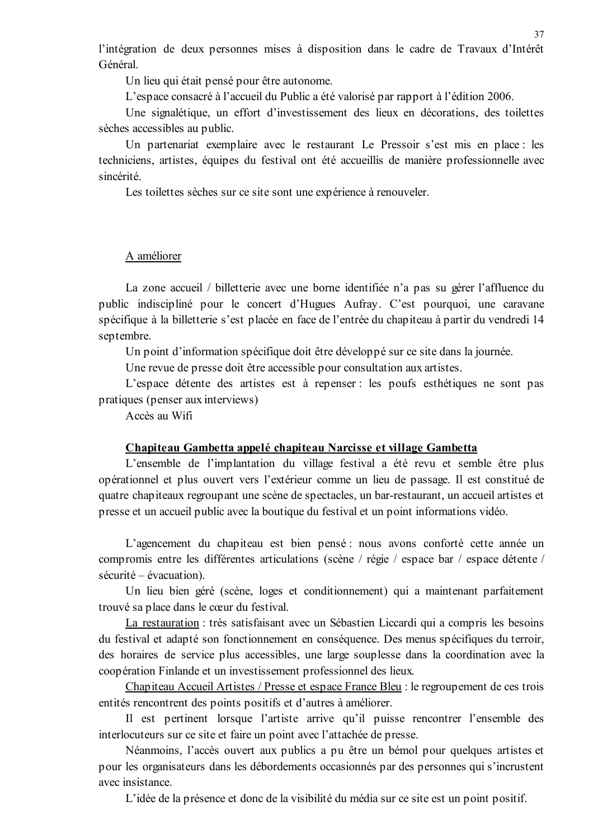l'intégration de deux personnes mises à disposition dans le cadre de Travaux d'Intérêt Général

Un lieu qui était pensé pour être autonome.

L'espace consacré à l'accueil du Public a été valorisé par rapport à l'édition 2006.

Une signalétique, un effort d'investissement des lieux en décorations, des toilettes sèches accessibles au public.

Un partenariat exemplaire avec le restaurant Le Pressoir s'est mis en place : les techniciens, artistes, équipes du festival ont été accueillis de manière professionnelle avec sincérité

Les toilettes sèches sur ce site sont une expérience à renouveler.

## A améliorer

La zone accueil / billetterie avec une borne identifiée n'a pas su gérer l'affluence du public indiscipliné pour le concert d'Hugues Aufray. C'est pourquoi, une caravane spécifique à la billetterie s'est placée en face de l'entrée du chapiteau à partir du vendredi 14 septembre.

Un point d'information spécifique doit être développé sur ce site dans la journée.

Une revue de presse doit être accessible pour consultation aux artistes.

L'espace détente des artistes est à repenser : les poufs esthétiques ne sont pas pratiques (penser aux interviews)

Accès au Wifi

#### Chapiteau Gambetta appelé chapiteau Narcisse et village Gambetta

L'ensemble de l'implantation du village festival a été revu et semble être plus opérationnel et plus ouvert vers l'extérieur comme un lieu de passage. Il est constitué de quatre chapiteaux regroupant une scène de spectacles, un bar-restaurant, un accueil artistes et presse et un accueil public avec la boutique du festival et un point informations vidéo.

L'agencement du chapiteau est bien pensé : nous avons conforté cette année un compromis entre les différentes articulations (scène / régie / espace bar / espace détente /  $s$ écurité – évacuation).

Un lieu bien géré (scène, loges et conditionnement) qui a maintenant parfaitement trouvé sa place dans le cœur du festival.

La restauration : très satisfaisant avec un Sébastien Liccardi qui a compris les besoins du festival et adapté son fonctionnement en conséquence. Des menus spécifiques du terroir, des horaires de service plus accessibles, une large souplesse dans la coordination avec la coopération Finlande et un investissement professionnel des lieux.

Chapiteau Accueil Artistes / Presse et espace France Bleu : le regroupement de ces trois entités rencontrent des points positifs et d'autres à améliorer.

Il est pertinent lorsque l'artiste arrive qu'il puisse rencontrer l'ensemble des interlocuteurs sur ce site et faire un point avec l'attachée de presse.

Néanmoins, l'accès ouvert aux publics a pu être un bémol pour quelques artistes et pour les organisateurs dans les débordements occasionnés par des personnes qui s'incrustent avec insistance.

L'idée de la présence et donc de la visibilité du média sur ce site est un point positif.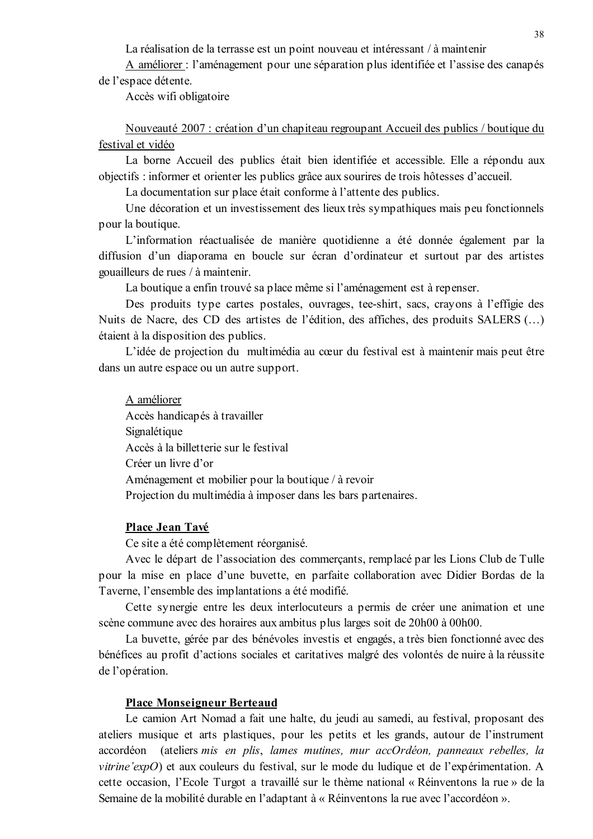La réalisation de la terrasse est un point nouveau et intéressant / à maintenir

A améliorer : l'aménagement pour une séparation plus identifiée et l'assise des canapés de l'espace détente.

Accès wifi obligatoire

Nouveauté 2007 : création d'un chapiteau regroupant Accueil des publics / boutique du festival et vidéo

La borne Accueil des publics était bien identifiée et accessible. Elle a répondu aux objectifs : informer et orienter les publics grâce aux sourires de trois hôtesses d'accueil.

La documentation sur place était conforme à l'attente des publics.

Une décoration et un investissement des lieux très sympathiques mais peu fonctionnels pour la boutique.

L'information réactualisée de manière quotidienne a été donnée également par la diffusion d'un diaporama en boucle sur écran d'ordinateur et surtout par des artistes gouailleurs de rues / à maintenir.

La boutique a enfin trouvé sa place même si l'aménagement est à repenser.

Des produits type cartes postales, ouvrages, tee-shirt, sacs, crayons à l'effigie des Nuits de Nacre, des CD des artistes de l'édition, des affiches, des produits SALERS (...) étaient à la disposition des publics.

L'idée de projection du multimédia au cœur du festival est à maintenir mais peut être dans un autre espace ou un autre support.

A améliorer Accès handicapés à travailler Signalétique Accès à la billetterie sur le festival Créer un livre d'or Aménagement et mobilier pour la boutique / à revoir Projection du multimédia à imposer dans les bars partenaires.

#### Place Jean Tavé

Ce site a été complètement réorganisé.

Avec le départ de l'association des commerçants, remplacé par les Lions Club de Tulle pour la mise en place d'une buvette, en parfaite collaboration avec Didier Bordas de la Taverne, l'ensemble des implantations a été modifié.

Cette synergie entre les deux interlocuteurs a permis de créer une animation et une scène commune avec des horaires aux ambitus plus larges soit de 20h00 à 00h00.

La buvette, gérée par des bénévoles investis et engagés, a très bien fonctionné avec des bénéfices au profit d'actions sociales et caritatives malgré des volontés de nuire à la réussite de l'opération.

#### **Place Monseigneur Berteaud**

Le camion Art Nomad a fait une halte, du jeudi au samedi, au festival, proposant des ateliers musique et arts plastiques, pour les petits et les grands, autour de l'instrument accordéon (ateliers mis en plis, lames mutines, mur accOrdéon, panneaux rebelles, la vitrine'expO) et aux couleurs du festival, sur le mode du ludique et de l'expérimentation. A cette occasion, l'Ecole Turgot a travaillé sur le thème national « Réinventons la rue » de la Semaine de la mobilité durable en l'adaptant à « Réinventons la rue avec l'accordéon ».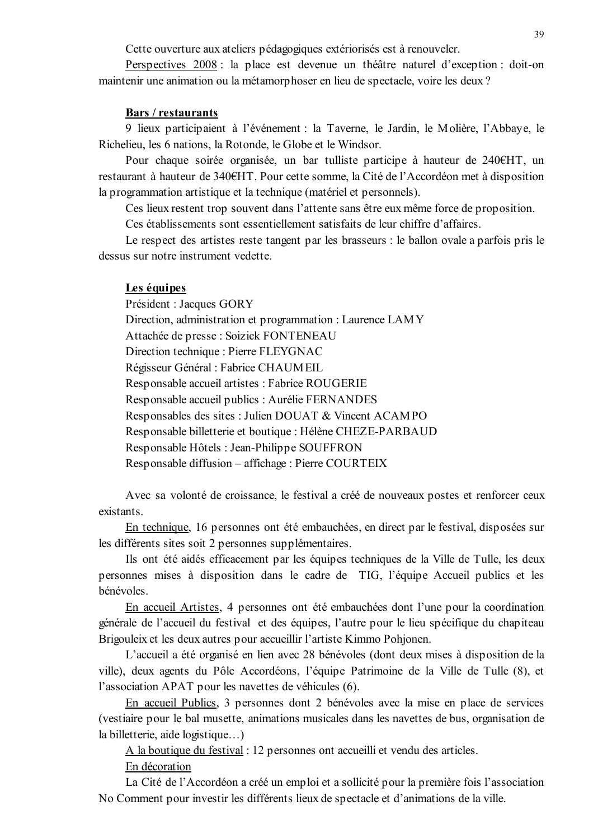Cette ouverture aux ateliers pédagogiques extériorisés est à renouveler.

Perspectives 2008 : la place est devenue un théâtre naturel d'exception : doit-on maintenir une animation ou la métamorphoser en lieu de spectacle, voire les deux ?

#### **Bars** / restaurants

9 lieux participaient à l'événement : la Taverne, le Jardin, le Molière, l'Abbaye, le Richelieu, les 6 nations, la Rotonde, le Globe et le Windsor.

Pour chaque soirée organisée, un bar tulliste participe à hauteur de 240€HT, un restaurant à hauteur de 340€HT. Pour cette somme, la Cité de l'Accordéon met à disposition la programmation artistique et la technique (matériel et personnels).

Ces lieux restent trop souvent dans l'attente sans être eux même force de proposition.

Ces établissements sont essentiellement satisfaits de leur chiffre d'affaires.

Le respect des artistes reste tangent par les brasseurs : le ballon ovale a parfois pris le dessus sur notre instrument vedette.

#### Les équipes

Président : Jacques GORY Direction, administration et programmation : Laurence LAMY Attachée de presse : Soizick FONTENEAU Direction technique : Pierre FLEYGNAC Régisseur Général : Fabrice CHAUMEIL Responsable accueil artistes : Fabrice ROUGERIE Responsable accueil publics : Aurélie FERNANDES Responsables des sites : Julien DOUAT & Vincent ACAMPO Responsable billetterie et boutique : Hélène CHEZE-PARBAUD Responsable Hôtels : Jean-Philippe SOUFFRON Responsable diffusion - affichage : Pierre COURTEIX

Avec sa volonté de croissance, le festival a créé de nouveaux postes et renforcer ceux existants

En technique, 16 personnes ont été embauchées, en direct par le festival, disposées sur les différents sites soit 2 personnes supplémentaires.

Ils ont été aidés efficacement par les équipes techniques de la Ville de Tulle, les deux personnes mises à disposition dans le cadre de TIG, l'équipe Accueil publics et les bénévoles.

En accueil Artistes, 4 personnes ont été embauchées dont l'une pour la coordination générale de l'accueil du festival et des équipes, l'autre pour le lieu spécifique du chapiteau Brigouleix et les deux autres pour accueillir l'artiste Kimmo Pohjonen.

L'accueil a été organisé en lien avec 28 bénévoles (dont deux mises à disposition de la ville), deux agents du Pôle Accordéons, l'équipe Patrimoine de la Ville de Tulle (8), et l'association APAT pour les navettes de véhicules (6).

En accueil Publics, 3 personnes dont 2 bénévoles avec la mise en place de services (vestiaire pour le bal musette, animations musicales dans les navettes de bus, organisation de la billetterie, aide logistique...)

A la boutique du festival : 12 personnes ont accueilli et vendu des articles.

En décoration

La Cité de l'Accordéon a créé un emploi et a sollicité pour la première fois l'association No Comment pour investir les différents lieux de spectacle et d'animations de la ville.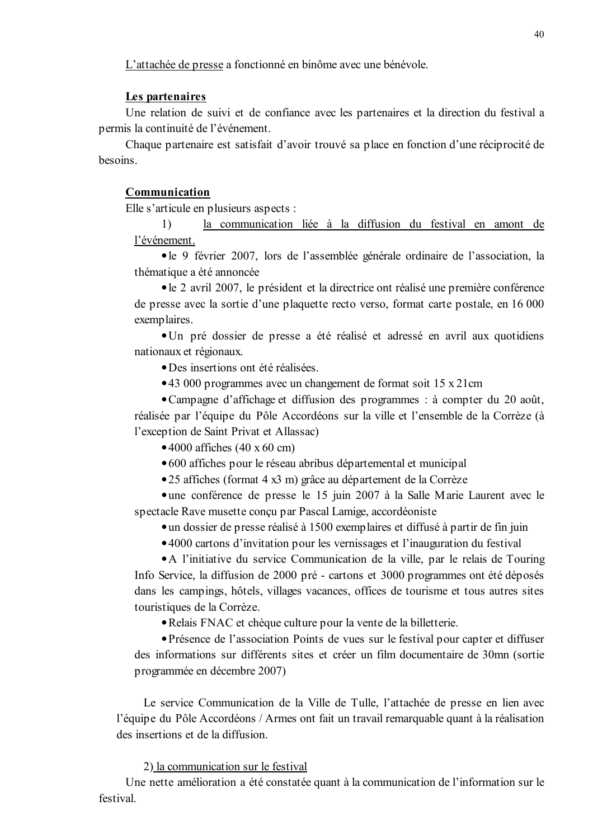L'attachée de presse a fonctionné en binôme avec une bénévole.

#### Les partenaires

Une relation de suivi et de confiance avec les partenaires et la direction du festival a permis la continuité de l'événement.

Chaque partenaire est satisfait d'avoir trouvé sa place en fonction d'une réciprocité de hesoins

#### Communication

Elle s'articule en plusieurs aspects :

 $\overline{1}$ la communication liée à la diffusion du festival en amont de l'événement.

• le 9 février 2007, lors de l'assemblée générale ordinaire de l'association, la thématique a été annoncée

• le 2 avril 2007, le président et la directrice ont réalisé une première conférence de presse avec la sortie d'une plaquette recto verso, format carte postale, en 16 000 exemplaires.

• Un pré dossier de presse a été réalisé et adressé en avril aux quotidiens nationaux et régionaux.

 $\bullet$  Des insertions ont été réalisées

•43 000 programmes avec un changement de format soit 15 x 21cm

• Campagne d'affichage et diffusion des programmes : à compter du 20 août, réalisée par l'équipe du Pôle Accordéons sur la ville et l'ensemble de la Corrèze (à l'exception de Saint Privat et Allassac)

 $\bullet$  4000 affiches (40 x 60 cm)

• 600 affiches pour le réseau abribus départemental et municipal

•25 affiches (format 4 x3 m) grâce au département de la Corrèze

• une conférence de presse le 15 juin 2007 à la Salle Marie Laurent avec le spectacle Rave musette conçu par Pascal Lamige, accordéoniste

• un dossier de presse réalisé à 1500 exemplaires et diffusé à partir de fin juin

•4000 cartons d'invitation pour les vernissages et l'inauguration du festival

• A l'initiative du service Communication de la ville, par le relais de Touring Info Service, la diffusion de 2000 pré - cartons et 3000 programmes ont été déposés dans les campings, hôtels, villages vacances, offices de tourisme et tous autres sites touristiques de la Corrèze.

• Relais FNAC et chèque culture pour la vente de la billetterie.

• Présence de l'association Points de vues sur le festival pour capter et diffuser des informations sur différents sites et créer un film documentaire de 30mn (sortie programmée en décembre 2007)

Le service Communication de la Ville de Tulle, l'attachée de presse en lien avec l'équipe du Pôle Accordéons / Armes ont fait un travail remarquable quant à la réalisation des insertions et de la diffusion

2) la communication sur le festival

Une nette amélioration a été constatée quant à la communication de l'information sur le festival.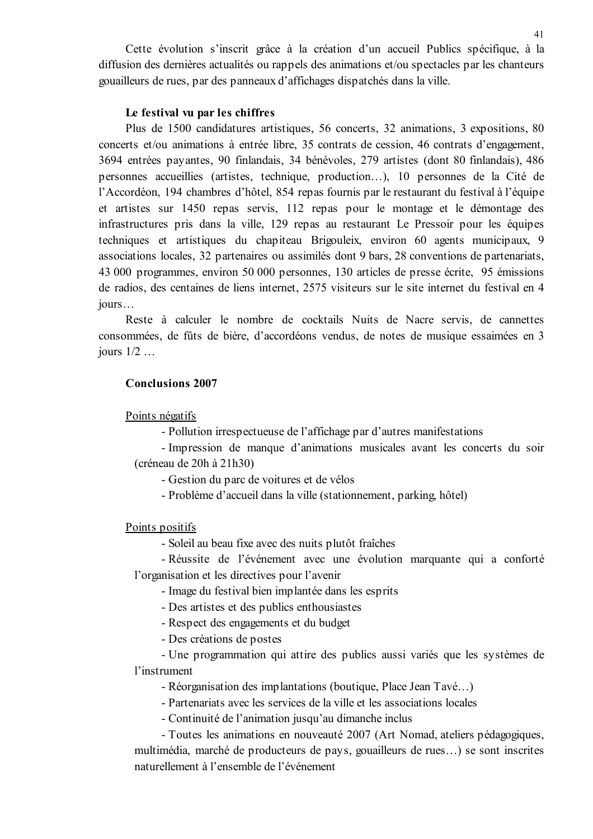Cette évolution s'inscrit grâce à la création d'un accueil Publics spécifique, à la diffusion des dernières actualités ou rappels des animations et/ou spectacles par les chanteurs gouailleurs de rues, par des panneaux d'affichages dispatchés dans la ville.

#### Le festival vu par les chiffres

Plus de 1500 candidatures artistiques, 56 concerts, 32 animations, 3 expositions, 80 concerts et/ou animations à entrée libre, 35 contrats de cession, 46 contrats d'engagement, 3694 entrées payantes, 90 finlandais, 34 bénévoles, 279 artistes (dont 80 finlandais), 486 personnes accueillies (artistes, technique, production...), 10 personnes de la Cité de l'Accordéon, 194 chambres d'hôtel, 854 repas fournis par le restaurant du festival à l'équipe et artistes sur 1450 repas servis, 112 repas pour le montage et le démontage des infrastructures pris dans la ville, 129 repas au restaurant Le Pressoir pour les équipes techniques et artistiques du chapiteau Brigouleix, environ 60 agents municipaux, 9 associations locales, 32 partenaires ou assimilés dont 9 bars, 28 conventions de partenariats, 43 000 programmes, environ 50 000 personnes, 130 articles de presse écrite, 95 émissions de radios, des centaines de liens internet, 2575 visiteurs sur le site internet du festival en 4  $jours...$ 

Reste à calculer le nombre de cocktails Nuits de Nacre servis, de cannettes consommées, de fûts de bière, d'accordéons vendus, de notes de musique essaimées en 3 jours  $1/2$  ...

#### **Conclusions 2007**

Points négatifs

- Pollution irrespectueuse de l'affichage par d'autres manifestations

- Impression de manque d'animations musicales avant les concerts du soir (créneau de 20h à 21h30)

- Gestion du parc de voitures et de vélos

- Problème d'accueil dans la ville (stationnement, parking, hôtel)

Points positifs

- Soleil au beau fixe avec des nuits plutôt fraîches

- Réussite de l'événement avec une évolution marquante qui a conforté l'organisation et les directives pour l'avenir

- Image du festival bien implantée dans les esprits

- Des artistes et des publics enthousiastes

- Respect des engagements et du budget

- Des créations de postes

- Une programmation qui attire des publics aussi variés que les systèmes de l'instrument

- Réorganisation des implantations (boutique, Place Jean Tavé...)

- Partenariats avec les services de la ville et les associations locales

- Continuité de l'animation jusqu'au dimanche inclus

- Toutes les animations en nouveauté 2007 (Art Nomad, ateliers pédagogiques, multimédia, marché de producteurs de pays, gouailleurs de rues...) se sont inscrites naturellement à l'ensemble de l'événement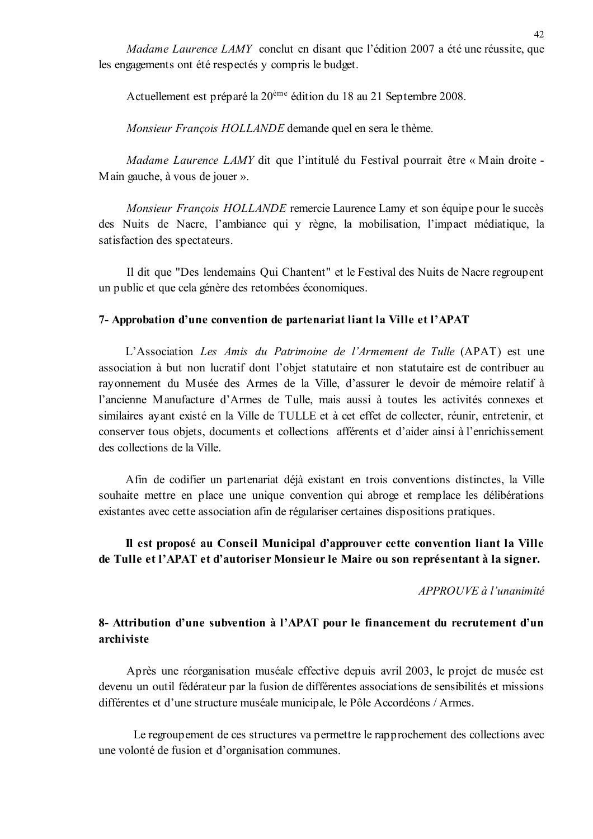Madame Laurence LAMY conclut en disant que l'édition 2007 a été une réussite, que les engagements ont été respectés y compris le budget.

Actuellement est préparé la 20<sup>ème</sup> édition du 18 au 21 Septembre 2008.

Monsieur Francois HOLLANDE demande quel en sera le thème.

Madame Laurence LAMY dit que l'intitulé du Festival pourrait être « Main droite -Main gauche, à vous de jouer ».

Monsieur François HOLLANDE remercie Laurence Lamy et son équipe pour le succès des Nuits de Nacre, l'ambiance qui y règne, la mobilisation, l'impact médiatique, la satisfaction des spectateurs.

Il dit que "Des lendemains Qui Chantent" et le Festival des Nuits de Nacre regroupent un public et que cela génère des retombées économiques.

#### 7- Approbation d'une convention de partenariat liant la Ville et l'APAT

L'Association Les Amis du Patrimoine de l'Armement de Tulle (APAT) est une association à but non lucratif dont l'objet statutaire et non statutaire est de contribuer au rayonnement du Musée des Armes de la Ville, d'assurer le devoir de mémoire relatif à l'ancienne Manufacture d'Armes de Tulle, mais aussi à toutes les activités connexes et similaires ayant existé en la Ville de TULLE et à cet effet de collecter, réunir, entretenir, et conserver tous objets, documents et collections afférents et d'aider ainsi à l'enrichissement des collections de la Ville

Afin de codifier un partenariat déjà existant en trois conventions distinctes, la Ville souhaite mettre en place une unique convention qui abroge et remplace les délibérations existantes avec cette association afin de régulariser certaines dispositions pratiques.

# Il est proposé au Conseil Municipal d'approuver cette convention liant la Ville de Tulle et l'APAT et d'autoriser Monsieur le Maire ou son représentant à la signer.

#### $APPROIIVE$  à l'unanimité

## 8- Attribution d'une subvention à l'APAT pour le financement du recrutement d'un archiviste

Après une réorganisation muséale effective depuis avril 2003, le projet de musée est devenu un outil fédérateur par la fusion de différentes associations de sensibilités et missions différentes et d'une structure muséale municipale, le Pôle Accordéons / Armes.

Le regroupement de ces structures va permettre le rapprochement des collections avec une volonté de fusion et d'organisation communes.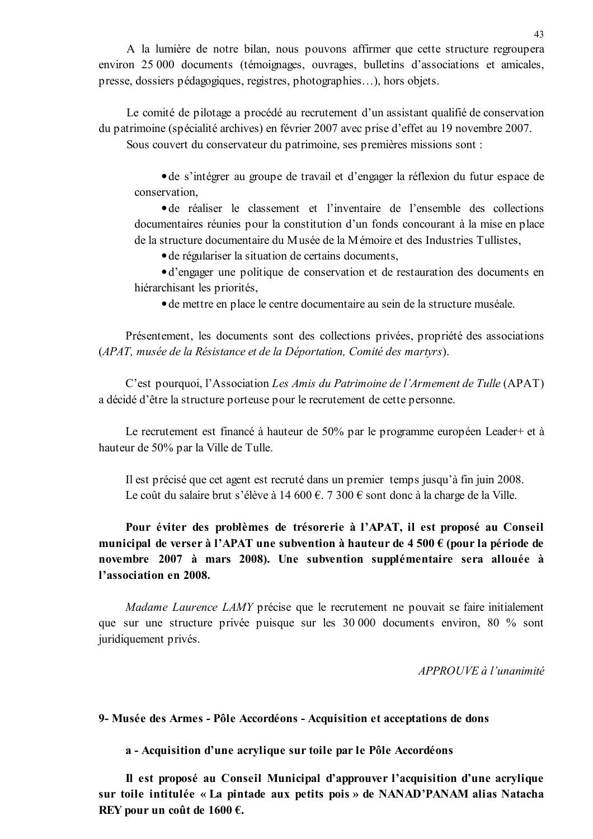A la lumière de notre bilan, nous pouvons affirmer que cette structure regroupera environ 25 000 documents (témoignages, ouvrages, bulletins d'associations et amicales, presse, dossiers pédagogiques, registres, photographies...), hors objets.

Le comité de pilotage a procédé au recrutement d'un assistant qualifié de conservation du patrimoine (spécialité archives) en février 2007 avec prise d'effet au 19 novembre 2007. Sous couvert du conservateur du patrimoine, ses premières missions sont :

• de s'intégrer au groupe de travail et d'engager la réflexion du futur espace de conservation,

• de réaliser le classement et l'inventaire de l'ensemble des collections documentaires réunies pour la constitution d'un fonds concourant à la mise en place de la structure documentaire du Musée de la Mémoire et des Industries Tullistes,

• de régulariser la situation de certains documents,

• d'engager une politique de conservation et de restauration des documents en hiérarchisant les priorités,

• de mettre en place le centre documentaire au sein de la structure muséale.

Présentement, les documents sont des collections privées, propriété des associations (APAT, musée de la Résistance et de la Déportation, Comité des martyrs).

C'est pourquoi, l'Association Les Amis du Patrimoine de l'Armement de Tulle (APAT) a décidé d'être la structure porteuse pour le recrutement de cette personne.

Le recrutement est financé à hauteur de 50% par le programme européen Leader+ et à hauteur de 50% par la Ville de Tulle.

Il est précisé que cet agent est recruté dans un premier temps jusqu'à fin juin 2008. Le coût du salaire brut s'élève à 14 600 €. 7 300 € sont donc à la charge de la Ville.

Pour éviter des problèmes de trésorerie à l'APAT, il est proposé au Conseil municipal de verser à l'APAT une subvention à hauteur de 4 500  $\epsilon$  (pour la période de novembre 2007 à mars 2008). Une subvention supplémentaire sera allouée à l'association en 2008.

Madame Laurence LAMY précise que le recrutement ne pouvait se faire initialement que sur une structure privée puisque sur les 30 000 documents environ, 80 % sont juridiquement privés.

APPROUVE à l'unanimité

9- Musée des Armes - Pôle Accordéons - Acquisition et acceptations de dons

a - Acquisition d'une acrylique sur toile par le Pôle Accordéons

Il est proposé au Conseil Municipal d'approuver l'acquisition d'une acrylique sur toile intitulée « La pintade aux petits pois » de NANAD'PANAM alias Natacha REY pour un coût de 1600 €.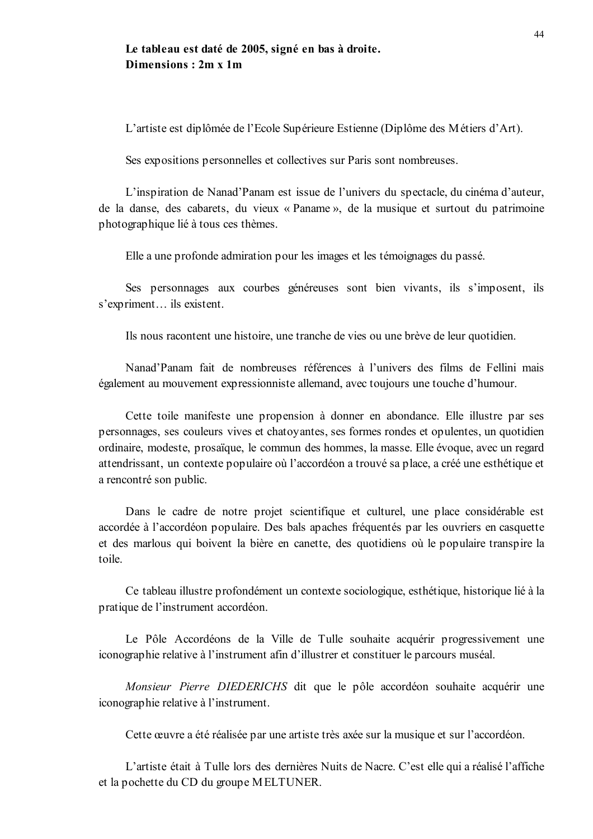# Le tableau est daté de 2005, signé en bas à droite. Dimensions: 2m x 1m

L'artiste est diplômée de l'Ecole Supérieure Estienne (Diplôme des Métiers d'Art).

Ses expositions personnelles et collectives sur Paris sont nombreuses.

L'inspiration de Nanad'Panam est issue de l'univers du spectacle, du cinéma d'auteur, de la danse, des cabarets, du vieux « Paname », de la musique et surtout du patrimoine photographique lié à tous ces thèmes.

Elle a une profonde admiration pour les images et les témoignages du passé.

Ses personnages aux courbes généreuses sont bien vivants, ils s'imposent, ils s'expriment... ils existent.

Ils nous racontent une histoire, une tranche de vies ou une brève de leur quotidien.

Nanad'Panam fait de nombreuses références à l'univers des films de Fellini mais également au mouvement expressionniste allemand, avec toujours une touche d'humour.

Cette toile manifeste une propension à donner en abondance. Elle illustre par ses personnages, ses couleurs vives et chatovantes, ses formes rondes et opulentes, un quotidien ordinaire, modeste, prosaïque, le commun des hommes, la masse. Elle évoque, avec un regard attendrissant, un contexte populaire où l'accordéon a trouvé sa place, a créé une esthétique et a rencontré son public.

Dans le cadre de notre projet scientifique et culturel, une place considérable est accordée à l'accordéon populaire. Des bals apaches fréquentés par les ouvriers en casquette et des marlous qui boivent la bière en canette, des quotidiens où le populaire transpire la toile.

Ce tableau illustre profondément un contexte sociologique, esthétique, historique lié à la pratique de l'instrument accordéon.

Le Pôle Accordéons de la Ville de Tulle souhaite acquérir progressivement une iconographie relative à l'instrument afin d'illustrer et constituer le parcours muséal.

Monsieur Pierre DIEDERICHS dit que le pôle accordéon souhaite acquérir une iconographie relative à l'instrument.

Cette œuvre a été réalisée par une artiste très axée sur la musique et sur l'accordéon.

L'artiste était à Tulle lors des dernières Nuits de Nacre. C'est elle qui a réalisé l'affiche et la pochette du CD du groupe MELTUNER.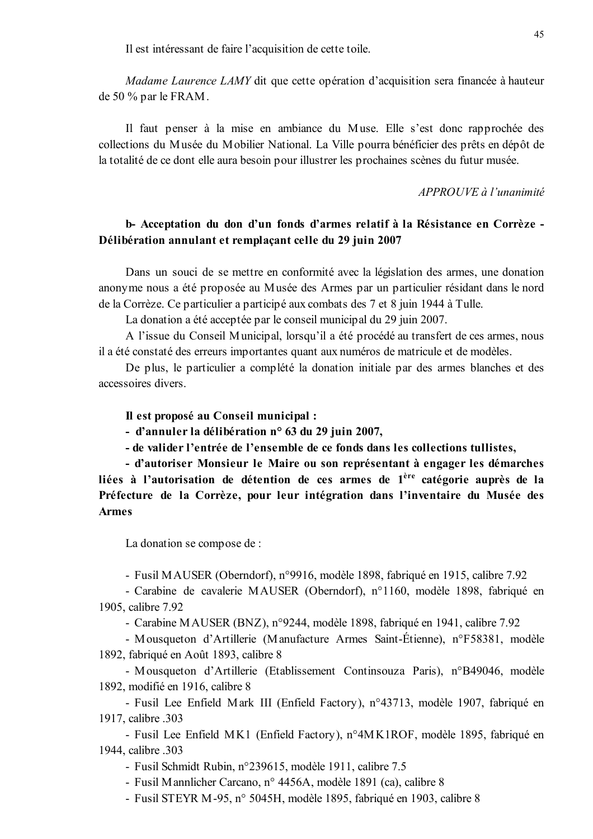Il est intéressant de faire l'acquisition de cette toile.

*Madame Laurence LAMY* dit que cette opération d'acquisition sera financée à hauteur de 50 % par le  $FRAM$ .

Il faut penser à la mise en ambiance du Muse. Elle s'est donc rapprochée des collections du Musée du Mobilier National. La Ville pourra bénéficier des prêts en dépôt de la totalité de ce dont elle aura besoin pour illustrer les prochaines scènes du futur musée.

#### APPROUVE à l'unanimité

# b- Acceptation du don d'un fonds d'armes relatif à la Résistance en Corrèze -Délibération annulant et remplaçant celle du 29 juin 2007

Dans un souci de se mettre en conformité avec la législation des armes, une donation anonyme nous a été proposée au Musée des Armes par un particulier résidant dans le nord de la Corrèze. Ce particulier a participé aux combats des 7 et 8 juin 1944 à Tulle.

La donation a été acceptée par le conseil municipal du 29 juin 2007.

A l'issue du Conseil Municipal, lorsqu'il a été procédé au transfert de ces armes, nous il a été constaté des erreurs importantes quant aux numéros de matricule et de modèles.

De plus, le particulier a complété la donation initiale par des armes blanches et des accessoires divers.

#### Il est proposé au Conseil municipal :

- d'annuler la délibération n° 63 du 29 juin 2007,

- de valider l'entrée de l'ensemble de ce fonds dans les collections tullistes,

- d'autoriser Monsieur le Maire ou son représentant à engager les démarches liées à l'autorisation de détention de ces armes de 1<sup>ère</sup> catégorie auprès de la Préfecture de la Corrèze, pour leur intégration dans l'inventaire du Musée des **Armes** 

La donation se compose de :

- Fusil MAUSER (Oberndorf), n°9916, modèle 1898, fabriqué en 1915, calibre 7.92

- Carabine de cavalerie MAUSER (Oberndorf), n°1160, modèle 1898, fabriqué en 1905, calibre 7.92

- Carabine MAUSER (BNZ), n°9244, modèle 1898, fabriqué en 1941, calibre 7.92

- Mousqueton d'Artillerie (Manufacture Armes Saint-Étienne), n°F58381, modèle 1892, fabriqué en Août 1893, calibre 8

- Mousqueton d'Artillerie (Etablissement Continsouza Paris), n°B49046, modèle 1892, modifié en 1916, calibre 8

- Fusil Lee Enfield Mark III (Enfield Factory), n°43713, modèle 1907, fabriqué en 1917, calibre .303

- Fusil Lee Enfield MK1 (Enfield Factory), n°4MK1ROF, modèle 1895, fabriqué en 1944. calibre .303

- Fusil Schmidt Rubin, n°239615, modèle 1911, calibre 7.5

- Fusil Mannlicher Carcano, nº 4456A, modèle 1891 (ca), calibre 8

- Fusil STEYR M-95, n° 5045H, modèle 1895, fabriqué en 1903, calibre 8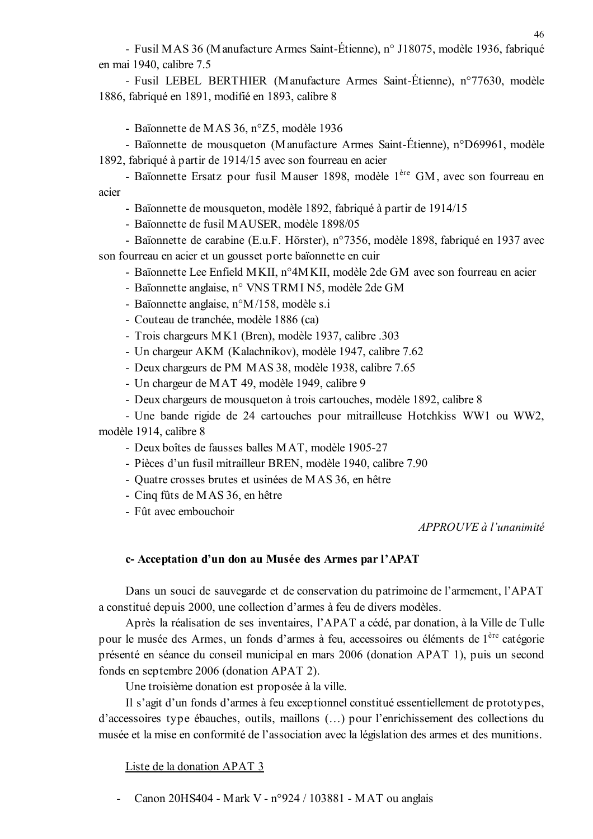- Fusil MAS 36 (Manufacture Armes Saint-Étienne), n° J18075, modèle 1936, fabriqué en mai 1940, calibre 7.5

- Fusil LEBEL BERTHIER (Manufacture Armes Saint-Étienne), n°77630, modèle 1886, fabriqué en 1891, modifié en 1893, calibre 8

- Baïonnette de MAS 36, n°Z5, modèle 1936

- Baïonnette de mousqueton (Manufacture Armes Saint-Étienne), n°D69961, modèle 1892, fabriqué à partir de 1914/15 avec son fourreau en acier

- Baïonnette Ersatz pour fusil Mauser 1898, modèle 1<sup>ère</sup> GM, avec son fourreau en acier

- Baïonnette de mousqueton, modèle 1892, fabriqué à partir de 1914/15

- Baïonnette de fusil MAUSER, modèle 1898/05

- Baïonnette de carabine (E.u.F. Hörster), n°7356, modèle 1898, fabriqué en 1937 avec son fourreau en acier et un gousset porte baïonnette en cuir

- Baïonnette Lee Enfield MKII, n°4MKII, modèle 2de GM avec son fourreau en acier
- Baïonnette anglaise, n° VNS TRM I N5, modèle 2de GM
- Baïonnette anglaise,  $n^{\circ}M/158$ , modèle s.i
- Couteau de tranchée, modèle 1886 (ca)
- Trois chargeurs MK1 (Bren), modèle 1937, calibre .303
- Un chargeur AKM (Kalachnikov), modèle 1947, calibre 7.62
- Deux chargeurs de PM MAS 38, modèle 1938, calibre 7.65
- Un chargeur de MAT 49, modèle 1949, calibre 9
- Deux chargeurs de mousqueton à trois cartouches, modèle 1892, calibre 8

- Une bande rigide de 24 cartouches pour mitrailleuse Hotchkiss WW1 ou WW2, modèle 1914, calibre 8

- Deux boîtes de fausses balles MAT, modèle 1905-27
- Pièces d'un fusil mitrailleur BREN, modèle 1940, calibre 7.90
- Quatre crosses brutes et usinées de MAS 36, en hêtre
- Cinq fûts de MAS 36, en hêtre
- Fût avec embouchoir

APPROUVE à l'unanimité

#### c- Acceptation d'un don au Musée des Armes par l'APAT

Dans un souci de sauvegarde et de conservation du patrimoine de l'armement, l'APAT a constitué depuis 2000, une collection d'armes à feu de divers modèles.

Après la réalisation de ses inventaires, l'APAT a cédé, par donation, à la Ville de Tulle pour le musée des Armes, un fonds d'armes à feu, accessoires ou éléments de l<sup>ère</sup> catégorie présenté en séance du conseil municipal en mars 2006 (donation APAT 1), puis un second fonds en septembre 2006 (donation APAT 2).

Une troisième donation est proposée à la ville.

Il s'agit d'un fonds d'armes à feu exceptionnel constitué essentiellement de prototypes, d'accessoires type ébauches, outils, maillons (...) pour l'enrichissement des collections du musée et la mise en conformité de l'association avec la législation des armes et des munitions.

Liste de la donation APAT 3

Canon 20HS404 - Mark V - n°924 / 103881 - MAT ou anglais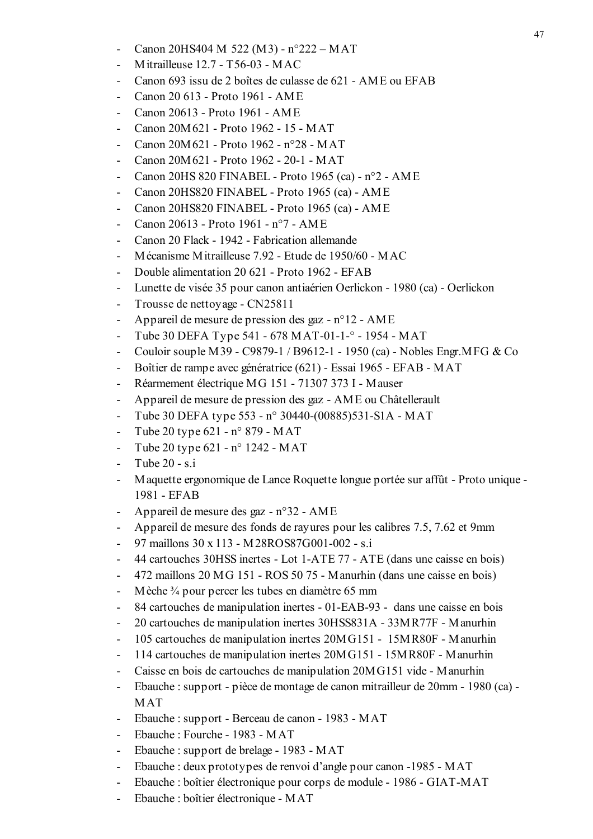- Canon 20HS404 M 522 (M3) n°222 MAT
- Mitrailleuse  $12.7 T56-03 MAC$
- Canon 693 issu de 2 boîtes de culasse de 621 AME ou EFAB
- Canon 20 613 Proto 1961 AME
- Canon 20613 Proto 1961 AME
- Canon 20M 621 Proto 1962 15 MAT
- Canon 20M 621 Proto 1962 n°28 MAT
- Canon 20M621 Proto 1962 20-1 MAT  $\mathbf{r}$
- Canon 20HS 820 FINABEL Proto 1965 (ca) n°2 AME
- Canon 20HS820 FINABEL Proto 1965 (ca) AME
- Canon 20HS820 FINABEL Proto 1965 (ca) AME  $\sim$
- Canon 20613 Proto 1961 n°7 AME
- Canon 20 Flack 1942 Fabrication allemande
- Mécanisme Mitrailleuse 7.92 Etude de 1950/60 MAC
- Double alimentation 20 621 Proto 1962 EFAB
- Lunette de visée 35 pour canon antiaérien Oerlickon 1980 (ca) Oerlickon
- Trousse de nettoyage CN25811  $\sim$
- Appareil de mesure de pression des gaz n°12 AME
- Tube 30 DEFA Type 541 678 MAT-01-1-° 1954 MAT
- Couloir souple M39 C9879-1 / B9612-1 1950 (ca) Nobles Engr.MFG & Co
- Boîtier de rampe avec génératrice (621) Essai 1965 EFAB MAT
- Réarmement électrique MG 151 71307 373 I Mauser
- Appareil de mesure de pression des gaz AME ou Châtellerault
- Tube 30 DEFA type 553 n° 30440-(00885)531-S1A MAT
- Tube 20 type 621 n° 879 MAT  $\sim$
- Tube 20 type 621 n° 1242 MAT
- Tube 20 s.i
- Maquette ergonomique de Lance Roquette longue portée sur affût Proto unique -1981 - EFAB
- Appareil de mesure des gaz n°32 AME
- Appareil de mesure des fonds de rayures pour les calibres 7.5, 7.62 et 9mm
- 97 maillons 30 x 113 M28ROS87G001-002 s.i
- 44 cartouches 30HSS inertes Lot 1-ATE 77 ATE (dans une caisse en bois)
- 472 maillons 20 MG 151 ROS 50 75 Manurhin (dans une caisse en bois)
- Mèche 3/4 pour percer les tubes en diamètre 65 mm
- 84 cartouches de manipulation inertes 01-EAB-93 dans une caisse en bois
- 20 cartouches de manipulation inertes 30HSS831A 33MR77F Manurhin
- 105 cartouches de manipulation inertes 20MG151 15MR80F Manurhin  $\sim$
- 114 cartouches de manipulation inertes 20MG151 15MR80F Manurhin
- Caisse en bois de cartouches de manipulation 20MG151 vide Manurhin
- Ebauche : support pièce de montage de canon mitrailleur de 20mm 1980 (ca) - $\sim$  . **MAT**
- Ebauche : support Berceau de canon 1983 MAT
- Ebauche: Fourche 1983 MAT  $\sim$
- Ebauche: support de brelage 1983 MAT  $\sim$
- Ebauche : deux prototypes de renvoi d'angle pour canon -1985 MAT  $\mathbf{r}$
- Ebauche : boîtier électronique pour corps de module 1986 GIAT-MAT
- Ebauche : boîtier électronique MAT  $\Box$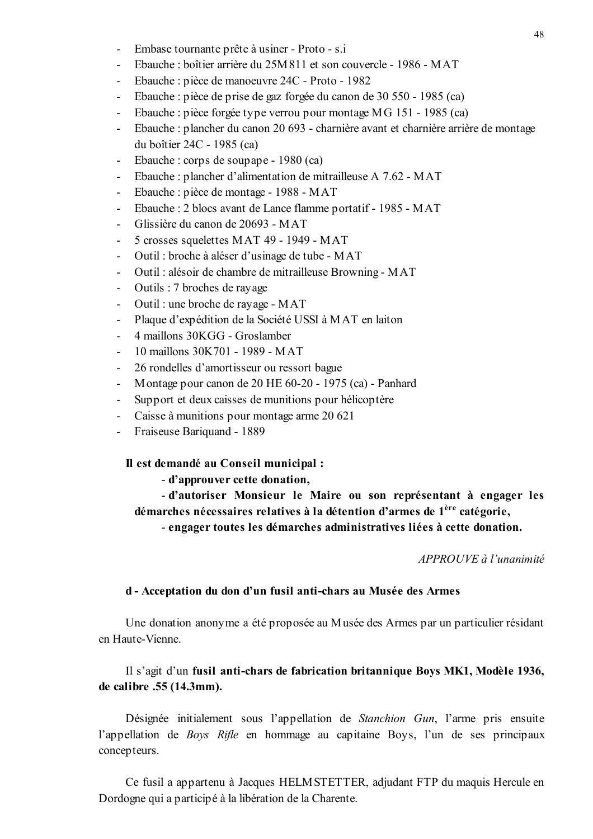- Embase tournante prête à usiner Proto s.i
- Ebauche : boîtier arrière du 25M811 et son couvercle 1986 MAT
- Ebauche : pièce de manoeuvre 24C Proto 1982
- Ebauche : pièce de prise de gaz forgée du canon de 30 550 1985 (ca)  $\sim$
- Ebauche : pièce forgée type verrou pour montage MG 151 1985 (ca)
- Ebauche : plancher du canon 20 693 charnière avant et charnière arrière de montage du boîtier 24C - 1985 (ca)
- Ebauche : corps de soupape 1980 (ca)
- Ebauche : plancher d'alimentation de mitrailleuse A 7.62 MAT
- Ebauche : pièce de montage 1988 MAT
- Ebauche : 2 blocs avant de Lance flamme portatif 1985 MAT  $\sim$
- Glissière du canon de 20693 MAT
- 5 crosses squelettes MAT 49 1949 MAT
- Outil : broche à aléser d'usinage de tube MAT
- Outil : alésoir de chambre de mitrailleuse Browning MAT
- Outils : 7 broches de rayage
- Outil : une broche de rayage MAT  $\sim$
- Plaque d'expédition de la Société USSI à MAT en laiton
- 4 maillons 30KGG Groslamber
- 10 maillons 30K701 1989 MAT
- 26 rondelles d'amortisseur ou ressort bague
- Montage pour canon de 20 HE 60-20 1975 (ca) Panhard  $\Delta \sim 10^4$
- Support et deux caisses de munitions pour hélicoptère
- Caisse à munitions pour montage arme 20 621
- Fraiseuse Bariquand 1889

Il est demandé au Conseil municipal :

- d'approuver cette donation,

- d'autoriser Monsieur le Maire ou son représentant à engager les démarches nécessaires relatives à la détention d'armes de 1<sup>ère</sup> catégorie,

- engager toutes les démarches administratives liées à cette donation.

APPROUVE à l'unanimité

### d - Acceptation du don d'un fusil anti-chars au Musée des Armes

Une donation anonyme a été proposée au Musée des Armes par un particulier résidant en Haute-Vienne

## Il s'agit d'un fusil anti-chars de fabrication britannique Boys MK1, Modèle 1936, de calibre .55 (14.3mm).

Désignée initialement sous l'appellation de *Stanchion Gun*, l'arme pris ensuite l'appellation de *Boys Rifle* en hommage au capitaine Boys, l'un de ses principaux concepteurs.

Ce fusil a appartenu à Jacques HELMSTETTER, adjudant FTP du maquis Hercule en Dordogne qui a participé à la libération de la Charente.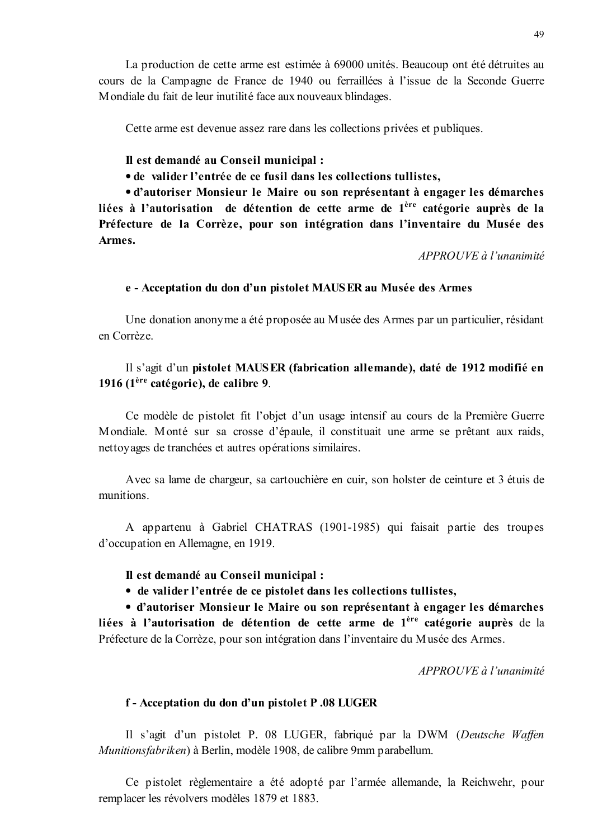Cette arme est devenue assez rare dans les collections privées et publiques.

## Il est demandé au Conseil municipal :

• de valider l'entrée de ce fusil dans les collections tullistes.

· d'autoriser Monsieur le Maire ou son représentant à engager les démarches liées à l'autorisation de détention de cette arme de l<sup>ère</sup> catégorie auprès de la Préfecture de la Corrèze, pour son intégration dans l'inventaire du Musée des Armes.

APPROUVE à l'unanimité

### e - Acceptation du don d'un pistolet MAUSER au Musée des Armes

Une donation anonyme a été proposée au Musée des Armes par un particulier, résidant en Corrèze

# Il s'agit d'un pistolet MAUSER (fabrication allemande), daté de 1912 modifié en 1916  $(1<sup>ère</sup> catégorie)$ , de calibre 9.

Ce modèle de pistolet fit l'objet d'un usage intensif au cours de la Première Guerre Mondiale. Monté sur sa crosse d'épaule, il constituait une arme se prêtant aux raids, nettoyages de tranchées et autres opérations similaires.

Avec sa lame de chargeur, sa cartouchière en cuir, son holster de ceinture et 3 étuis de munitions.

A appartenu à Gabriel CHATRAS (1901-1985) qui faisait partie des troupes d'occupation en Allemagne, en 1919.

## Il est demandé au Conseil municipal :

• de valider l'entrée de ce pistolet dans les collections tullistes,

• d'autoriser Monsieur le Maire ou son représentant à engager les démarches liées à l'autorisation de détention de cette arme de l<sup>ère</sup> catégorie auprès de la Préfecture de la Corrèze, pour son intégration dans l'inventaire du Musée des Armes.

APPROUVE à l'unanimité

## f - Acceptation du don d'un pistolet P.08 LUGER

Il s'agit d'un pistolet P. 08 LUGER, fabriqué par la DWM (Deutsche Waffen Munitionsfabriken) à Berlin, modèle 1908, de calibre 9mm parabellum.

Ce pistolet règlementaire a été adopté par l'armée allemande, la Reichwehr, pour remplacer les révolvers modèles 1879 et 1883.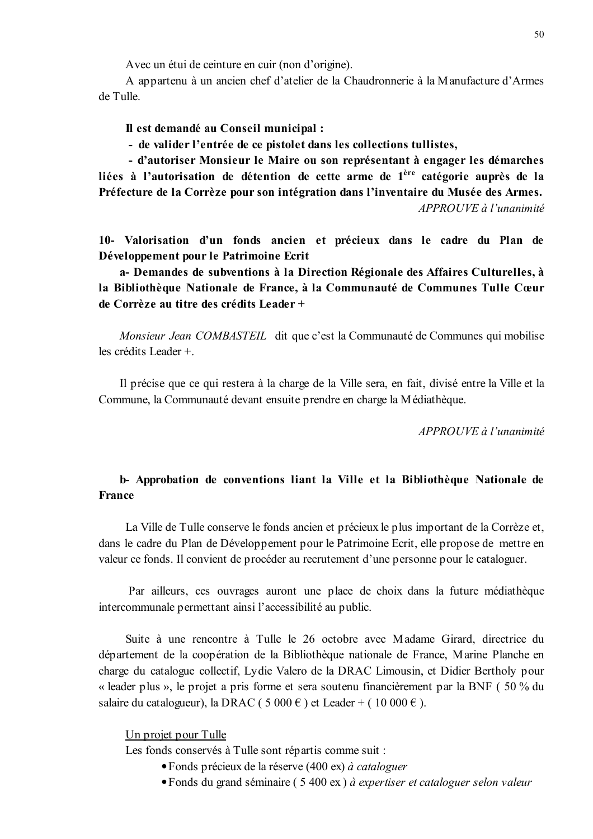Avec un étui de ceinture en cuir (non d'origine).

A appartenu à un ancien chef d'atelier de la Chaudronnerie à la Manufacture d'Armes de Tulle.

Il est demandé au Conseil municipal :

- de valider l'entrée de ce pistolet dans les collections tullistes,

- d'autoriser Monsieur le Maire ou son représentant à engager les démarches liées à l'autorisation de détention de cette arme de 1<sup>ère</sup> catégorie auprès de la Préfecture de la Corrèze pour son intégration dans l'inventaire du Musée des Armes. APPROUVE à l'unanimité

10- Valorisation d'un fonds ancien et précieux dans le cadre du Plan de Développement pour le Patrimoine Ecrit

a- Demandes de subventions à la Direction Régionale des Affaires Culturelles, à la Bibliothèque Nationale de France, à la Communauté de Communes Tulle Cœur de Corrèze au titre des crédits Leader +

*Monsieur Jean COMBASTEIL* dit que c'est la Communauté de Communes qui mobilise les crédits Leader +

Il précise que ce qui restera à la charge de la Ville sera, en fait, divisé entre la Ville et la Commune, la Communauté devant ensuite prendre en charge la Médiathèque.

APPROUVE à l'unanimité

# b- Approbation de conventions liant la Ville et la Bibliothèque Nationale de **France**

La Ville de Tulle conserve le fonds ancien et précieux le plus important de la Corrèze et, dans le cadre du Plan de Développement pour le Patrimoine Ecrit, elle propose de mettre en valeur ce fonds. Il convient de procéder au recrutement d'une personne pour le cataloguer.

Par ailleurs, ces ouvrages auront une place de choix dans la future médiathèque intercommunale permettant ainsi l'accessibilité au public.

Suite à une rencontre à Tulle le 26 octobre avec Madame Girard, directrice du département de la coopération de la Bibliothèque nationale de France, Marine Planche en charge du catalogue collectif, Lydie Valero de la DRAC Limousin, et Didier Bertholy pour « leader plus », le projet a pris forme et sera soutenu financièrement par la BNF (50 % du salaire du catalogueur), la DRAC (5 000 €) et Leader + (10 000 €).

Un projet pour Tulle

Les fonds conservés à Tulle sont répartis comme suit :

- Fonds précieux de la réserve  $(400 \text{ ex})$  à cataloguer
- Fonds du grand séminaire (5 400 ex) à expertiser et cataloguer selon valeur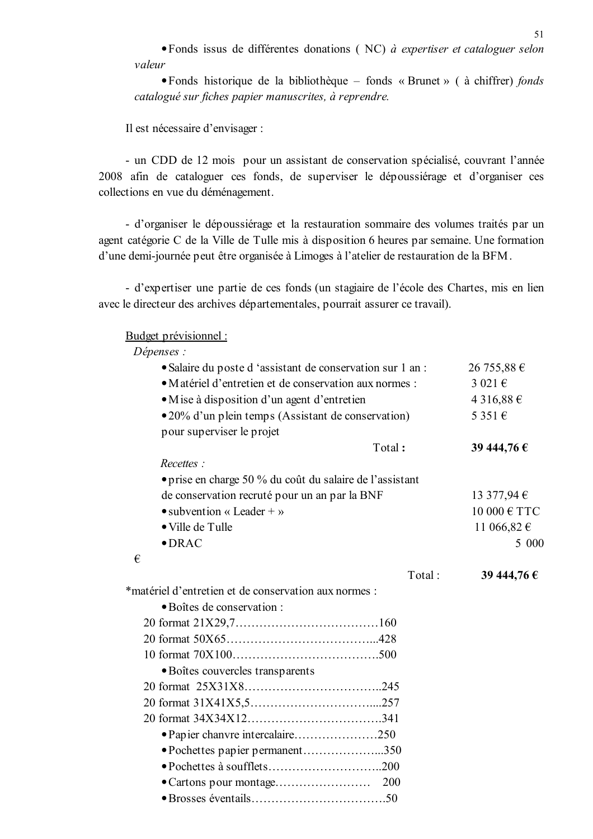• Fonds issus de différentes donations (NC) à expertiser et cataloguer selon valeur

• Fonds historique de la bibliothèque – fonds « Brunet » ( à chiffrer) fonds catalogué sur fiches papier manuscrites, à reprendre.

Il est nécessaire d'envisager :

- un CDD de 12 mois pour un assistant de conservation spécialisé, couvrant l'année 2008 afin de cataloguer ces fonds, de superviser le dépoussiérage et d'organiser ces collections en vue du déménagement.

- d'organiser le dépoussiérage et la restauration sommaire des volumes traités par un agent catégorie C de la Ville de Tulle mis à disposition 6 heures par semaine. Une formation d'une demi-journée peut être organisée à Limoges à l'atelier de restauration de la BFM.

- d'expertiser une partie de ces fonds (un stagiaire de l'école des Chartes, mis en lien avec le directeur des archives départementales, pourrait assurer ce travail).

Budget prévisionnel :

Dépenses :

| • Salaire du poste d'assistant de conservation sur 1 an : |            | 26 755,88 €      |
|-----------------------------------------------------------|------------|------------------|
| · Matériel d'entretien et de conservation aux normes :    | 3 021 €    |                  |
| • M is e à disposition d'un agent d'entretien             | 4 316,88 € |                  |
| • 20% d'un plein temps (Assistant de conservation)        |            | 5 3 5 1 €        |
| pour superviser le projet                                 |            |                  |
|                                                           | Total:     | 39 444,76 €      |
| Recettes:                                                 |            |                  |
| • prise en charge 50 % du coût du salaire de l'assistant  |            |                  |
| de conservation recruté pour un an par la BNF             |            | 13 377,94 €      |
| $\bullet$ subvention « Leader + »                         |            | 10 000 $\in$ TTC |
| • Ville de Tulle                                          |            | 11 066,82 €      |
| $\bullet$ DRAC                                            |            | 5 000            |
| €                                                         |            |                  |
|                                                           | Total:     | 39 444,76 €      |
| *matériel d'entretien et de conservation aux normes :     |            |                  |
| · Boîtes de conservation :                                |            |                  |
|                                                           |            |                  |
|                                                           |            |                  |
|                                                           |            |                  |
| · Boîtes couvercles transparents                          |            |                  |
|                                                           |            |                  |
|                                                           |            |                  |
|                                                           |            |                  |
| • Papier chanvre intercalaire250                          |            |                  |
| • Pochettes papier permanent350                           |            |                  |
|                                                           |            |                  |
|                                                           |            |                  |
|                                                           |            |                  |
|                                                           |            |                  |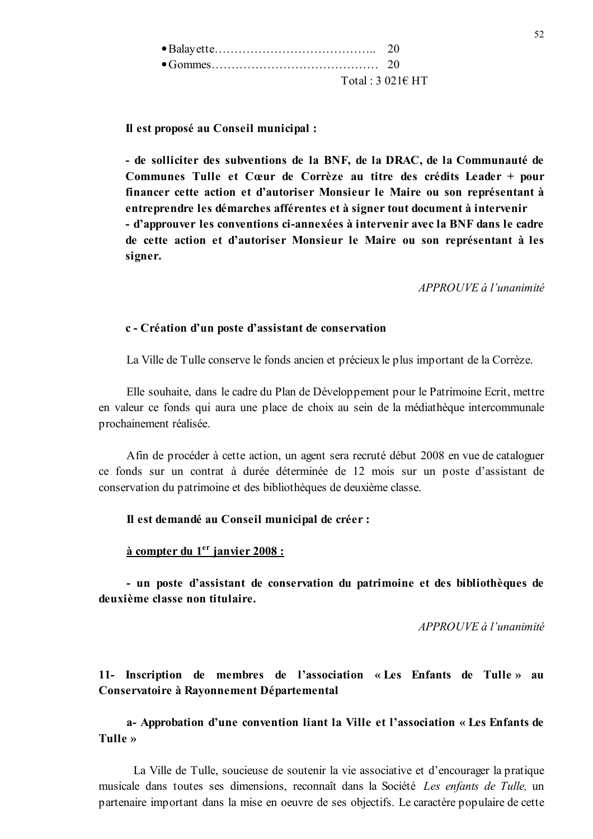| Total: $3\,021\epsilon$ HT |
|----------------------------|

Il est proposé au Conseil municipal :

- de solliciter des subventions de la BNF, de la DRAC, de la Communauté de Communes Tulle et Cœur de Corrèze au titre des crédits Leader + pour financer cette action et d'autoriser Monsieur le Maire ou son représentant à entreprendre les démarches afférentes et à signer tout document à intervenir - d'approuver les conventions ci-annexées à intervenir avec la BNF dans le cadre de cette action et d'autoriser Monsieur le Maire ou son représentant à les signer.

APPROUVE à l'unanimité

#### c - Création d'un poste d'assistant de conservation

La Ville de Tulle conserve le fonds ancien et précieux le plus important de la Corrèze.

Elle souhaite, dans le cadre du Plan de Développement pour le Patrimoine Ecrit, mettre en valeur ce fonds qui aura une place de choix au sein de la médiathèque intercommunale prochainement réalisée.

Afin de procéder à cette action, un agent sera recruté début 2008 en vue de cataloguer ce fonds sur un contrat à durée déterminée de 12 mois sur un poste d'assistant de conservation du patrimoine et des bibliothèques de deuxième classe.

#### Il est demandé au Conseil municipal de créer :

#### $\hat{a}$  compter du 1<sup>er</sup> janvier 2008 :

- un poste d'assistant de conservation du patrimoine et des bibliothèques de deuxième classe non titulaire.

APPROUVE à l'unanimité

# 11- Inscription de membres de l'association « Les Enfants de Tulle » au Conservatoire à Rayonnement Départemental

## a- Approbation d'une convention liant la Ville et l'association « Les Enfants de Tulle »

La Ville de Tulle, soucieuse de soutenir la vie associative et d'encourager la pratique musicale dans toutes ses dimensions, reconnaît dans la Société Les enfants de Tulle, un partenaire important dans la mise en oeuvre de ses objectifs. Le caractère populaire de cette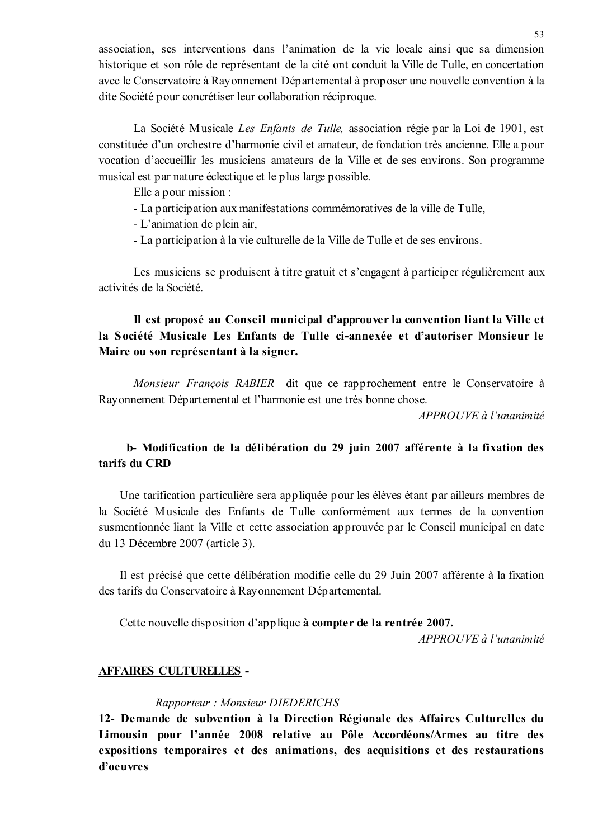association, ses interventions dans l'animation de la vie locale ainsi que sa dimension historique et son rôle de représentant de la cité ont conduit la Ville de Tulle, en concertation avec le Conservatoire à Rayonnement Départemental à proposer une nouvelle convention à la dite Société pour concrétiser leur collaboration réciproque.

La Société Musicale Les Enfants de Tulle, association régie par la Loi de 1901, est constituée d'un orchestre d'harmonie civil et amateur, de fondation très ancienne. Elle a pour vocation d'accueillir les musiciens amateurs de la Ville et de ses environs. Son programme musical est par nature éclectique et le plus large possible.

Elle a pour mission :

- La participation aux manifestations commémoratives de la ville de Tulle,

- L'animation de plein air.

- La participation à la vie culturelle de la Ville de Tulle et de ses environs.

Les musiciens se produisent à titre gratuit et s'engagent à participer régulièrement aux activités de la Société.

# Il est proposé au Conseil municipal d'approuver la convention liant la Ville et la Société Musicale Les Enfants de Tulle ci-annexée et d'autoriser Monsieur le Maire ou son représentant à la signer.

Monsieur François RABIER dit que ce rapprochement entre le Conservatoire à Rayonnement Départemental et l'harmonie est une très bonne chose.

APPROUVE à l'unanimité

# b- Modification de la délibération du 29 juin 2007 afférente à la fixation des tarifs du CRD

Une tarification particulière sera appliquée pour les élèves étant par ailleurs membres de la Société Musicale des Enfants de Tulle conformément aux termes de la convention susmentionnée liant la Ville et cette association approuvée par le Conseil municipal en date du 13 Décembre 2007 (article 3).

Il est précisé que cette délibération modifie celle du 29 Juin 2007 afférente à la fixation des tarifs du Conservatoire à Rayonnement Départemental.

Cette nouvelle disposition d'applique à compter de la rentrée 2007.

 $APPROUVE \d{d} l'unanimit \d{e}$ 

## **AFFAIRES CULTURELLES -**

## Rapporteur: Monsieur DIEDERICHS

12- Demande de subvention à la Direction Régionale des Affaires Culturelles du Limousin pour l'année 2008 relative au Pôle Accordéons/Armes au titre des expositions temporaires et des animations, des acquisitions et des restaurations d'oeuvres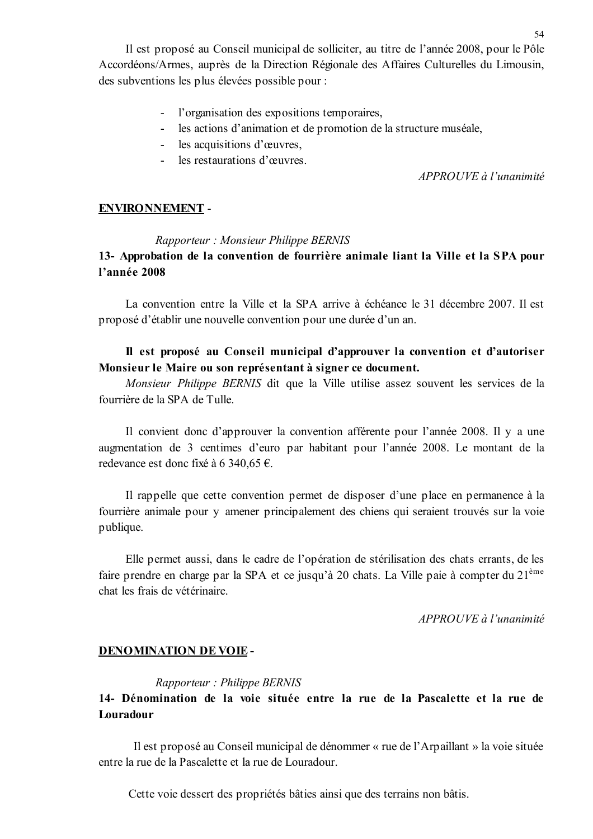Il est proposé au Conseil municipal de solliciter, au titre de l'année 2008, pour le Pôle Accordéons/Armes, auprès de la Direction Régionale des Affaires Culturelles du Limousin, des subventions les plus élevées possible pour :

- l'organisation des expositions temporaires,
- les actions d'animation et de promotion de la structure muséale,
- les acquisitions d'œuvres,
- les restaurations d'œuvres

 $APPROUVE$  à l'unanimité

#### **ENVIRONNEMENT -**

#### Rapporteur: Monsieur Philippe BERNIS

# 13- Approbation de la convention de fourrière animale liant la Ville et la SPA pour l'année 2008

La convention entre la Ville et la SPA arrive à échéance le 31 décembre 2007. Il est proposé d'établir une nouvelle convention pour une durée d'un an.

## Il est proposé au Conseil municipal d'approuver la convention et d'autoriser Monsieur le Maire ou son représentant à signer ce document.

Monsieur Philippe BERNIS dit que la Ville utilise assez souvent les services de la fourrière de la SPA de Tulle

Il convient donc d'approuver la convention afférente pour l'année 2008. Il y a une augmentation de 3 centimes d'euro par habitant pour l'année 2008. Le montant de la redevance est donc fixé à 6 340,65 €.

Il rappelle que cette convention permet de disposer d'une place en permanence à la fourrière animale pour y amener principalement des chiens qui seraient trouvés sur la voie publique.

Elle permet aussi, dans le cadre de l'opération de stérilisation des chats errants, de les faire prendre en charge par la SPA et ce jusqu'à 20 chats. La Ville paie à compter du 21<sup>ème</sup> chat les frais de vétérinaire

 $APPROUVE$  à l'unanimité

#### **DENOMINATION DE VOIE -**

#### Rapporteur: Philippe BERNIS

# 14- Dénomination de la voie située entre la rue de la Pascalette et la rue de Louradour

Il est proposé au Conseil municipal de dénommer « rue de l'Arpaillant » la voie située entre la rue de la Pascalette et la rue de Louradour.

Cette voie dessert des propriétés bâties ainsi que des terrains non bâtis.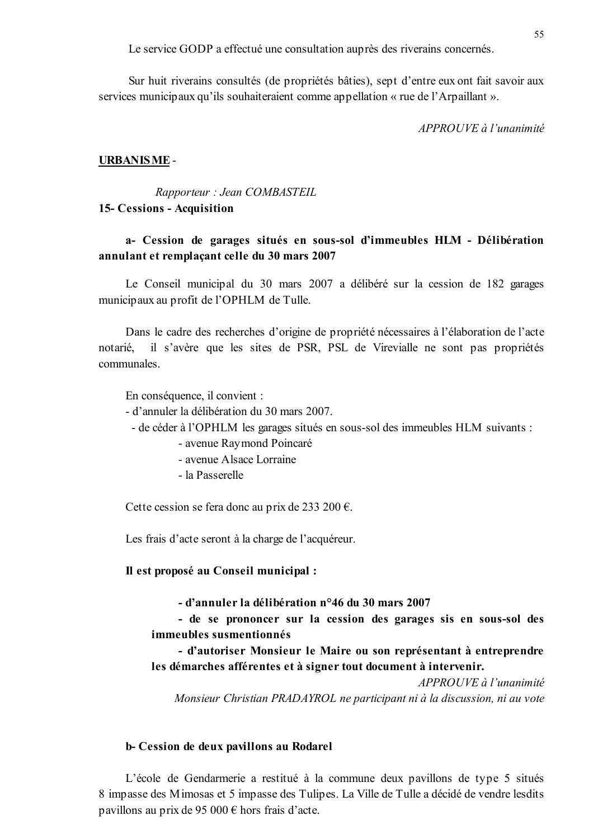Le service GODP a effectué une consultation auprès des riverains concernés.

Sur huit riverains consultés (de propriétés bâties), sept d'entre eux ont fait savoir aux services municipaux qu'ils souhaiteraient comme appellation « rue de l'Arpaillant ».

 $APPROIIVF \d{d} l'unanimit\acute{e}$ 

#### **URBANISME-**

Rapporteur : Jean COMBASTEIL 15- Cessions - Acquisition

## a- Cession de garages situés en sous-sol d'immeubles HLM - Délibération annulant et remplaçant celle du 30 mars 2007

Le Conseil municipal du 30 mars 2007 a délibéré sur la cession de 182 garages municipaux au profit de l'OPHLM de Tulle.

Dans le cadre des recherches d'origine de propriété nécessaires à l'élaboration de l'acte il s'avère que les sites de PSR, PSL de Virevialle ne sont pas propriétés notarié. communales.

En conséquence, il convient :

- d'annuler la délibération du 30 mars 2007.
	- de céder à l'OPHLM les garages situés en sous-sol des immeubles HLM suivants :
		- avenue Raymond Poincaré
		- avenue Alsace Lorraine
		- la Passerelle

Cette cession se fera donc au prix de 233 200 €.

Les frais d'acte seront à la charge de l'acquéreur.

Il est proposé au Conseil municipal :

- d'annuler la délibération n°46 du 30 mars 2007

- de se prononcer sur la cession des garages sis en sous-sol des immeubles susmentionnés

- d'autoriser Monsieur le Maire ou son représentant à entreprendre les démarches afférentes et à signer tout document à intervenir.

APPROUVE à l'unanimité Monsieur Christian PRADAYROL ne participant ni à la discussion, ni au vote

#### b- Cession de deux pavillons au Rodarel

L'école de Gendarmerie a restitué à la commune deux pavillons de type 5 situés 8 impasse des Mimosas et 5 impasse des Tulipes. La Ville de Tulle a décidé de vendre lesdits pavillons au prix de 95 000  $\epsilon$  hors frais d'acte.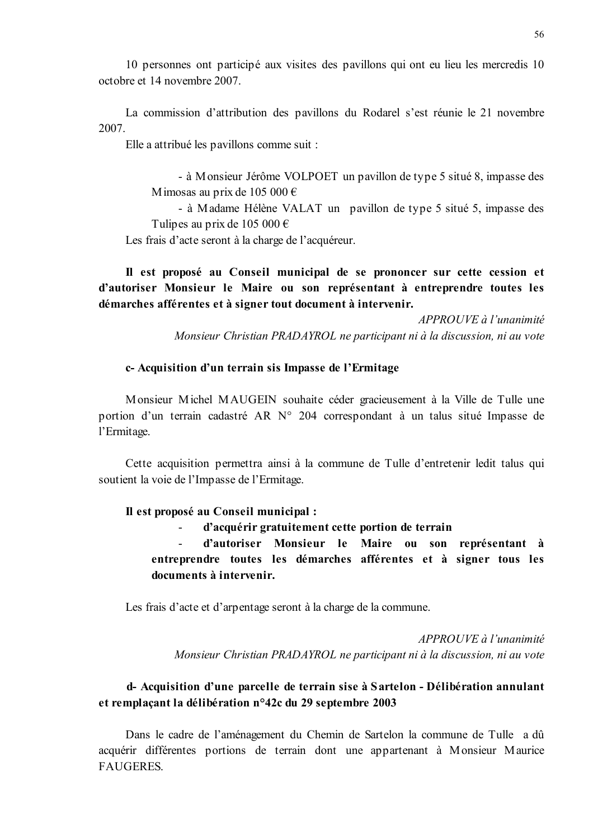10 personnes ont participé aux visites des pavillons qui ont eu lieu les mercredis 10 octobre et 14 novembre 2007

La commission d'attribution des pavillons du Rodarel s'est réunie le 21 novembre 2007

Elle a attribué les pavillons comme suit :

- à Monsieur Jérôme VOLPOET un pavillon de type 5 situé 8, impasse des Mimosas au prix de 105 000 €

- à Madame Hélène VALAT un pavillon de type 5 situé 5, impasse des Tulipes au prix de 105 000  $\epsilon$ 

Les frais d'acte seront à la charge de l'acquéreur.

Il est proposé au Conseil municipal de se prononcer sur cette cession et d'autoriser Monsieur le Maire ou son représentant à entreprendre toutes les démarches afférentes et à signer tout document à intervenir.

> $APPROUVE \d{d} l'unanimit \d{e}$ Monsieur Christian PRADAYROL ne participant ni à la discussion, ni au vote

#### c- Acquisition d'un terrain sis Impasse de l'Ermitage

Monsieur Michel MAUGEIN souhaite céder gracieusement à la Ville de Tulle une portion d'un terrain cadastré AR N° 204 correspondant à un talus situé Impasse de l'Ermitage.

Cette acquisition permettra ainsi à la commune de Tulle d'entretenir ledit talus qui soutient la voie de l'Impasse de l'Ermitage.

#### Il est proposé au Conseil municipal :

d'acquérir gratuitement cette portion de terrain

d'autoriser Monsieur le Maire ou son représentant à entreprendre toutes les démarches afférentes et à signer tous les documents à intervenir.

Les frais d'acte et d'arpentage seront à la charge de la commune.

 $APPROUVE$  à l'unanimité Monsieur Christian PRADAYROL ne participant ni à la discussion, ni au vote

# d- Acquisition d'une parcelle de terrain sise à Sartelon - Délibération annulant et remplaçant la délibération n°42c du 29 septembre 2003

Dans le cadre de l'aménagement du Chemin de Sartelon la commune de Tulle a dû acquérir différentes portions de terrain dont une appartenant à Monsieur Maurice **FAUGERES.**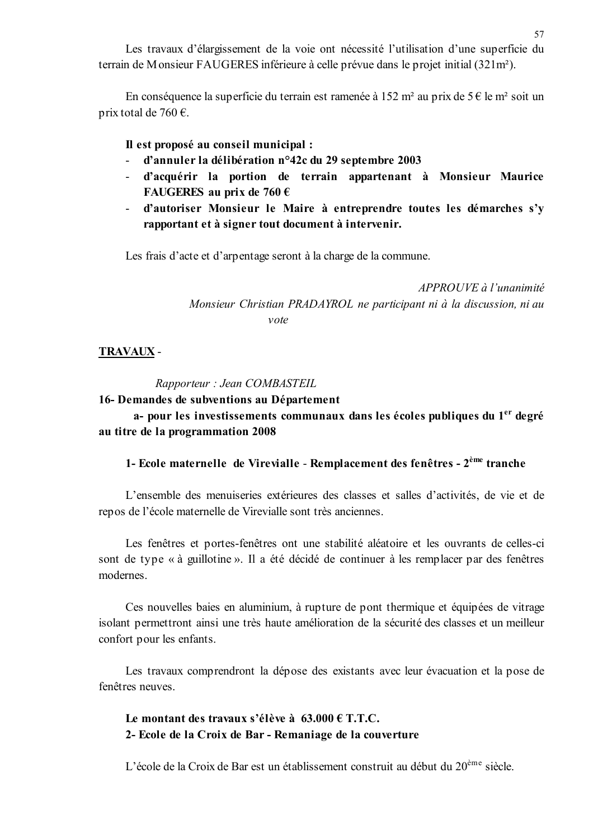Les travaux d'élargissement de la voie ont nécessité l'utilisation d'une superficie du terrain de Monsieur FAUGERES inférieure à celle prévue dans le projet initial (321m<sup>2</sup>).

En conséquence la superficie du terrain est ramenée à 152 m<sup>2</sup> au prix de 5 € le m<sup>2</sup> soit un prix total de 760  $\epsilon$ .

#### Il est proposé au conseil municipal :

- d'annuler la délibération n°42c du 29 septembre 2003
- d'acquérir la portion de terrain appartenant à Monsieur Maurice FAUGERES au prix de 760  $\epsilon$
- d'autoriser Monsieur le Maire à entreprendre toutes les démarches s'y  $\omega_{\rm{max}}$ rapportant et à signer tout document à intervenir.

Les frais d'acte et d'arpentage seront à la charge de la commune.

APPROUVE à l'unanimité Monsieur Christian PRADAYROL ne participant ni à la discussion, ni au  $v \alpha t e$ 

#### **TRAVAUX -**

Rapporteur : Jean COMBASTEIL

#### 16- Demandes de subventions au Département

a- pour les investissements communaux dans les écoles publiques du 1<sup>er</sup> degré au titre de la programmation 2008

## 1- Ecole maternelle de Virevialle - Remplacement des fenêtres - 2<sup>ème</sup> tranche

L'ensemble des menuiseries extérieures des classes et salles d'activités, de vie et de repos de l'école maternelle de Virevialle sont très anciennes.

Les fenêtres et portes-fenêtres ont une stabilité aléatoire et les ouvrants de celles-ci sont de type « à guillotine ». Il a été décidé de continuer à les remplacer par des fenêtres modernes.

Ces nouvelles baies en aluminium, à rupture de pont thermique et équipées de vitrage isolant permettront ainsi une très haute amélioration de la sécurité des classes et un meilleur confort pour les enfants.

Les travaux comprendront la dépose des existants avec leur évacuation et la pose de fenêtres neuves

Le montant des travaux s'élève à  $63.000 \in T.T.C.$ 2- Ecole de la Croix de Bar - Remaniage de la couverture

L'école de la Croix de Bar est un établissement construit au début du 20<sup>ème</sup> siècle.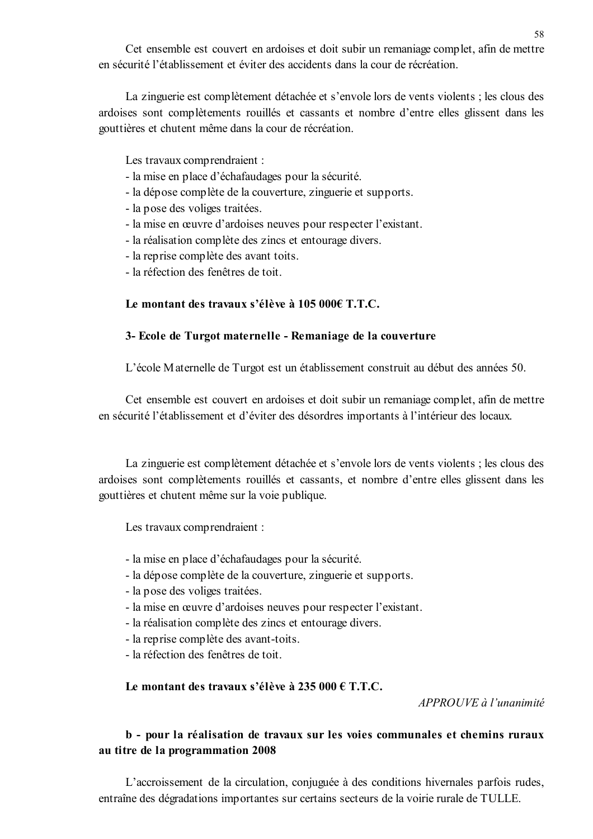Cet ensemble est couvert en ardoises et doit subir un remaniage complet, afin de mettre en sécurité l'établissement et éviter des accidents dans la cour de récréation

La zinguerie est complètement détachée et s'envole lors de vents violents; les clous des ardoises sont complètements rouillés et cassants et nombre d'entre elles glissent dans les gouttières et chutent même dans la cour de récréation.

Les travaux comprendraient :

- la mise en place d'échafaudages pour la sécurité.
- la dépose complète de la couverture, zinguerie et supports.
- la pose des voliges traitées.
- la mise en œuvre d'ardoises neuves pour respecter l'existant.
- la réalisation complète des zincs et entourage divers.
- la reprise complète des avant toits.
- la réfection des fenêtres de toit

## Le montant des travaux s'élève à 105 000€ T.T.C.

## 3- Ecole de Turgot maternelle - Remaniage de la couverture

L'école Maternelle de Turgot est un établissement construit au début des années 50.

Cet ensemble est couvert en ardoises et doit subir un remaniage complet, afin de mettre en sécurité l'établissement et d'éviter des désordres importants à l'intérieur des locaux.

La zinguerie est complètement détachée et s'envole lors de vents violents ; les clous des ardoises sont complètements rouillés et cassants, et nombre d'entre elles glissent dans les gouttières et chutent même sur la voie publique.

Les travaux comprendraient :

- la mise en place d'échafaudages pour la sécurité.
- la dépose complète de la couverture, zinguerie et supports.
- la pose des voliges traitées.
- la mise en œuvre d'ardoises neuves pour respecter l'existant.
- la réalisation complète des zincs et entourage divers.
- la reprise complète des avant-toits.
- la réfection des fenêtres de toit

Le montant des travaux s'élève à 235 000 € T.T.C.

APPROUVE à l'unanimité

# b - pour la réalisation de travaux sur les voies communales et chemins ruraux au titre de la programmation 2008

L'accroissement de la circulation, conjuguée à des conditions hivernales parfois rudes, entraîne des dégradations importantes sur certains secteurs de la voirie rurale de TULLE.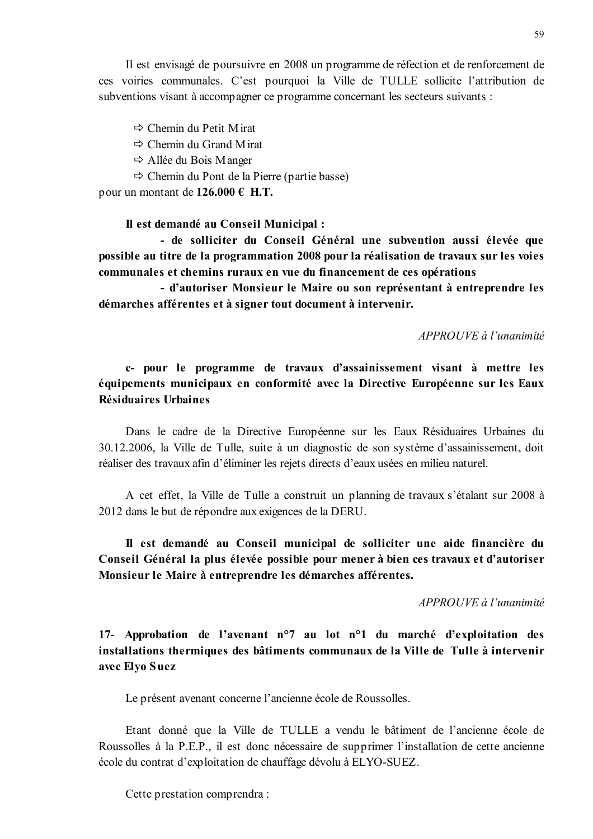Il est envisagé de poursuivre en 2008 un programme de réfection et de renforcement de ces voiries communales. C'est pourquoi la Ville de TULLE sollicite l'attribution de subventions visant à accompagner ce programme concernant les secteurs suivants :

 $\Rightarrow$  Chemin du Petit Mirat

 $\Rightarrow$  Chemin du Grand M irat

 $\Rightarrow$  Allée du Bois Manger

 $\Rightarrow$  Chemin du Pont de la Pierre (partie basse)

pour un montant de  $126.000 \in H.T$ .

Il est demandé au Conseil Municipal :

- de solliciter du Conseil Général une subvention aussi élevée que possible au titre de la programmation 2008 pour la réalisation de travaux sur les voies communales et chemins ruraux en vue du financement de ces opérations

- d'autoriser Monsieur le Maire ou son représentant à entreprendre les démarches afférentes et à signer tout document à intervenir.

 $APPROIIVE$  à l'unanimité

c- pour le programme de travaux d'assainissement visant à mettre les équipements municipaux en conformité avec la Directive Européenne sur les Eaux Résiduaires Urbaines

Dans le cadre de la Directive Européenne sur les Eaux Résiduaires Urbaines du 30.12.2006, la Ville de Tulle, suite à un diagnostic de son système d'assainissement, doit réaliser des travaux afin d'éliminer les rejets directs d'eaux usées en milieu naturel.

A cet effet, la Ville de Tulle a construit un planning de travaux s'étalant sur 2008 à 2012 dans le but de répondre aux exigences de la DERU.

Il est demandé au Conseil municipal de solliciter une aide financière du Conseil Général la plus élevée possible pour mener à bien ces travaux et d'autoriser Monsieur le Maire à entreprendre les démarches afférentes.

APPROUVE à l'unanimité

17- Approbation de l'avenant n°7 au lot n°1 du marché d'exploitation des installations thermiques des bâtiments communaux de la Ville de Tulle à intervenir avec Elyo Suez

Le présent avenant concerne l'ancienne école de Roussolles.

Etant donné que la Ville de TULLE a vendu le bâtiment de l'ancienne école de Roussolles à la P.E.P., il est donc nécessaire de supprimer l'installation de cette ancienne école du contrat d'exploitation de chauffage dévolu à ELYO-SUEZ.

Cette prestation comprendra: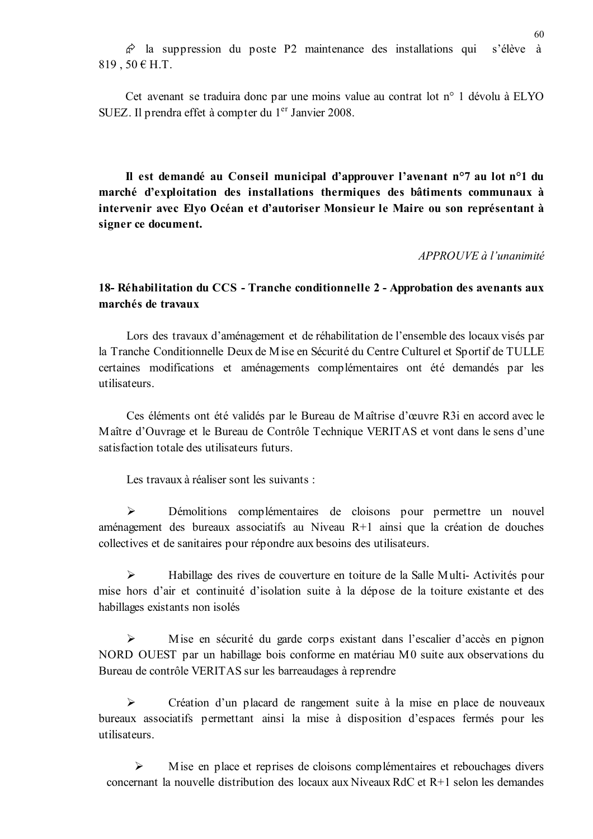$\hat{\varphi}$  la suppression du poste P2 maintenance des installations qui s'élève à 819, 50 € H.T.

Cet avenant se traduira donc par une moins value au contrat lot n° 1 dévolu à ELYO SUEZ. Il prendra effet à compter du 1<sup>er</sup> Janvier 2008.

Il est demandé au Conseil municipal d'approuver l'avenant n°7 au lot n°1 du marché d'exploitation des installations thermiques des bâtiments communaux à intervenir avec Elyo Océan et d'autoriser Monsieur le Maire ou son représentant à signer ce document.

APPROUVE à l'unanimité

## 18- Réhabilitation du CCS - Tranche conditionnelle 2 - Approbation des avenants aux marchés de travaux

Lors des travaux d'aménagement et de réhabilitation de l'ensemble des locaux visés par la Tranche Conditionnelle Deux de Mise en Sécurité du Centre Culturel et Sportif de TULLE certaines modifications et aménagements complémentaires ont été demandés par les utilisateurs

Ces éléments ont été validés par le Bureau de Maîtrise d'œuvre R3i en accord avec le Maître d'Ouvrage et le Bureau de Contrôle Technique VERITAS et vont dans le sens d'une satisfaction totale des utilisateurs futurs

Les travaux à réaliser sont les suivants :

 $\blacktriangleright$ Démolitions complémentaires de cloisons pour permettre un nouvel aménagement des bureaux associatifs au Niveau R+1 ainsi que la création de douches collectives et de sanitaires pour répondre aux besoins des utilisateurs.

 $\triangleright$ Habillage des rives de couverture en toiture de la Salle Multi-Activités pour mise hors d'air et continuité d'isolation suite à la dépose de la toiture existante et des habillages existants non isolés

 $\blacktriangleright$ Mise en sécurité du garde corps existant dans l'escalier d'accès en pignon NORD OUEST par un habillage bois conforme en matériau M0 suite aux observations du Bureau de contrôle VERITAS sur les barreaudages à reprendre

 $\blacktriangleright$ Création d'un placard de rangement suite à la mise en place de nouveaux bureaux associatifs permettant ainsi la mise à disposition d'espaces fermés pour les utilisateurs

 $\blacktriangleright$ M ise en place et reprises de cloisons complémentaires et rebouchages divers concernant la nouvelle distribution des locaux aux Niveaux RdC et R+1 selon les demandes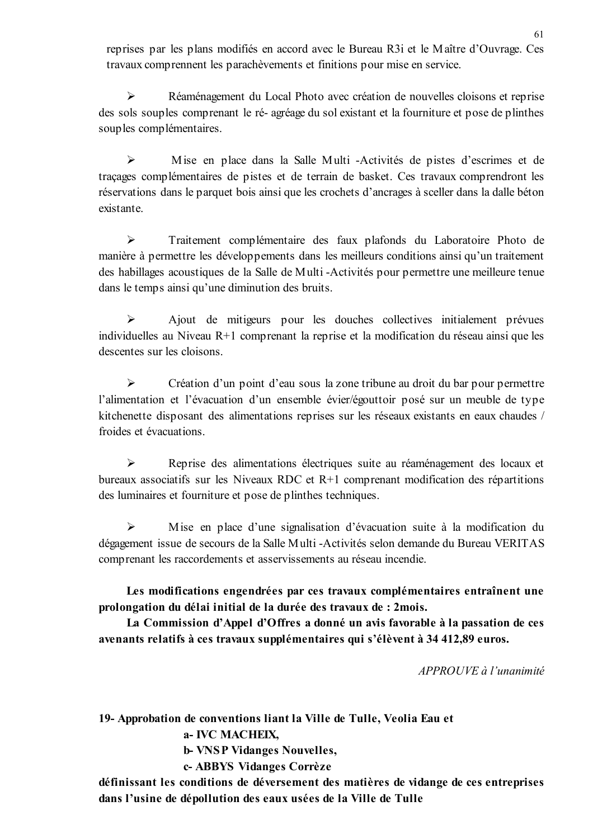reprises par les plans modifiés en accord avec le Bureau R3i et le Maître d'Ouvrage. Ces travaux comprennent les parachèvements et finitions pour mise en service.

 $\blacktriangleright$ Réaménagement du Local Photo avec création de nouvelles cloisons et reprise des sols souples comprenant le ré-agréage du sol existant et la fourniture et pose de plinthes souples complémentaires.

 $\blacktriangleright$ Mise en place dans la Salle Multi -Activités de pistes d'escrimes et de traçages complémentaires de pistes et de terrain de basket. Ces travaux comprendront les réservations dans le parquet bois ainsi que les crochets d'ancrages à sceller dans la dalle béton existante

 $\blacktriangleright$ Traitement complémentaire des faux plafonds du Laboratoire Photo de manière à permettre les développements dans les meilleurs conditions ainsi qu'un traitement des habillages acoustiques de la Salle de Multi-Activités pour permettre une meilleure tenue dans le temps ainsi qu'une diminution des bruits.

 $\blacktriangleright$ Ajout de mitigeurs pour les douches collectives initialement prévues individuelles au Niveau R+1 comprenant la reprise et la modification du réseau ainsi que les descentes sur les cloisons.

 $\blacktriangleright$ Création d'un point d'eau sous la zone tribune au droit du bar pour permettre l'alimentation et l'évacuation d'un ensemble évier/égouttoir posé sur un meuble de type kitchenette disposant des alimentations reprises sur les réseaux existants en eaux chaudes / froides et évacuations.

 $\blacktriangleright$ Reprise des alimentations électriques suite au réaménagement des locaux et bureaux associatifs sur les Niveaux RDC et R+1 comprenant modification des répartitions des luminaires et fourniture et pose de plinthes techniques.

 $\blacktriangleright$ Mise en place d'une signalisation d'évacuation suite à la modification du dégagement issue de secours de la Salle Multi-Activités selon demande du Bureau VERITAS comprenant les raccordements et asservissements au réseau incendie.

Les modifications engendrées par ces travaux complémentaires entraînent une prolongation du délai initial de la durée des travaux de : 2 mois.

La Commission d'Appel d'Offres a donné un avis favorable à la passation de ces avenants relatifs à ces travaux supplémentaires qui s'élèvent à 34 412.89 euros.

APPROUVE à l'unanimité

19- Approbation de conventions liant la Ville de Tulle, Veolia Eau et

a- IVC MACHEIX.

**b- VNSP Vidanges Nouvelles,** 

c-ABBYS Vidanges Corrèze

définissant les conditions de déversement des matières de vidange de ces entreprises dans l'usine de dépollution des eaux usées de la Ville de Tulle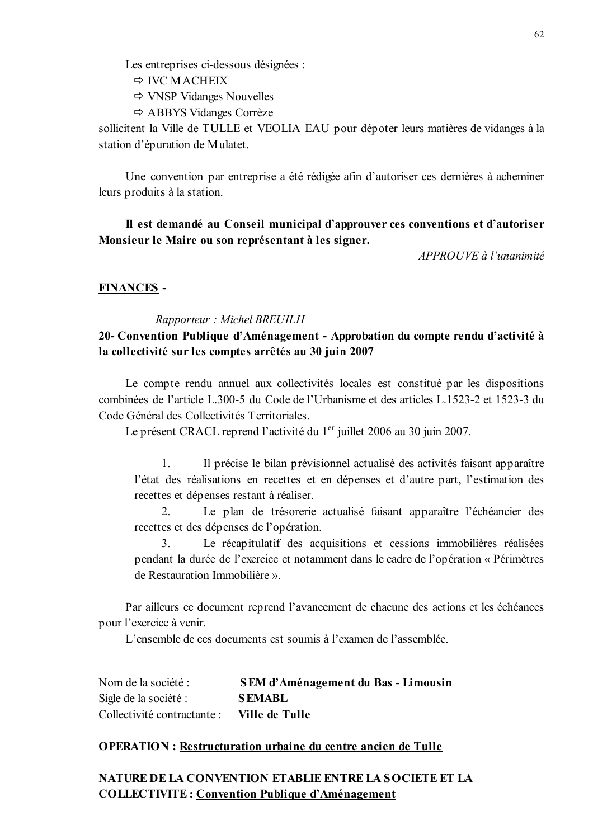Les entreprises ci-dessous désignées :

- $\Rightarrow$  IVC MACHEIX
- $\Rightarrow$  VNSP Vidanges Nouvelles
- $\Rightarrow$  ABBYS Vidanges Corrèze

sollicitent la Ville de TULLE et VEOLIA EAU pour dépoter leurs matières de vidanges à la station d'épuration de Mulatet.

Une convention par entreprise a été rédigée afin d'autoriser ces dernières à acheminer leurs produits à la station.

## Il est demandé au Conseil municipal d'approuver ces conventions et d'autoriser Monsieur le Maire ou son représentant à les signer.

APPROUVE à l'unanimité

#### **FINANCES-**

#### Rapporteur: Michel BREUILH

# 20- Convention Publique d'Aménagement - Approbation du compte rendu d'activité à la collectivité sur les comptes arrêtés au 30 juin 2007

Le compte rendu annuel aux collectivités locales est constitué par les dispositions combinées de l'article L.300-5 du Code de l'Urbanisme et des articles L.1523-2 et 1523-3 du Code Général des Collectivités Territoriales.

Le présent CRACL reprend l'activité du 1<sup>er</sup> juillet 2006 au 30 juin 2007.

1. Il précise le bilan prévisionnel actualisé des activités faisant apparaître l'état des réalisations en recettes et en dépenses et d'autre part, l'estimation des recettes et dépenses restant à réaliser.

 $\overline{2}$ Le plan de trésorerie actualisé faisant apparaître l'échéancier des recettes et des dépenses de l'opération.

 $\mathcal{E}$ Le récapitulatif des acquisitions et cessions immobilières réalisées pendant la durée de l'exercice et notamment dans le cadre de l'opération « Périmètres de Restauration Immobilière ».

Par ailleurs ce document reprend l'avancement de chacune des actions et les échéances pour l'exercice à venir.

L'ensemble de ces documents est soumis à l'examen de l'assemblée

Nom de la société : SEM d'Aménagement du Bas - Limousin Sigle de la société : **SEMABL** Collectivité contractante : Ville de Tulle

#### **OPERATION**: Restructuration urbaine du centre ancien de Tulle

# **NATURE DE LA CONVENTION ETABLIE ENTRE LA SOCIETE ET LA COLLECTIVITE: Convention Publique d'Aménagement**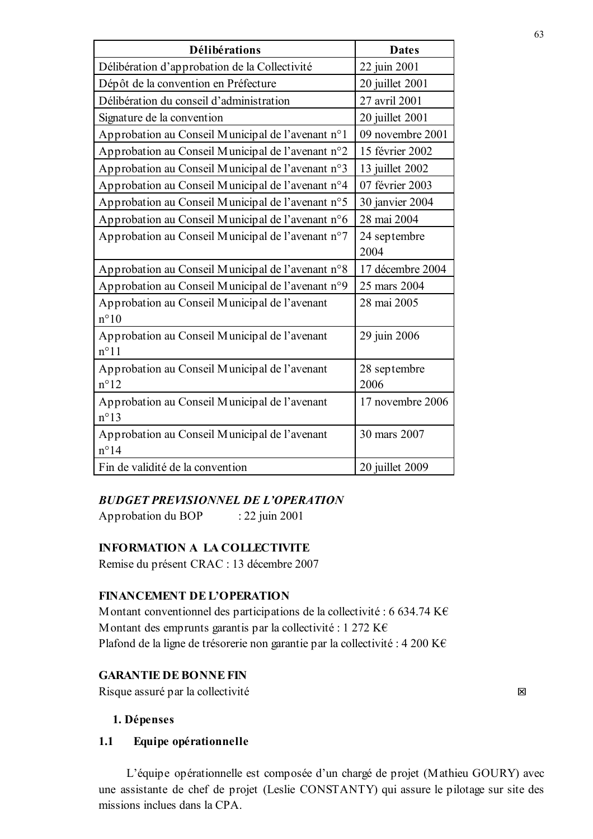| Délibérations                                                  | <b>Dates</b>         |
|----------------------------------------------------------------|----------------------|
| Délibération d'approbation de la Collectivité                  | 22 juin 2001         |
| Dépôt de la convention en Préfecture                           | 20 juillet 2001      |
| Délibération du conseil d'administration                       | 27 avril 2001        |
| Signature de la convention                                     | 20 juillet 2001      |
| Approbation au Conseil Municipal de l'avenant n°1              | 09 novembre 2001     |
| Approbation au Conseil Municipal de l'avenant n°2              | 15 février 2002      |
| Approbation au Conseil Municipal de l'avenant n°3              | 13 juillet 2002      |
| Approbation au Conseil Municipal de l'avenant n°4              | 07 février 2003      |
| Approbation au Conseil Municipal de l'avenant n°5              | 30 janvier 2004      |
| Approbation au Conseil Municipal de l'avenant n°6              | 28 mai 2004          |
| Approbation au Conseil Municipal de l'avenant n°7              | 24 septembre         |
|                                                                | 2004                 |
| Approbation au Conseil Municipal de l'avenant n°8              | 17 décembre 2004     |
| Approbation au Conseil Municipal de l'avenant n°9              | 25 mars 2004         |
| Approbation au Conseil Municipal de l'avenant<br>$n^{\circ}10$ | 28 mai 2005          |
| Approbation au Conseil Municipal de l'avenant<br>$n^{\circ}11$ | 29 juin 2006         |
| Approbation au Conseil Municipal de l'avenant<br>$n^{\circ}12$ | 28 septembre<br>2006 |
| Approbation au Conseil Municipal de l'avenant<br>$n^{\circ}13$ | 17 novembre 2006     |
| Approbation au Conseil Municipal de l'avenant<br>$n^{\circ}14$ | 30 mars 2007         |
| Fin de validité de la convention                               | 20 juillet 2009      |

## **BUDGET PREVISIONNEL DE L'OPERATION**

Approbation du BOP : 22 juin 2001

## **INFORMATION A LA COLLECTIVITE**

Remise du présent CRAC : 13 décembre 2007

### **FINANCEMENT DE L'OPERATION**

Montant conventionnel des participations de la collectivité : 6 634.74 K $\epsilon$ Montant des emprunts garantis par la collectivité : 1 272 K $\epsilon$ Plafond de la ligne de trésorerie non garantie par la collectivité : 4 200 K€

## **GARANTIE DE BONNE FIN**

Risque assuré par la collectivité

# 1. Dépenses

#### $1.1$ Equipe opérationnelle

L'équipe opérationnelle est composée d'un chargé de projet (Mathieu GOURY) avec une assistante de chef de projet (Leslie CONSTANTY) qui assure le pilotage sur site des missions inclues dans la CPA.

図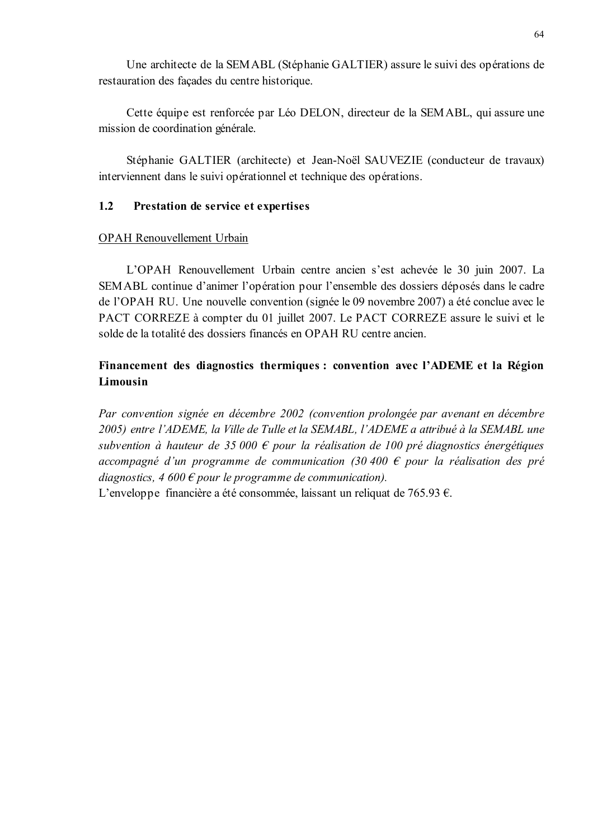Une architecte de la SEMABL (Stéphanie GALTIER) assure le suivi des opérations de restauration des façades du centre historique.

Cette équipe est renforcée par Léo DELON, directeur de la SEMABL, qui assure une mission de coordination générale.

Stéphanie GALTIER (architecte) et Jean-Noël SAUVEZIE (conducteur de travaux) interviennent dans le suivi opérationnel et technique des opérations.

#### $1.2$ Prestation de service et expertises

## **OPAH** Renouvellement Urbain

L'OPAH Renouvellement Urbain centre ancien s'est achevée le 30 juin 2007. La SEMABL continue d'animer l'opération pour l'ensemble des dossiers déposés dans le cadre de l'OPAH RU. Une nouvelle convention (signée le 09 novembre 2007) a été conclue avec le PACT CORREZE à compter du 01 juillet 2007. Le PACT CORREZE assure le suivi et le solde de la totalité des dossiers financés en OPAH RU centre ancien.

# Financement des diagnostics thermiques : convention avec l'ADEME et la Région Limousin

Par convention signée en décembre 2002 (convention prolongée par avenant en décembre 2005) entre l'ADEME, la Ville de Tulle et la SEMABL, l'ADEME a attribué à la SEMABL une subvention à hauteur de 35 000  $\epsilon$  pour la réalisation de 100 pré diagnostics énergétiques accompagné d'un programme de communication (30 400  $\epsilon$  pour la réalisation des pré diagnostics, 4 600  $\epsilon$  pour le programme de communication).

L'enveloppe financière a été consommée, laissant un reliquat de 765.93  $\epsilon$ .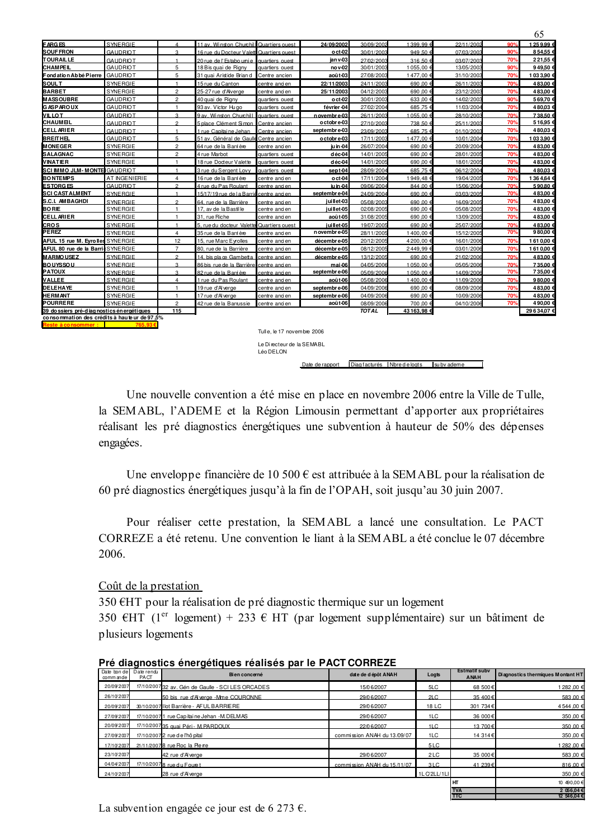|                                             |                 |                |                                           |                            |                   |               |               |            |     | UJ.       |
|---------------------------------------------|-----------------|----------------|-------------------------------------------|----------------------------|-------------------|---------------|---------------|------------|-----|-----------|
| <b>FARGES</b>                               | <b>SYNERGIE</b> |                | 11 av. Winston Churchill                  | Quartiers quest            | 24/09/2002        | 30/09/2002    | $1399.99 \in$ | 22/11/2002 | 90% | 1259.99 6 |
| <b>SOUFFRON</b>                             | <b>GAUDRIOT</b> | R              | 16 rue du Docteur Valette Quartiers quest |                            | oct <sub>02</sub> | 30/01/2003    | 949.50€       | 07/03/2003 | 90% | 854.55    |
| <b>TOURAIL LE</b>                           | <b>GAUDRIOT</b> |                | 20 rue de l'Estabo umi e                  | quartiers ouest            | jan v 03          | 27/02/2003    | 316.50€       | 03/07/2003 | 70% | 221,55    |
| <b>CHAMPEIL</b>                             | <b>GAUDRIOT</b> | 5              | 18 Bis quai de Rigny                      | quartiers ouest            | no v 02           | 30/01/2003    | 1 055,00 €    | 13/05/2003 | 90% | 949,50    |
| Fondation Ab bé Pierre                      | <b>GAUDRIOT</b> | 5              | 31 guai Aristide Brian d                  | Centre ancien              | août 03           | 27/08/2003    | 1477.00 €     | 31/10/2003 | 70% | 1033.90   |
| <b>SOULT</b>                                | <b>SYNERGIE</b> |                | 15 rue du Canton                          | centre ancien              | 22/11/2003        | 24/11/2003    | 690.00 €      | 26/11/2003 | 70% | 483,00    |
| <b>BARBET</b>                               | <b>SYNERGIE</b> | $\overline{2}$ | 25-27 rue d'Alverae                       | centre ancien              | 25/11/2003        | 04/12/2003    | 690.00 €      | 23/12/2003 | 70% | 483.00    |
| <b>MASSOUBRE</b>                            | <b>GAUDRIOT</b> | $\overline{2}$ | 40 quai de Rigny                          | quartiers ouest            | oct <sub>02</sub> | 30/01/2003    | 633,00 €      | 14/02/2003 | 90% | 569,70    |
| <b>GASPAROUX</b>                            | <b>GAUDRIOT</b> | $\mathbf{1}$   | 93 av. Victor Hu go                       | quartiers ouest            | février 04        | 27/02/2004    | 685.75 €      | 11/03/2004 | 70% | 480.03    |
| <b>VILLOT</b>                               | <b>GAUDRIOT</b> | R              | 9 av. Winston Churchill                   | quartiers quest            | n ovembre 03      | 26/11/2003    | 0.55.00       | 28/10/2003 | 70% | 738.50    |
| <b>CHAUMEL</b>                              | <b>GAUDRIOT</b> | $\mathfrak{D}$ | 5 place Clément Simon                     | Centre ancien              | o ctobre 03       | 27/10/2003    | 738.50        | 25/11/2003 | 70% | 516.95    |
| <b>CELLARIER</b>                            | <b>GAUDRIOT</b> |                | 1 rue Capitai ne Jehan                    | Centre ancien              | septembre 03      | 23/09/2003    | 685.75        | 01/10/2003 | 70% | 480.03    |
| <b>BREITHEL</b>                             | <b>GAUDRIOT</b> | 5              | 51 av. Général de Gaulle                  | Centre ancien              | o ctobre 03       | 17/11/2003    | 1477.00       | 10/01/2004 | 70% | 1033.90   |
| <b>MONEGER</b>                              | SYNERGIE        | $\overline{2}$ | 64 rue de la Barrière                     | centre ancien              | ju in 04          | 26/07/2004    | 690,00        | 20/09/2004 | 70% | 483,00    |
| <b>SALAGNAC</b>                             | SYNERGIE        | $\overline{2}$ | 4 rue Marbot                              | quartiers ouest            | déc 04            | 14/01/2005    | 690.00        | 28/01/2005 | 70% | 483.00    |
| <b>VINATIER</b>                             | <b>SYNERGIE</b> | -1             | 18 rue Docteur Valette                    | quartiers ouest            | déc <sub>04</sub> | 14/01/2005    | 690.00        | 18/01/2005 | 70% | 483.00    |
| SCI IMMO JLM-MONTELGAUDRIOT                 |                 | -1             | 3 rue du Sergent Lovy                     | quartiers ouest            | sept-04           | 28/09/2004    | 685,75        | 06/12/2004 | 70% | 480.03    |
| <b>BONTEMPS</b>                             | AT INGENIERIE   | $\overline{4}$ | 16 rue de la Barrière                     | centre ancien              | oct-04            | 17/11/2004    | 1949.48€      | 19/04/2005 | 70% | 1364.64   |
| <b>ESTORGES</b>                             | <b>GAUDRIOT</b> | $\mathfrak{p}$ | 4 rue du Pas Roulant                      | centre ancien              | iu in 04          | 09/06/2004    | 844.00 €      | 15/06/2004 | 70% | 590.80    |
| <b>SCI CAST ALMENT</b>                      | <b>SYNERGIE</b> | $\overline{1}$ | 15/17/19 rue de la Barrie                 | centre and en              | septembre 04      | 24/09/2004    | 690.00 €      | 03/03/2005 | 70% | 483,00    |
| <b>S.C.I. AMBAGHDI</b>                      | SYNERGIE        | $\mathcal{D}$  | 64, rue de la Barrière                    | centre ancien              | juillet 03        | 05/08/2003    | 690.00€       | 16/09/2005 | 70% | 483,00    |
| <b>BORIE</b>                                | SYNERGIE        | $\overline{1}$ | 17, av de la Bastille                     | centre ancien              | j uillet 05       | 02/08/2005    | 690,00 €      | 05/08/2005 | 70% | 483,00    |
| <b>CELLARIER</b>                            | <b>SYNERGIE</b> | $\overline{1}$ | 31. rue Riche                             | centre and en              | août 05           | 31/08/2005    | 690,00 €      | 13/09/2005 | 70% | 483,00    |
| <b>CROS</b>                                 | SYNERGIE        | $\overline{1}$ | 5, rue du docteur Valette                 | Quartiers ouest            | juillet 05        | 19/07/2005    | 690,00 €      | 25/07/2005 | 70% | 483.00    |
| PEREZ                                       | <b>SYNERGIE</b> | $\overline{4}$ | 35 rue de la Barrière                     | centre ancien              | n ovembre-05      | 28/11/2005    | 1400,00 €     | 15/12/2005 | 70% | 980,00    |
| AFUL 15 rue M. Eyrolles SYNERGIE            |                 | 12             | 15, rue Marc Eyrolles                     | centre ancien              | décembre 05       | 20/12/2005    | 4 200,00      | 16/01/2006 | 70% | 1610,00   |
| AFUL 80 rue de la Barri SYNERGIE            |                 | $\overline{7}$ | 80, rue de la Barrière                    | centre ancien              | décembre 05       | 08/12/2005    | 2449,99€      | 03/01/2006 | 70% | 1610.00   |
| <b>MARMOUSEZ</b>                            | <b>SYNERGIE</b> | $\mathfrak{p}$ | 14. bis place Gambetta                    | centre ancien              | décembre 05       | 13/12/2005    | 690.00€       | 21/02/2006 | 70% | 483.00 6  |
| <b>BOUYSSOU</b>                             | SYNERGIE        | <b>Q</b>       | 86 bis rue de la Barrière                 | centre and en              | mai 06            | 04/05/2006    | 1.050.00 €    | 05/05/2006 | 70% | 735.00    |
| <b>PATOUX</b>                               | SYNERGIE        | 3              | 82 rue de la Barrière                     | centre and en              | septembre-06      | 05/09/2006    | $1050.00 \in$ | 14/09/2006 | 70% | 735.00    |
| <b>VALLEE</b>                               | <b>SYNERGIE</b> | 4              | 1 rue du Pas Roulant                      | centre ancien              | août 06           | 05/08/2006    | 1400.00 €     | 11/09/2006 | 70% | 980.00    |
| <b>DELEHAYE</b>                             | SYNERGIE        | $\overline{1}$ | 19 rue d'Al verge                         | centre ancien              | septembre-06      | 04/09/2006    | 690,00 €      | 08/09/2006 | 70% | 483,00    |
| <b>HERMANT</b>                              | SYNERGIE        | -1             | 17 rue d'Alverge                          | centre and en              | septembre 06      | 04/09/2006    | 690.00 €      | 10/09/2006 | 70% | 483.00    |
| <b>POURRERE</b>                             | <b>SYNERGIE</b> | $\overline{2}$ | 42 rue de la Barrussie                    | centre ancien              | août 06           | 08/09/2006    | 700,00 €      | 04/10/2006 | 70% | 490,00    |
| 39 do ssiers pré-diagnostics én ergétiques  |                 | 115            |                                           |                            |                   | <b>TOT AL</b> | 43 163,98 €   |            |     | 29634.07€ |
| consommation des crédits à hauteur de 97.5% |                 |                |                                           |                            |                   |               |               |            |     |           |
|                                             |                 |                |                                           |                            |                   |               |               |            |     |           |
|                                             |                 |                |                                           | Tulle. le 17 novembre 2006 |                   |               |               |            |     |           |

Tull e, le 17 novembre 2006 Le Directeur de la SEMABL Léo DELON

Date de rapport Diag facturés Nbre de logts su bv ademe

 $\epsilon$ 

Une nouvelle convention a été mise en place en novembre 2006 entre la Ville de Tulle, la SEMABL, l'ADEME et la Région Limousin permettant d'apporter aux propriétaires réalisant les pré diagnostics énergétiques une subvention à hauteur de 50% des dépenses engagées.

Une enveloppe financière de 10 500  $\epsilon$  est attribuée à la SEMABL pour la réalisation de 60 pré diagnostics énergétiques jusqu'à la fin de l'OPAH, soit jusqu'au 30 juin 2007.

Pour réaliser cette prestation, la SEMABL a lancé une consultation. Le PACT CORREZE a été retenu. Une convention le liant à la SEMABL a été conclue le 07 décembre 2006

Coût de la prestation

350  $\text{EHT}$  pour la réalisation de pré diagnostic thermique sur un logement

350 EHT (1<sup>er</sup> logement) + 233 E HT (par logement supplémentaire) sur un bâtiment de plusieurs logements

| commande   | Date bon del Date rendu<br><b>PACT</b> | Bien concerné                                     | date de dépôt ANAH          | Logts           | <b>Estmatif subv</b><br><b>ANAH</b> | Diagnostics thermiques Montant HT |
|------------|----------------------------------------|---------------------------------------------------|-----------------------------|-----------------|-------------------------------------|-----------------------------------|
| 20/09/2007 |                                        | 17/10/2007 32 av. Gén de Gaulle - SCI LES ORCADES | 15/0 6/2007                 | 5LC             | 68 500€                             | 1 282,00 €                        |
| 26/10/2007 |                                        | 50 bis rue d'Alverge -Mme COURONNE                | 29/06/2007                  | 21C             | 35,400€                             | 583.00 €                          |
| 20/09/2007 |                                        | 30/10/2007 Ilot Barrière - AFUL BARRIERE          | 29/0 6/2007                 | 18 LC           | 301 734€                            | 4 544 .00 €                       |
| 27/09/2007 |                                        | 17/10/2007 1 rue Cap itai ne Jehan - M. DELMAS    | 29/0 6/2007                 | 1LC             | 36 000€                             | 350,00 €                          |
| 20/09/2007 |                                        | 17/10/2007 35 quai Péri - M PARDOUX               | 22/06/2007                  | 1 <sub>LC</sub> | 13 700€                             | 350.00€                           |
| 27/09/2007 |                                        | 17/10/2007 2 rue de l'hô pital                    | commission ANAH du 13/09/07 | 1LC             | 14 314€                             | 350,00 €                          |
| 17/10/2007 |                                        | 21/11/2007 8 rue Roc la Pie re                    |                             | 5LC             |                                     | 1 282,00 €                        |
| 23/10/2007 |                                        | 42 rue d'Alverge                                  | 29/0 6/2007                 | 2LC             | 35 000€                             | 583,00 €                          |
| 04/04/2007 |                                        | 17/10/2007 8 rue du Fouret                        | commission ANAH du 15/11/07 | 3 <sub>LC</sub> | 41 239€                             | $816.00 \in$                      |
| 24/10/2007 |                                        | 28 rue d'Alverge                                  |                             | 1LO2LL/1LI      |                                     | 350,00 €                          |
|            |                                        |                                                   |                             |                 | Iнт                                 | 10 490.00 €                       |
|            |                                        |                                                   |                             |                 | <b>TVA</b>                          | 2 056.04€                         |
|            |                                        |                                                   |                             |                 | <b>TTC</b>                          | 12 546,04 €                       |

**Pré diagnostics énergétiques réalisés par le PACT CORREZE**

La subvention engagée ce jour est de 6 273 €.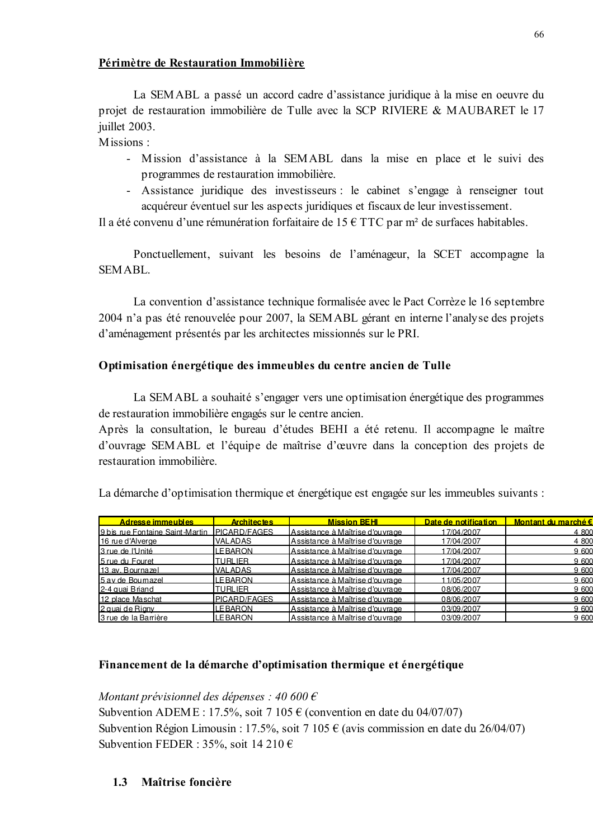## Périmètre de Restauration Immobilière

La SEMABL a passé un accord cadre d'assistance juridique à la mise en oeuvre du projet de restauration immobilière de Tulle avec la SCP RIVIERE & MAUBARET le 17 juillet 2003.

Missions :

- Mission d'assistance à la SEMABL dans la mise en place et le suivi des programmes de restauration immobilière.
- Assistance juridique des investisseurs : le cabinet s'engage à renseigner tout acquéreur éventuel sur les aspects juridiques et fiscaux de leur investissement.

Il a été convenu d'une rémunération forfaitaire de 15  $\epsilon$  TTC par m<sup>2</sup> de surfaces habitables.

Ponctuellement, suivant les besoins de l'aménageur, la SCET accompagne la SEM ABL.

La convention d'assistance technique formalisée avec le Pact Corrèze le 16 septembre 2004 n'a pas été renouvelée pour 2007, la SEMABL gérant en interne l'analyse des projets d'aménagement présentés par les architectes missionnés sur le PRI.

# Optimisation énergétique des immeubles du centre ancien de Tulle

La SEMABL a souhaité s'engager vers une optimisation énergétique des programmes de restauration immobilière engagés sur le centre ancien.

Après la consultation, le bureau d'études BEHI a été retenu. Il accompagne le maître d'ouvrage SEMABL et l'équipe de maîtrise d'œuvre dans la conception des projets de restauration immobilière.

La démarche d'optimisation thermique et énergétique est engagée sur les immeubles suivants :

| <b>Adresse immeubles</b>        | <b>Architectes</b>  | <b>Mission BEHI</b>             | Date de notification | Montant du marché € |
|---------------------------------|---------------------|---------------------------------|----------------------|---------------------|
| 9 bis rue Fontaine Saint-Martin | <b>PICARD/FAGES</b> | Assistance à Maîtrise d'ouvrage | 17/04/2007           | 4 800               |
| 16 rue d'Alverge                | <b>VALADAS</b>      | Assistance à Maîtrise d'ouvrage | 17/04/2007           | 4 800               |
| 3 rue de l'Unité                | LE BARON            | Assistance à Maîtrise d'ouvrage | 17/04/2007           | 9 600               |
| 5 rue du Fouret                 | <b>TURLIER</b>      | Assistance à Maîtrise d'ouvrage | 17/04/2007           | 9 600               |
| 13 av. Bournazel                | <b>VALADAS</b>      | Assistance à Maîtrise d'ouvrage | 17/04/2007           | 9 600               |
| 5 av de Boumazel                | <b>LEBARON</b>      | Assistance à Maîtrise d'ouvrage | 1/05/2007            | 9 600               |
| 2-4 quai Briand                 | TURLIER             | Assistance à Maîtrise d'ouvrage | 08/06/2007           | 9 600               |
| 12 place Maschat                | <b>PICARD/FAGES</b> | Assistance à Maîtrise d'ouvrage | 08/06/2007           | 9 600               |
| 2 quai de Rigny                 | LEBARON             | Assistance à Maîtrise d'ouvrage | 03/09/2007           | 9.600               |
| 3 rue de la Barrière            | <b>LEBARON</b>      | Assistance à Maîtrise d'ouvrage | 03/09/2007           | 9 600               |

# Financement de la démarche d'optimisation thermique et énergétique

Montant prévisionnel des dépenses : 40 600  $\epsilon$ 

Subvention ADEME : 17.5%, soit 7 105  $\epsilon$  (convention en date du 04/07/07) Subvention Région Limousin : 17.5%, soit 7 105  $\epsilon$  (avis commission en date du 26/04/07) Subvention FEDER : 35%, soit 14 210  $\epsilon$ 

# 1.3 Maîtrise foncière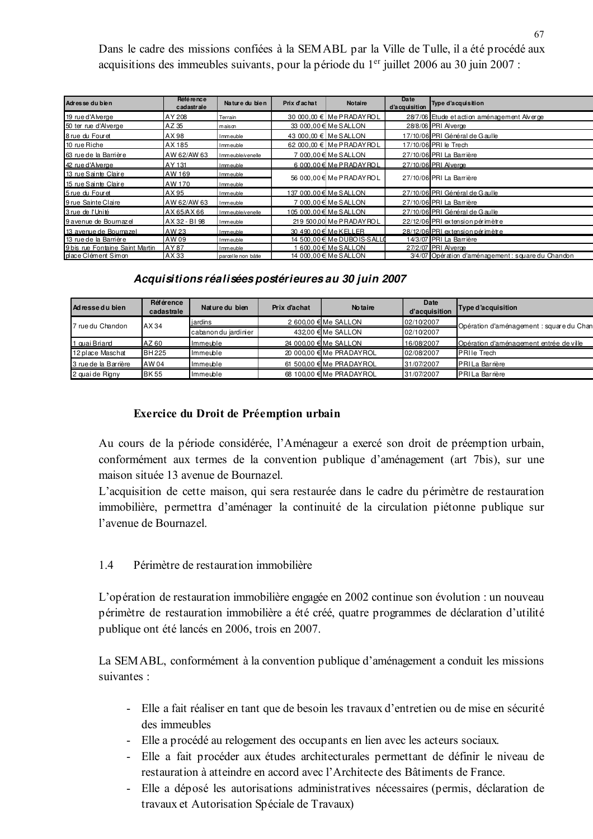Dans le cadre des missions confiées à la SEMABL par la Ville de Tulle, il a été procédé aux acquisitions des immeubles suivants, pour la période du 1<sup>er</sup> juillet 2006 au 30 juin 2007 :

| Adresse du bien                 | Référence<br>cadastrale | Nature du bien      | Prix d'achat | <b>Notaire</b>                  | Date<br>d'acquisition | Type d'acquisition                                 |
|---------------------------------|-------------------------|---------------------|--------------|---------------------------------|-----------------------|----------------------------------------------------|
| 19 rue d'Alverge                | AY 208                  | Terrain             |              | 30 000,00 € Me PRADAY ROL       |                       | 28/7/06 Etude et action aménagement Alverge        |
| 50 ter rue d'Alverge            | AZ 35                   | maison              |              | 33 000,00 € Me SALLON           |                       | 28/8/06 PRI Alverge                                |
| 8 rue du Fouret                 | AX 98                   | Immeuble            |              | 43 000,00 € Me SALLON           |                       | 17/10/06 PRI Général de Gaulle                     |
| 10 rue Riche                    | AX 185                  | Immeuble            |              | 62 000,00 € Me PRADAY ROL       |                       | 17/10/06 PRI le Trech                              |
| 63 rue de la Barrière           | AW 62/AW 63             | Immeuble/venelle    |              | 7 000,00 € Me SALLON            |                       | 27/10/06 PRI La Barrière                           |
| 42 rue d'Alverge                | IAY 131                 | Immeuble            |              | 6 000.00 € Me PRADAYROL         |                       | 27/10/06 PRI Alverge                               |
| 13 rue Sainte Claire            | AW 169                  | Immeuble            |              |                                 |                       |                                                    |
| 15 rue Sainte Claire            | AW 170                  | Immeuble            |              | 56 000,00 € Me PRADAY ROL       |                       | 27/10/06 PRI La Barrière                           |
| 5 rue du Fouret                 | AX 95                   | Immeuble            |              | 137 000.00 € Me SALLON          |                       | 27/10/06 PRI Général de Gaulle                     |
| 9 rue Sainte Claire             | AW 62/AW 63             | Immeuble            |              | 7 000,00 € Me SALLON            |                       | 27/10/06 PRI La Barrière                           |
| 3 rue de l'Unité                | AX 65/AX 66             | Immeuble/venelle    |              | 105 000,00 € Me SALLON          |                       | 27/10/06 PRI Général de Gaulle                     |
| 9 avenue de Bournaz el          | AX 32 - BI 98           | Immeuble            |              | 219 500,00 Me PRADAY ROL        |                       | 22/12/06 PRI extension périmètre                   |
| 13 avenue de Bournazel          | AW 23                   | Immeuble            |              | 30 490.00 € Me KELLER           |                       | 28/12/06 PRI extension périmètre                   |
| 13 rue de la Barrière           | AW 09                   | Immeuble            |              | 14 500,00 € Me DUBO IS-SALLO    |                       | 14/3/07 PRI La Barrière                            |
| 9 bis rue Fontaine Saint Martin | AY 87                   | Immeuble            |              | $600.00 \in \mathsf{Me}$ SALLON |                       | 27/2/07 PRI Alverge                                |
| place Clément Simon             | AX 33                   | parcel le non bâtie |              | 14 000,00 € Me SALLON           |                       | 3/4/07 Opération d'aménagement : square du Chandon |

## *Acquisitions réalisées postérieures au 30 juin 2007*

| Ad ressed u bien     | Référence<br>cadastrale | Nature du bien       | Prix d'achat | <b>No taire</b>          | Date<br>d'acquisition | Type d'acquisition                       |
|----------------------|-------------------------|----------------------|--------------|--------------------------|-----------------------|------------------------------------------|
| 7 rue du Chandon     | AX 34                   | jardins              |              | 2 600,00 € Me SALLON     | 02/10/2007            | Opération d'aménagement : square du Chan |
|                      |                         | cabanon du jardinier |              | 432.00 € Me SALLON       | 02/10/2007            |                                          |
| auai Briand          | AZ 60                   | <b>Immeuble</b>      |              | 24 000.00 € Me SALLON    | 16/08/2007            | Opération d'aménagement entrée de ville  |
| 12 place Maschat     | <b>BH225</b>            | Immeuble             |              | 20 000.00 € Me PRADAYROL | 02/08/2007            | <b>PRIIe Trech</b>                       |
| 3 rue de la Barrière | AW 04                   | Immeuble             |              | 61 500.00 € Me PRADAYROL | 31/07/2007            | PRI La Barrière                          |
| 2 quai de Rigny      | <b>BK55</b>             | Immeuble             |              | 68 100.00 € Me PRADAYROL | 31/07/2007            | PRI La Barrière                          |

## Exercice du Droit de Préemption urbain

Au cours de la période considérée, l'Aménageur a exercé son droit de préemption urbain, conformément aux termes de la convention publique d'aménagement (art 7bis), sur une maison située 13 avenue de Bournazel.

L'acquisition de cette maison, qui sera restaurée dans le cadre du périmètre de restauration immobilière, permettra d'aménager la continuité de la circulation piétonne publique sur l'avenue de Bournazel.

# 1.4 Périmètre de restauration immobilière

L'opération de restauration immobilière engagée en 2002 continue son évolution : un nouveau périmètre de restauration immobilière a été créé, quatre programmes de déclaration d'utilité publique ont été lancés en 2006, trois en 2007.

La SEMABL, conformément à la convention publique d'aménagement a conduit les missions suivantes :

- Elle a fait réaliser en tant que de besoin les travaux d'entretien ou de mise en sécurité des immeubles
- Elle a procédé au relogement des occupants en lien avec les acteurs sociaux.
- Elle a fait procéder aux études architecturales permettant de définir le niveau de restauration à atteindre en accord avec l'Architecte des Bâtiments de France.
- Elle a déposé les autorisations administratives nécessaires (permis, déclaration de travaux et Autorisation Spéciale de Travaux)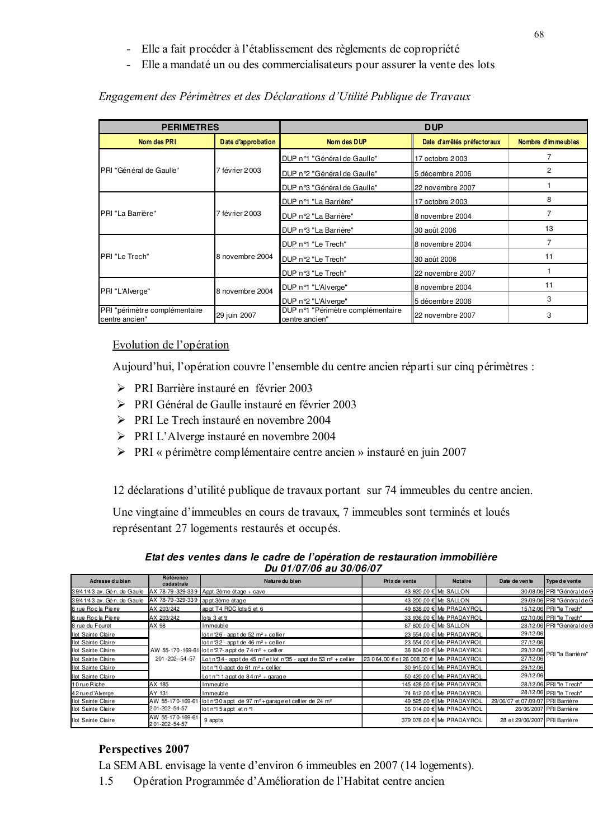- Elle a fait procéder à l'établissement des règlements de copropriété
- Elle a mandaté un ou des commercialisateurs pour assurer la vente des lots

| <b>PERIMETRES</b>                               |                    | <b>DUP</b>                                          |                  |                     |  |  |
|-------------------------------------------------|--------------------|-----------------------------------------------------|------------------|---------------------|--|--|
| Nom des PRI                                     | Date d'approbation | Date d'arrêtés préfectoraux<br>Nom des DUP          |                  | Nombre d'imme ubles |  |  |
|                                                 |                    | DUP n°1 "Général de Gaulle"                         | 17 octobre 2003  |                     |  |  |
| PRI "Général de Gaulle"                         | 7 février 2003     | DUP n°2 "Général de Gaulle"                         | 5 décembre 2006  |                     |  |  |
|                                                 |                    | DUP nº3 "Général de Gaulle"                         | 22 novembre 2007 |                     |  |  |
| PRI "La Barrière"                               |                    | DUP n°1 "La Barrière"                               | 17 octobre 2003  | 8                   |  |  |
|                                                 | 7 février 2003     | DUP n°2 "La Barrière"                               | 8 novembre 2004  |                     |  |  |
|                                                 |                    | DUP nº3 "La Barrière"                               | 30 août 2006     | 13                  |  |  |
|                                                 |                    | DUP n°1 "Le Trech"                                  | 8 novembre 2004  |                     |  |  |
| PRI "Le Trech"                                  | 8 novembre 2004    | DUP n°2 "Le Trech"                                  | 30 août 2006     | 11                  |  |  |
|                                                 |                    | DUP nº3 "Le Trech"                                  | 22 novembre 2007 |                     |  |  |
| PRI "L'Alverge"                                 | 8 novembre 2004    | DUP n°1 "L'Alverge"                                 | 8 novembre 2004  | 11                  |  |  |
|                                                 |                    | DUP n°2 "L'Alverge"                                 | 5 décembre 2006  | 3                   |  |  |
| PRI "périmètre complémentaire<br>centre ancien" | 29 juin 2007       | DUP n°1 "Périmètre complémentaire<br>centre ancien" | 22 novembre 2007 | 3                   |  |  |

## Engagement des Périmètres et des Déclarations d'Utilité Publique de Travaux

## Evolution de l'opération

Aujourd'hui, l'opération couvre l'ensemble du centre ancien réparti sur cinq périmètres :

- > PRI Barrière instauré en février 2003
- > PRI Général de Gaulle instauré en février 2003
- > PRI Le Trech instauré en novembre 2004
- > PRI L'Alverge instauré en novembre 2004
- > PRI « périmètre complémentaire centre ancien » instauré en juin 2007

12 déclarations d'utilité publique de travaux portant sur 74 immeubles du centre ancien.

Une vingtaine d'immeubles en cours de travaux, 7 immeubles sont terminés et loués représentant 27 logements restaurés et occupés.

| Adresse du bien             | Référence<br>cadastrale           | Nature du bien                                                                         | Prix de vente                            | <b>Notaire</b>            | Date de vente                      | Type de vente             |  |  |  |
|-----------------------------|-----------------------------------|----------------------------------------------------------------------------------------|------------------------------------------|---------------------------|------------------------------------|---------------------------|--|--|--|
| 39/41/43 av. Gén. de Gaulle |                                   | AX 78-79-329-339 Appt 2ème étage + cave                                                |                                          | 43 920,00 € Me SALLON     |                                    | 30/08/06 PRI "Généralde G |  |  |  |
| 39/41/43 av. Gén. de Gaulle | AX 78-79-329-339 appt 3ème étage  |                                                                                        |                                          | 43 200,00 € Me SALLON     |                                    | 29/09/06 PRI "Généralde G |  |  |  |
| 8 rue Rocla Pierre          | AX 203/242                        | appt T4 RDC lots 5 et 6                                                                |                                          | 49 838,00 € Me PRADAYROL  |                                    | 15/12/06 PRI "le Trech"   |  |  |  |
| 8 rue Rocla Pierre          | AX 203/242                        | lots 3 et 9                                                                            |                                          | 33 936,00 € Me PRADAYROL  |                                    | 02/10/06 PRI "le Trech"   |  |  |  |
| 8 rue du Fouret             | AX 98                             | Immeuble                                                                               |                                          | 87 800 00 € Me SALLON     |                                    | 28/12/06 PRI "Généralde G |  |  |  |
| Ilot Sainte Claire          |                                   | lot n°26 - appt de 52 m <sup>2</sup> + ce llie r                                       |                                          | 23 554,00 € Me PRADAYROL  | 29/12/06                           |                           |  |  |  |
| Ilot Sainte Claire          |                                   | lot $n^3$ 2 - appt de 46 m <sup>2</sup> + cellier                                      |                                          | 23 554.00 € Me PRADAYROL  | 27/12/06                           |                           |  |  |  |
| Ilot Sainte Claire          |                                   | AW 55-170-169-61 lot n 27- appt de 74m <sup>2</sup> + celli er                         |                                          | 36 804 00 € Me PRADAYROL  | 29/12/06                           | PRI "la Barriè re"        |  |  |  |
| Ilot Sainte Claire          | 201-202--54-57                    | Lotn 34 - appt de 45 m <sup>2</sup> et lot n 35 - appt de 53 m <sup>2</sup> + cell ier | 23 0 64,00 € et 26 008,00 € Me PRADAYROL |                           | 27/12/06                           |                           |  |  |  |
| Ilot Sainte Claire          |                                   | lot n <sup>o</sup> 1 0-appt de 61 m <sup>2</sup> + cellier                             |                                          | 30 915,00 € Me PRADAYROL  | 29/12/06                           |                           |  |  |  |
| Ilot Sainte Claire          |                                   | Lotn <sup>o</sup> 1 appt de 84m <sup>2</sup> + garage                                  |                                          | 50 420.00 € Me PRADAYROL  | 29/12/06                           |                           |  |  |  |
| 10rueRiche                  | AX 185                            | Immeuble                                                                               |                                          | 145 428,00 € Me PRADAYROL |                                    | 28/12/06 PRI "le Trech"   |  |  |  |
| 42 rued 'Alverge            | AY 131                            | Immeuble                                                                               |                                          | 74 612,00 € Me PRADAYROL  |                                    | 28/12/06 PRI "le Trech"   |  |  |  |
| Ilot Sainte Claire          | AW 55-170-169-61                  | lot n°30 appt de 97 m <sup>2</sup> + garage et cellier de 24 m <sup>2</sup>            |                                          | 49 525,00 € Me PRADAYROL  | 29/06/07 et 07/09/07 PRI Barriè re |                           |  |  |  |
| Ilot Sainte Claire          | 201-202-54-57                     | otn <sup>o</sup> 5appt etn <sup>o</sup> 1                                              |                                          | 36 014 00 € Me PRADAYROL  |                                    | 26/06/2007 PRI Barriè re  |  |  |  |
| Ilot Sainte Claire          | AW 55-170-169-61<br>201-202-54-57 | 9 appts                                                                                |                                          | 379 076,00 € Me PRADAYROL | 28 et 29/06/2007 PRI Barrière      |                           |  |  |  |

*Etat des ventes dans le cadre de l'opération de restauration immobilière Du 01/07/06 au 30/06/07*

## Perspectives 2007

La SEM ABL envisage la vente d'environ 6 immeubles en 2007 (14 logements).

1.5 Opération Programmée d'Amélioration de l'Habitat centre ancien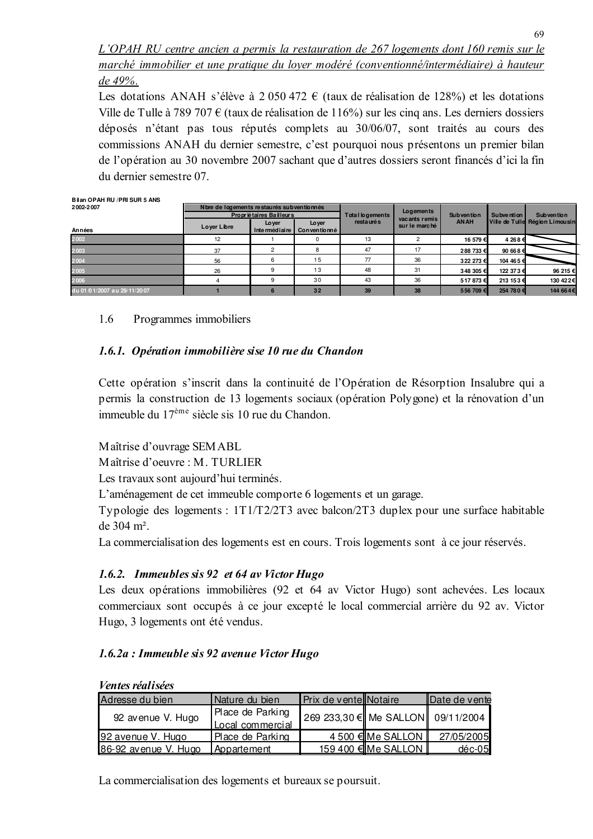L'OPAH RU centre ancien a permis la restauration de 267 logements dont 160 remis sur le marché immobilier et une pratique du lover modéré (conventionné/intermédiaire) à hauteur de 49%.

Les dotations ANAH s'élève à 2 050 472  $\epsilon$  (taux de réalisation de 128%) et les dotations Ville de Tulle à 789 707  $\epsilon$  (taux de réalisation de 116%) sur les cinq ans. Les derniers dossiers déposés n'étant pas tous réputés complets au 30/06/07, sont traités au cours des commissions ANAH du dernier semestre, c'est pourquoi nous présentons un premier bilan de l'opération au 30 novembre 2007 sachant que d'autres dossiers seront financés d'ici la fin du dernier semestre 07

| Bilan OPAH RU / PRI SUR 5 ANS |                                            |                         |                       |                        |               |                   |                   |                                |
|-------------------------------|--------------------------------------------|-------------------------|-----------------------|------------------------|---------------|-------------------|-------------------|--------------------------------|
| 2002-2007                     | N bre de logements restaurés subventionnés |                         |                       |                        | Logements     |                   |                   |                                |
|                               |                                            | Propriétaires Bailleurs |                       | <b>Total logements</b> | vacants remis | <b>Subvention</b> | Subvention        | <b>Subvention</b>              |
| Années                        | Lover Libre                                | Lover<br>Intermédiaire  | Lover<br>Conventionné | resta uré s            | sur le marché | <b>AN AH</b>      |                   | Ville de Tulle Région Limousin |
| 2002                          | 12                                         |                         |                       | 13                     |               | 16 579 €          | 4 268 €           |                                |
| 2003                          | 37                                         | 2                       | 8                     | 47                     | 17            | 288 733 €         | 90 668 $\epsilon$ |                                |
| 2004                          | 56                                         | 6                       | 15                    | 77                     | 36            | 322 273 €         | 104 465 €         |                                |
| 2005                          | 26                                         | 9                       | 13                    | 48                     | 31            | 348 305 €         | 122 37 3€         | 96 215 €                       |
| 2006                          |                                            |                         | 30                    | 43                     | 36            | 517873€           | 213 153 €         | 130 42 2€                      |
| du 01/01/2007 au 29/11/2007   |                                            | 6                       | 32                    | 39                     | 38            | 556 709€          | 254 78 0€         | 144 664€                       |

#### 1.6 Programmes immobiliers

# 1.6.1. Opération immobilière sise 10 rue du Chandon

Cette opération s'inscrit dans la continuité de l'Opération de Résorption Insalubre qui a permis la construction de 13 logements sociaux (opération Polygone) et la rénovation d'un immeuble du 17<sup>ème</sup> siècle sis 10 rue du Chandon.

Maîtrise d'ouvrage SEMABL

Maîtrise d'oeuvre : M. TURLIER

Les travaux sont aujourd'hui terminés.

L'aménagement de cet immeuble comporte 6 logements et un garage.

Typologie des logements : 1T1/T2/2T3 avec balcon/2T3 duplex pour une surface habitable de  $304 \text{ m}^2$ .

La commercialisation des logements est en cours. Trois logements sont à ce jour réservés.

# 1.6.2. Immeubles sis 92 et 64 av Victor Hugo

Les deux opérations immobilières (92 et 64 av Victor Hugo) sont achevées. Les locaux commerciaux sont occupés à ce jour excepté le local commercial arrière du 92 av. Victor Hugo, 3 logements ont été vendus.

# 1.6.2a : Immeuble sis 92 avenue Victor Hugo

| <i>ventes realisées</i> |                                      |                                   |                       |               |
|-------------------------|--------------------------------------|-----------------------------------|-----------------------|---------------|
| Adresse du bien         | Nature du bien                       | Prix de vente Notaire             |                       | Date de vente |
| 92 avenue V. Hugo       | Place de Parking                     | 269 233,30 € Me SALLON 09/11/2004 |                       |               |
| 92 avenue V. Hugo       | Local commercial<br>Place de Parking |                                   | 4 500 €IMe SALLON I   | 27/05/2005    |
| 186-92 avenue V. Hugo   | <b>Appartement</b>                   |                                   | 159 400 € Me SALLON I | $d$ éc-05     |

 $U_{\alpha\alpha}$ tas vágliságs

La commercialisation des logements et bureaux se poursuit.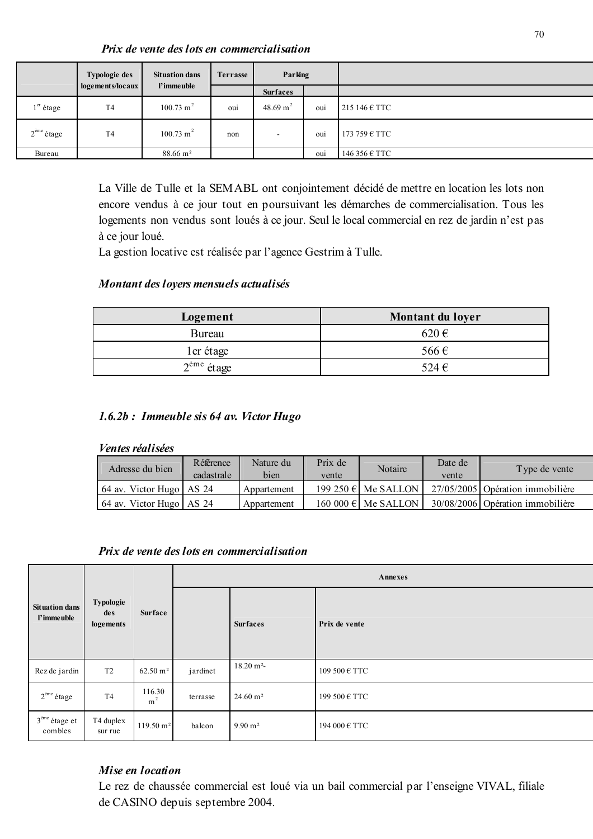Prix de vente des lots en commercialisation

|                       | Typologie des    | <b>Situation dans</b> | Terrasse | Parking                  |     |                        |
|-----------------------|------------------|-----------------------|----------|--------------------------|-----|------------------------|
|                       | logements/locaux | l'imme uble           |          | <b>Surfaces</b>          |     |                        |
| 1 <sup>er</sup> étage | T <sub>4</sub>   | $100.73 \text{ m}^2$  | oui      | 48.69 m <sup>2</sup>     | oui | 215 146 $\epsilon$ TTC |
| $2eme$ étage          | T <sub>4</sub>   | $100.73 \text{ m}^2$  | non      | $\overline{\phantom{a}}$ | ou1 | 173 759 $\epsilon$ TTC |
| Bureau                |                  | 88.66 m <sup>2</sup>  |          |                          | oui | 146 356 € TTC          |

La Ville de Tulle et la SEMABL ont conjointement décidé de mettre en location les lots non encore vendus à ce jour tout en poursuivant les démarches de commercialisation. Tous les logements non vendus sont loués à ce jour. Seul le local commercial en rez de jardin n'est pas à ce jour loué.

La gestion locative est réalisée par l'agence Gestrim à Tulle.

## Montant des loyers mensuels actualisés

| Logement               | Montant du loyer |
|------------------------|------------------|
| <b>Bureau</b>          | $620 \in$        |
| ler étage              | 566€             |
| $2^{\text{eme}}$ étage | 524 $\in$        |

## 1.6.2b : Immeuble sis 64 av. Victor Hugo

#### *Ventes réalisées*

| Adresse du bien          | Référence<br>cadastrale | Nature du<br>bien | Prix de<br>vente | Notaire                      | Date de<br>vente | Type de vente                    |
|--------------------------|-------------------------|-------------------|------------------|------------------------------|------------------|----------------------------------|
| 64 av. Victor Hugo AS 24 |                         | Appartement       |                  | 199 250 $\epsilon$ Me SALLON |                  | 27/05/2005 Opération immobilière |
| 64 av. Victor Hugo AS 24 |                         | Appartement       |                  | 160 000 $\epsilon$ Me SALLON |                  | 30/08/2006 Opération immobilière |

### Prix de vente des lots en commercialisation

|                                      |                               |                          | Annexes  |                     |               |  |
|--------------------------------------|-------------------------------|--------------------------|----------|---------------------|---------------|--|
| <b>Situation dans</b><br>l'imme uble | Typologie<br>des<br>logements | Surface                  |          | <b>Surfaces</b>     | Prix de vente |  |
| Rez de jardin                        | T <sub>2</sub>                | $62.50 \text{ m}^2$      | jardinet | $18.20 \text{ m}^2$ | 109 500 € TTC |  |
| $2^{\text{eme}}$ étage               | T <sub>4</sub>                | 116.30<br>m <sup>2</sup> | terrasse | $24.60 \text{ m}^2$ | 199 500 € TTC |  |
| $3eme$ étage et<br>combles           | T4 duplex<br>sur rue          | $119.50 \text{ m}^2$     | balcon   | $9.90 \text{ m}^2$  | 194 000 € TTC |  |

## Mise en location

Le rez de chaussée commercial est loué via un bail commercial par l'enseigne VIVAL, filiale de CASINO depuis septembre 2004.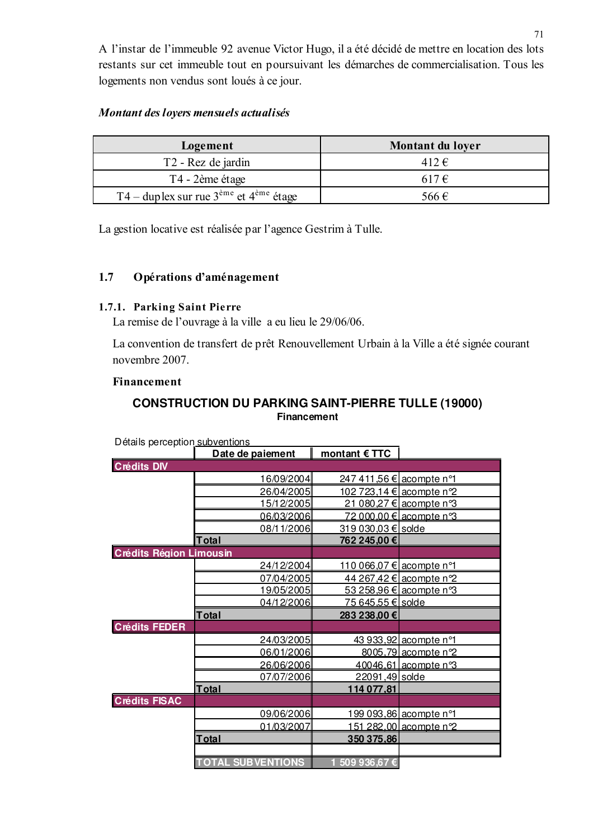A l'instar de l'immeuble 92 avenue Victor Hugo, il a été décidé de mettre en location des lots restants sur cet immeuble tout en poursuivant les démarches de commercialisation. Tous les logements non vendus sont loués à ce jour.

## Montant des loyers mensuels actualisés

| Logement                                                       | Montant du loyer |
|----------------------------------------------------------------|------------------|
| T <sub>2</sub> - Rez de jardin                                 | 412 €            |
| T4 - 2ème étage                                                | $617 \in$        |
| T4 – duplex sur rue $3^{\text{eme}}$ et $4^{\text{eme}}$ étage | 566€             |

La gestion locative est réalisée par l'agence Gestrim à Tulle.

## 1.7 Opérations d'aménagement

## 1.7.1. Parking Saint Pierre

La remise de l'ouvrage à la ville a eu lieu le 29/06/06.

La convention de transfert de prêt Renouvellement Urbain à la Ville a été signée courant novembre 2007.

## Financement

# **CONSTRUCTION DU PARKING SAINT-PIERRE TULLE (19000) Financement**

| <b>Details perseption <u>subventions</u></b> |                          | montant $\epsilon$ TTC          |                                 |
|----------------------------------------------|--------------------------|---------------------------------|---------------------------------|
|                                              | Date de paiement         |                                 |                                 |
| <b>Crédits DIV</b>                           |                          |                                 |                                 |
|                                              | 16/09/2004               | <u>247 411,56 € acompte n°1</u> |                                 |
|                                              | 26/04/2005               |                                 | <u>102 723,14 € acompte n°2</u> |
|                                              | 15/12/2005               |                                 | 21 080,27 € acompte n°3         |
|                                              | 06/03/2006               |                                 | 72 000,00 € acompte n°3         |
|                                              | 08/11/2006               | 319 030,03 € solde              |                                 |
|                                              | <b>Total</b>             | 762 245,00 €                    |                                 |
| <b>Crédits Région Limousin</b>               |                          |                                 |                                 |
|                                              | 24/12/2004               | <u>110 066,07 € acompte n°1</u> |                                 |
|                                              | 07/04/2005               |                                 | 44 267,42 € acompte n°2         |
|                                              | 19/05/2005               |                                 | <u>53 258,96 € acompte n°3</u>  |
|                                              | 04/12/2006               | <u>75 645,55 € solde</u>        |                                 |
|                                              | Total                    | 283 238,00 €                    |                                 |
| <b>Crédits FEDER</b>                         |                          |                                 |                                 |
|                                              | 24/03/2005               |                                 | 43 933,92 acompte n°1           |
|                                              | 06/01/2006               |                                 | 8005,79 acompte n°2             |
|                                              | 26/06/2006               |                                 | 40046,61 acompte n°3            |
|                                              | 07/07/2006               | 22091,49 solde                  |                                 |
|                                              | Total                    | 114 077,81                      |                                 |
| <b>Crédits FISAC</b>                         |                          |                                 |                                 |
|                                              | 09/06/2006               |                                 | 199 093,86 acompte n°1          |
|                                              | 01/03/2007               |                                 | 151 282,00 acompte n°2          |
|                                              | <b>Total</b>             | 350 375,86                      |                                 |
|                                              |                          |                                 |                                 |
|                                              | <b>TOTAL SUBVENTIONS</b> | 1 509 936,67€                   |                                 |

Détails perception subventions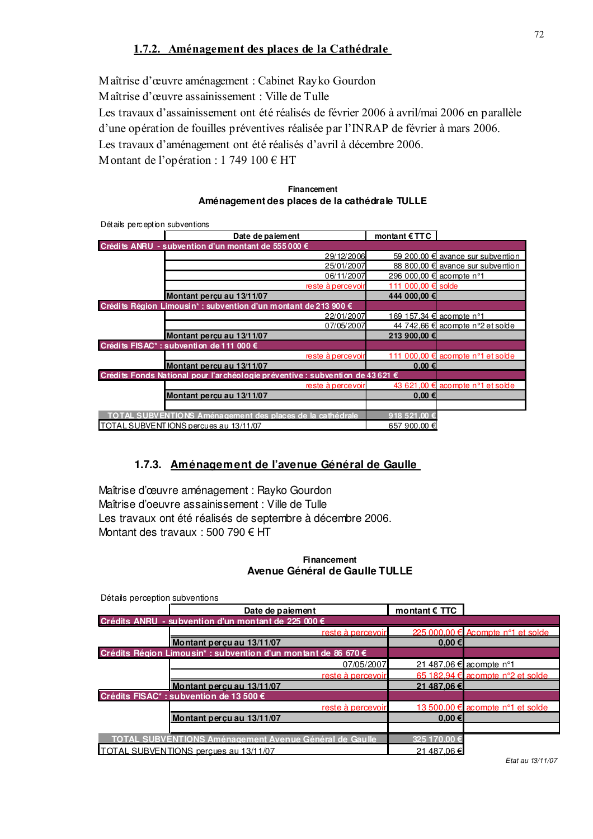# 1.7.2. Aménagement des places de la Cathédrale

Maîtrise d'œuvre aménagement : Cabinet Rayko Gourdon Maîtrise d'œuvre assainissement : Ville de Tulle Les travaux d'assainissement ont été réalisés de février 2006 à avril/mai 2006 en parallèle d'une opération de fouilles préventives réalisée par l'INRAP de février à mars 2006. Les travaux d'aménagement ont été réalisés d'avril à décembre 2006. M ontant de l'opération : 1 749  $100 \in HT$ 

| <b>Financement</b>                            |  |
|-----------------------------------------------|--|
| Aménagement des places de la cathédrale TULLE |  |

| Détails perception subventions                                               |                          |                                   |
|------------------------------------------------------------------------------|--------------------------|-----------------------------------|
| Date de paiement                                                             | montant $ETTC$           |                                   |
| Crédits ANRU - subvention d'un montant de 555 000 €                          |                          |                                   |
| 29/12/2006                                                                   |                          | 59 200,00 € avance sur subvention |
| 25/01/2007                                                                   |                          | 88 800,00 € avance sur subvention |
| 06/11/2007                                                                   | 296 000,00 € acompte n°1 |                                   |
| reste à percevoir                                                            | 111 000,00 € solde       |                                   |
| Montant percu au 13/11/07                                                    | 444 000.00 €             |                                   |
| Crédits Région Limousin* : subvention d'un montant de 213 900 €              |                          |                                   |
| 22/01/2007                                                                   |                          | 169 157,34 € acompte n°1          |
| 07/05/2007                                                                   |                          | 44 742,66 € acompte n°2 et solde  |
| Montant percu au 13/11/07                                                    | 213 900,00 €             |                                   |
| Crédits FISAC* : subvention de 111 000 €                                     |                          |                                   |
| reste à percevoir                                                            | 111                      | 000,00 € acompte n°1 et solde     |
| Montant perçu au 13/11/07                                                    | $0,00 \in$               |                                   |
| Crédits Fonds National pour l'archéologie préventive : subvention de 43621 € |                          |                                   |
| reste à percevoir                                                            |                          | 43 621,00 € acompte n°1 et solde  |
| Montant percu au 13/11/07                                                    | $0.00 \in$               |                                   |
|                                                                              |                          |                                   |
| TOTAL SUBVENTIONS Aménagement des places de la cathédrale                    | 918 521.00 €             |                                   |
| TOTAL SUBVENTIONS percues au 13/11/07                                        | 657 900,00 €             |                                   |

## **1.7.3. Aménagement de l'avenue Général de Gaulle**

Maîtrise d'œuvre aménagement : Rayko Gourdon Maîtrise d'oeuvre assainissement : Ville de Tulle Les travaux ont été réalisés de septembre à décembre 2006. Montant des travaux : 500 790  $\epsilon$  HT

#### **Financement Avenue Général de Gaulle TULLE**

| Detaile hercention suprentions                                 |                        |                                   |
|----------------------------------------------------------------|------------------------|-----------------------------------|
| Date de paiement                                               | montant $\epsilon$ TTC |                                   |
| Crédits ANRU - subvention d'un montant de 225 000 €            |                        |                                   |
| reste à percevoir                                              |                        | 225 000.00 € Acompte n°1 et solde |
| Montant percu au 13/11/07                                      | 0.00 ∈                 |                                   |
| Crédits Région Limousin* : subvention d'un montant de 86 670 € |                        |                                   |
| 07/05/2007                                                     |                        | 21 487,06 € acompte n°1           |
| reste à percevoir                                              |                        | 65 182.94 € acompte n°2 et solde  |
| Montant percu au 13/11/07                                      | 21 487.06 €            |                                   |
| Crédits FISAC* : subvention de 13 500 €                        |                        |                                   |
| reste à percevoir                                              |                        | 13 500,00 € acompte n°1 et solde  |
| Montant percu au 13/11/07                                      | 0.00 ∈                 |                                   |
|                                                                |                        |                                   |
| <b>TOTAL SUBVENTIONS Aménagement Avenue Général de Gaulle</b>  | 325 170.00 €           |                                   |
| TOTAL SUBVENTIONS percues au 13/11/07                          | 21 487.06 €            |                                   |

Détails perception subventions

*Etat au 13/11/07*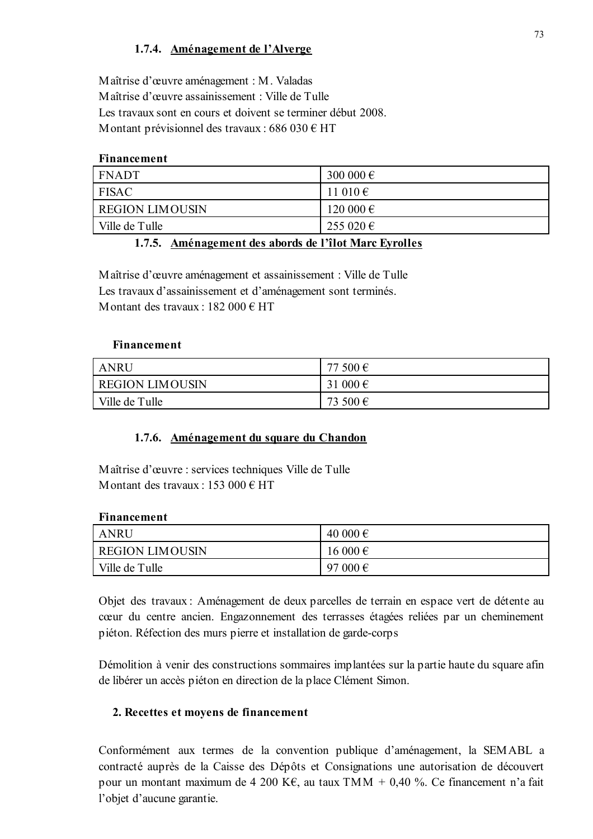## 1.7.4. Aménagement de l'Alverge

Maîtrise d'œuvre aménagement : M. Valadas Maîtrise d'œuvre assainissement : Ville de Tulle Les travaux sont en cours et doivent se terminer début 2008. Montant prévisionnel des travaux : 686 030 € HT

## **Financement**

| <b>FNADT</b>           | 300 000 $\epsilon$ |
|------------------------|--------------------|
| <b>FISAC</b>           | 11 010 $\epsilon$  |
| <b>REGION LIMOUSIN</b> | 120 000 €          |
| Ville de Tulle         | 255 020 €          |

## 1.7.5. Aménagement des abords de l'îlot Marc Eyrolles

Maîtrise d'œuvre aménagement et assainissement : Ville de Tulle Les travaux d'assainissement et d'aménagement sont terminés. M ontant des travaux : 182 000  $\epsilon$  HT

## Financement

| <b>ANRU</b>            | 77 500 €          |
|------------------------|-------------------|
| <b>REGION LIMOUSIN</b> | 31 000 $\epsilon$ |
| Ville de Tulle         | 73 500 €          |

## 1.7.6. Aménagement du square du Chandon

Maîtrise d'œuvre : services techniques Ville de Tulle M ontant des travaux : 153 000  $\epsilon$  HT

| Financement            |             |
|------------------------|-------------|
| <b>ANRU</b>            | 40 000 €    |
| <b>REGION LIMOUSIN</b> | $16000 \in$ |
| Ville de Tulle         | 97 000 €    |

Objet des travaux : Aménagement de deux parcelles de terrain en espace vert de détente au cœur du centre ancien. Engazonnement des terrasses étagées reliées par un cheminement piéton. Réfection des murs pierre et installation de garde-corps

Démolition à venir des constructions sommaires implantées sur la partie haute du square afin de libérer un accès piéton en direction de la place Clément Simon.

## 2. Recettes et moyens de financement

Conformément aux termes de la convention publique d'aménagement, la SEMABL a contracté auprès de la Caisse des Dépôts et Consignations une autorisation de découvert pour un montant maximum de 4 200 K€, au taux TMM + 0,40 %. Ce financement n'a fait l'objet d'aucune garantie.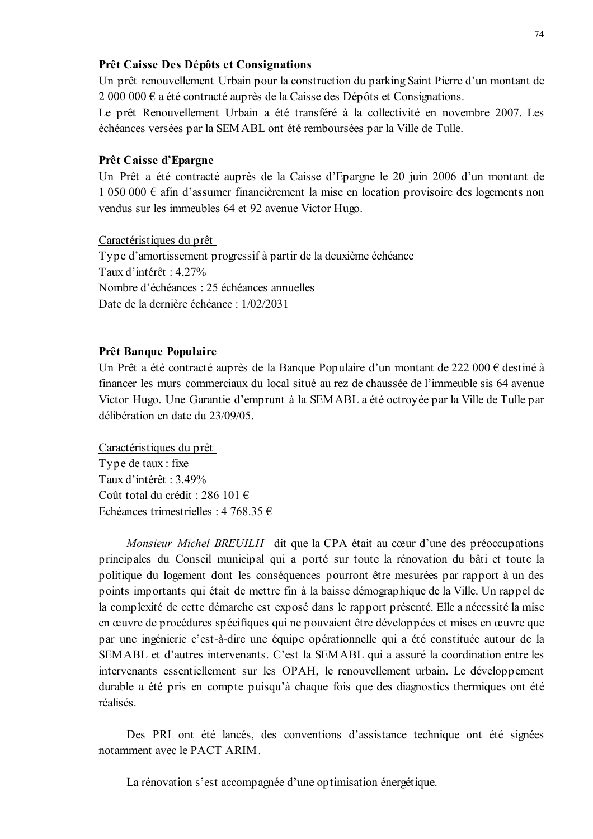## Prêt Caisse Des Dépôts et Consignations

Un prêt renouvellement Urbain pour la construction du parking Saint Pierre d'un montant de  $2000000 \in$  a été contracté auprès de la Caisse des Dépôts et Consignations.

Le prêt Renouvellement Urbain a été transféré à la collectivité en novembre 2007. Les échéances versées par la SEMABL ont été remboursées par la Ville de Tulle.

#### Prêt Caisse d'Epargne

Un Prêt a été contracté auprès de la Caisse d'Epargne le 20 juin 2006 d'un montant de 1 050 000 € afin d'assumer financièrement la mise en location provisoire des logements non vendus sur les immeubles 64 et 92 avenue Victor Hugo.

Caractéristiques du prêt

Type d'amortissement progressif à partir de la deuxième échéance Taux d'intérêt : 4.27% Nombre d'échéances : 25 échéances annuelles Date de la dernière échéance : 1/02/2031

#### **Prêt Banque Populaire**

Un Prêt a été contracté auprès de la Banque Populaire d'un montant de 222 000 € destiné à financer les murs commerciaux du local situé au rez de chaussée de l'immeuble sis 64 avenue Victor Hugo. Une Garantie d'emprunt à la SEMABL a été octroyée par la Ville de Tulle par délibération en date du 23/09/05.

Caractéristiques du prêt Type de taux : fixe Taux d'intérêt : 3.49% Coût total du crédit : 286 101 € Echéances trimestrielles : 4 768.35 €

Monsieur Michel BREUILH dit que la CPA était au cœur d'une des préoccupations principales du Conseil municipal qui a porté sur toute la rénovation du bâti et toute la politique du logement dont les conséquences pourront être mesurées par rapport à un des points importants qui était de mettre fin à la baisse démographique de la Ville. Un rappel de la complexité de cette démarche est exposé dans le rapport présenté. Elle a nécessité la mise en œuvre de procédures spécifiques qui ne pouvaient être développées et mises en œuvre que par une ingénierie c'est-à-dire une équipe opérationnelle qui a été constituée autour de la SEMABL et d'autres intervenants. C'est la SEMABL qui a assuré la coordination entre les intervenants essentiellement sur les OPAH, le renouvellement urbain. Le développement durable a été pris en compte puisqu'à chaque fois que des diagnostics thermiques ont été réalisés.

Des PRI ont été lancés, des conventions d'assistance technique ont été signées notamment avec le PACT ARIM

La rénovation s'est accompagnée d'une optimisation énergétique.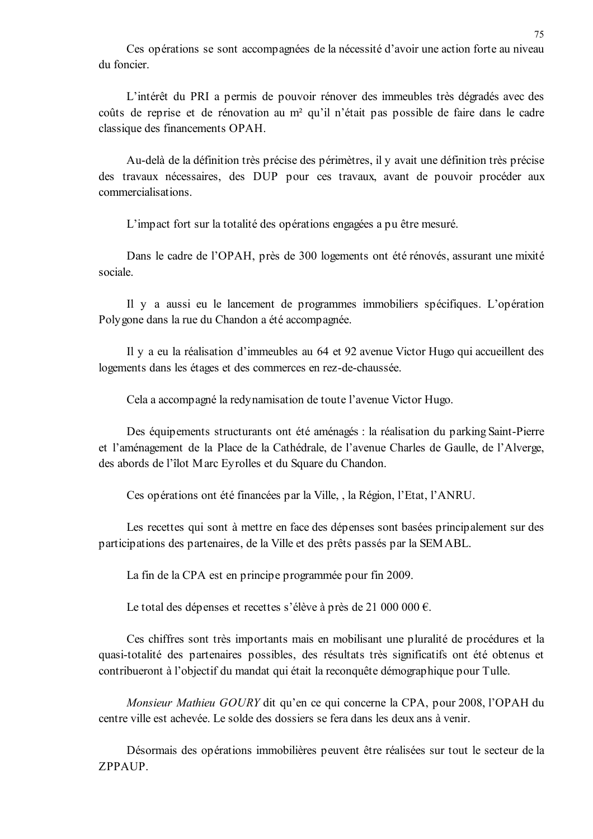Ces opérations se sont accompagnées de la nécessité d'avoir une action forte au niveau du foncier

L'intérêt du PRI a permis de pouvoir rénover des immeubles très dégradés avec des coûts de reprise et de rénovation au m<sup>2</sup> qu'il n'était pas possible de faire dans le cadre classique des financements OPAH.

Au-delà de la définition très précise des périmètres, il y avait une définition très précise des travaux nécessaires, des DUP pour ces travaux, avant de pouvoir procéder aux commercialisations.

L'impact fort sur la totalité des opérations engagées a pu être mesuré.

Dans le cadre de l'OPAH, près de 300 logements ont été rénovés, assurant une mixité sociale

Il y a aussi eu le lancement de programmes immobiliers spécifiques. L'opération Polygone dans la rue du Chandon a été accompagnée.

Il y a eu la réalisation d'immeubles au 64 et 92 avenue Victor Hugo qui accueillent des logements dans les étages et des commerces en rez-de-chaussée.

Cela a accompagné la redynamisation de toute l'avenue Victor Hugo.

Des équipements structurants ont été aménagés : la réalisation du parking Saint-Pierre et l'aménagement de la Place de la Cathédrale, de l'avenue Charles de Gaulle, de l'Alverge, des abords de l'îlot Marc Eyrolles et du Square du Chandon.

Ces opérations ont été financées par la Ville, , la Région, l'Etat, l'ANRU.

Les recettes qui sont à mettre en face des dépenses sont basées principalement sur des participations des partenaires, de la Ville et des prêts passés par la SEMABL.

La fin de la CPA est en principe programmée pour fin 2009.

Le total des dépenses et recettes s'élève à près de 21 000 000  $\epsilon$ .

Ces chiffres sont très importants mais en mobilisant une pluralité de procédures et la quasi-totalité des partenaires possibles, des résultats très significatifs ont été obtenus et contribueront à l'objectif du mandat qui était la reconquête démographique pour Tulle.

Monsieur Mathieu GOURY dit qu'en ce qui concerne la CPA, pour 2008, l'OPAH du centre ville est achevée. Le solde des dossiers se fera dans les deux ans à venir.

Désormais des opérations immobilières peuvent être réalisées sur tout le secteur de la ZPPAUP.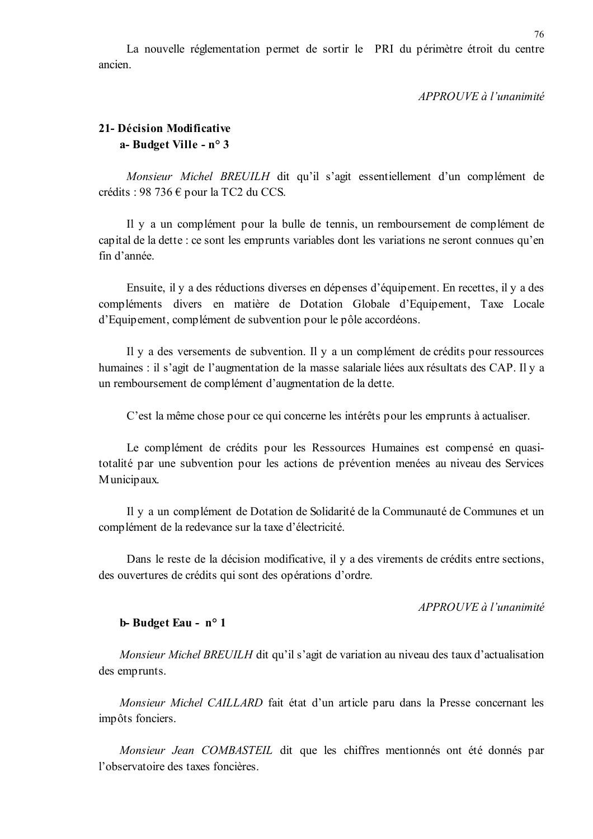La nouvelle réglementation permet de sortir le PRI du périmètre étroit du centre ancien

#### APPROUVE à l'unanimité

## 21- Décision Modificative a-Budget Ville - n° 3

Monsieur Michel BREUILH dit qu'il s'agit essentiellement d'un complément de crédits : 98 736 € pour la TC2 du CCS.

Il y a un complément pour la bulle de tennis, un remboursement de complément de capital de la dette : ce sont les emprunts variables dont les variations ne seront connues qu'en fin d'année.

Ensuite, il y a des réductions diverses en dépenses d'équipement. En recettes, il y a des compléments divers en matière de Dotation Globale d'Equipement, Taxe Locale d'Equipement, complément de subvention pour le pôle accordéons.

Il y a des versements de subvention. Il y a un complément de crédits pour ressources humaines : il s'agit de l'augmentation de la masse salariale liées aux résultats des CAP. Il y a un remboursement de complément d'augmentation de la dette.

C'est la même chose pour ce qui concerne les intérêts pour les emprunts à actualiser.

Le complément de crédits pour les Ressources Humaines est compensé en quasitotalité par une subvention pour les actions de prévention menées au niveau des Services Municipaux.

Il y a un complément de Dotation de Solidarité de la Communauté de Communes et un complément de la redevance sur la taxe d'électricité.

Dans le reste de la décision modificative, il y a des virements de crédits entre sections, des ouvertures de crédits qui sont des opérations d'ordre.

 $APPROIIVE$  à l'unanimité

#### b-Budget Eau - n° 1

*Monsieur Michel BREUILH* dit qu'il s'agit de variation au niveau des taux d'actualisation des emprunts.

Monsieur Michel CAILLARD fait état d'un article paru dans la Presse concernant les impôts fonciers.

Monsieur Jean COMBASTEIL dit que les chiffres mentionnés ont été donnés par l'observatoire des taxes foncières.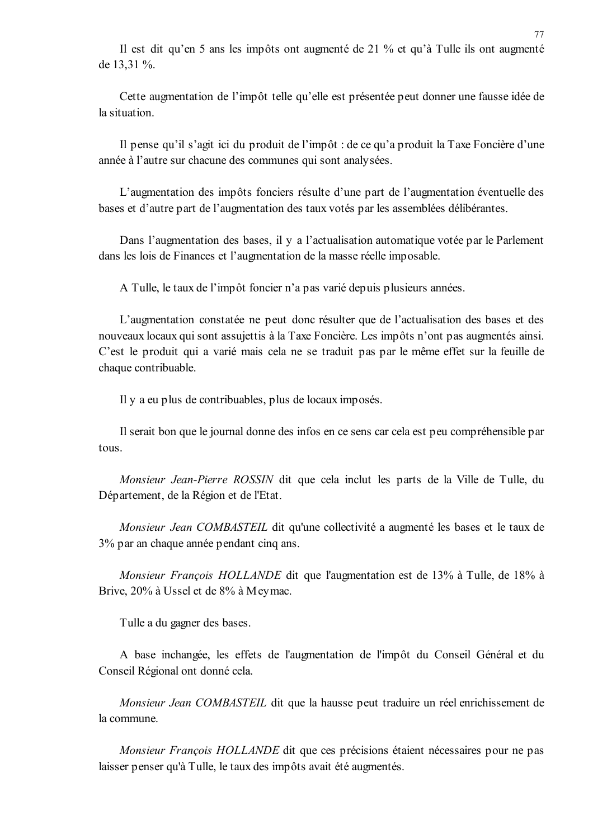Il est dit qu'en 5 ans les impôts ont augmenté de 21 % et qu'à Tulle ils ont augmenté de 13.31 %.

Cette augmentation de l'impôt telle qu'elle est présentée peut donner une fausse idée de la situation.

Il pense qu'il s'agit ici du produit de l'impôt : de ce qu'a produit la Taxe Foncière d'une année à l'autre sur chacune des communes qui sont analysées.

L'augmentation des impôts fonciers résulte d'une part de l'augmentation éventuelle des bases et d'autre part de l'augmentation des taux votés par les assemblées délibérantes.

Dans l'augmentation des bases, il y a l'actualisation automatique votée par le Parlement dans les lois de Finances et l'augmentation de la masse réelle imposable.

A Tulle, le taux de l'impôt foncier n'a pas varié depuis plusieurs années.

L'augmentation constatée ne peut donc résulter que de l'actualisation des bases et des nouveaux locaux qui sont assujettis à la Taxe Foncière. Les impôts n'ont pas augmentés ainsi. C'est le produit qui a varié mais cela ne se traduit pas par le même effet sur la feuille de chaque contribuable.

Il y a eu plus de contribuables, plus de locaux imposés.

Il serait bon que le journal donne des infos en ce sens car cela est peu compréhensible par tous.

Monsieur Jean-Pierre ROSSIN dit que cela inclut les parts de la Ville de Tulle, du Département, de la Région et de l'Etat.

Monsieur Jean COMBASTEIL dit qu'une collectivité a augmenté les bases et le taux de 3% par an chaque année pendant cinq ans.

Monsieur François HOLLANDE dit que l'augmentation est de 13% à Tulle, de 18% à Brive, 20% à Ussel et de 8% à Meymac.

Tulle a du gagner des bases.

A base inchangée, les effets de l'augmentation de l'impôt du Conseil Général et du Conseil Régional ont donné cela.

Monsieur Jean COMBASTEIL dit que la hausse peut traduire un réel enrichissement de la commune.

*Monsieur François HOLLANDE* dit que ces précisions étaient nécessaires pour ne pas laisser penser qu'à Tulle, le taux des impôts avait été augmentés.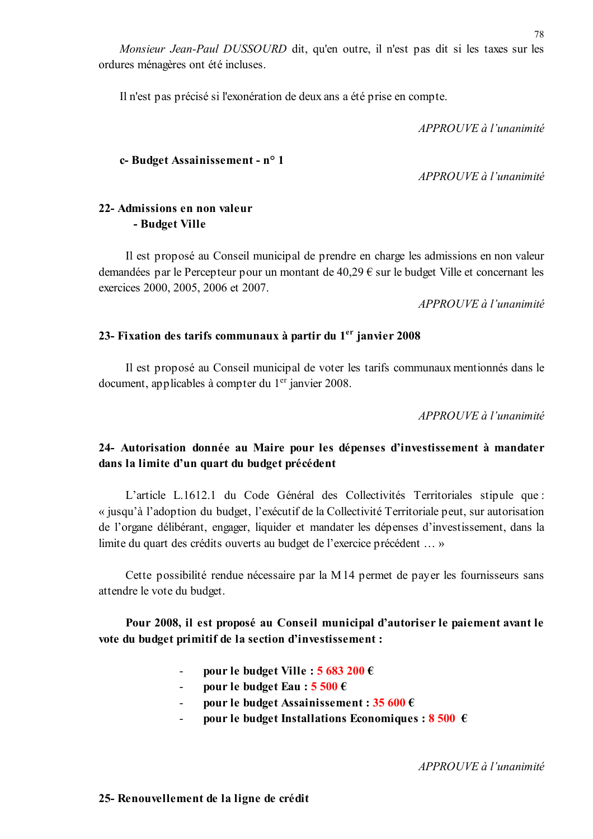Monsieur Jean-Paul DUSSOURD dit, qu'en outre, il n'est pas dit si les taxes sur les ordures ménagères ont été incluses.

Il n'est pas précisé si l'exonération de deux ans a été prise en compte.

 $APPROIIVE \d{d} l'unanimit\acute{e}$ 

## c-Budget Assainissement - n° 1

 $APPROUVE \d0$  l'unanimité

## 22- Admissions en non valeur - Budget Ville

Il est proposé au Conseil municipal de prendre en charge les admissions en non valeur demandées par le Percepteur pour un montant de  $40,29 \in \text{sur}$  le budget Ville et concernant les exercices 2000, 2005, 2006 et 2007.

APPROUVE à l'unanimité

## 23- Fixation des tarifs communaux à partir du 1<sup>er</sup> janvier 2008

Il est proposé au Conseil municipal de voter les tarifs communaux mentionnés dans le document, applicables à compter du 1<sup>er</sup> janvier 2008.

APPROUVE à l'unanimité

## 24- Autorisation donnée au Maire pour les dépenses d'investissement à mandater dans la limite d'un quart du budget précédent

L'article L.1612.1 du Code Général des Collectivités Territoriales stipule que : « jusqu'à l'adoption du budget, l'exécutif de la Collectivité Territoriale peut, sur autorisation de l'organe délibérant, engager, liquider et mandater les dépenses d'investissement, dans la limite du quart des crédits ouverts au budget de l'exercice précédent ... »

Cette possibilité rendue nécessaire par la M14 permet de payer les fournisseurs sans attendre le vote du budget.

Pour 2008, il est proposé au Conseil municipal d'autoriser le paiement avant le vote du budget primitif de la section d'investissement :

- pour le budget Ville :  $5683200 \in$
- pour le budget Eau :  $5500 \in$  $\mathcal{L}^{\mathcal{A}}$
- pour le budget Assainissement :  $35600 \in$
- pour le budget Installations Economiques :  $8500 \text{ } \in$

APPROUVE à l'unanimité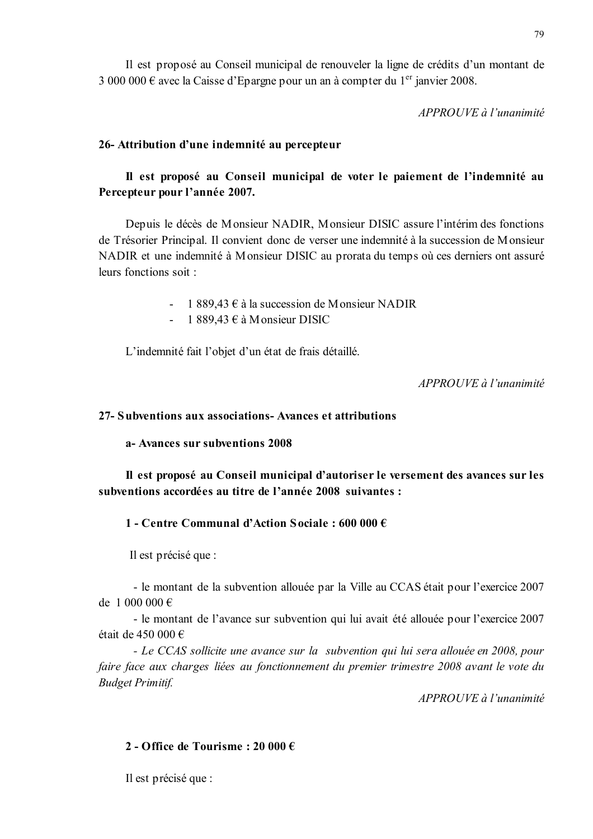APPROUVE à l'unanimité

## 26- Attribution d'une indemnité au percepteur

# Il est proposé au Conseil municipal de voter le paiement de l'indemnité au Percepteur pour l'année 2007.

Depuis le décès de Monsieur NADIR, Monsieur DISIC assure l'intérim des fonctions de Trésorier Principal. Il convient donc de verser une indemnité à la succession de Monsieur NADIR et une indemnité à Monsieur DISIC au prorata du temps où ces derniers ont assuré leurs fonctions soit :

- 1 889,43  $\epsilon$  à la succession de Monsieur NADIR
- 1 889.43  $\epsilon$  à Monsieur DISIC  $\Delta \sim 10^{-1}$

L'indemnité fait l'objet d'un état de frais détaillé.

 $APPROUVE \d{d} l'unanimité$ 

## 27- Subventions aux associations- Avances et attributions

## a- Avances sur subventions 2008

Il est proposé au Conseil municipal d'autoriser le versement des avances sur les subventions accordées au titre de l'année 2008 suivantes :

## 1 - Centre Communal d'Action Sociale : 600 000  $\epsilon$

Il est précisé que :

- le montant de la subvention allouée par la Ville au CCAS était pour l'exercice 2007 de 1 000 000  $\in$ 

- le montant de l'avance sur subvention qui lui avait été allouée pour l'exercice 2007 était de 450 000 €

- Le CCAS sollicite une avance sur la subvention qui lui sera allouée en 2008, pour faire face aux charges liées au fonctionnement du premier trimestre 2008 avant le vote du **Budget Primitif.** 

 $APPROUVE$  à l'unanimité

## 2 - Office de Tourisme : 20 000  $\epsilon$

Il est précisé que :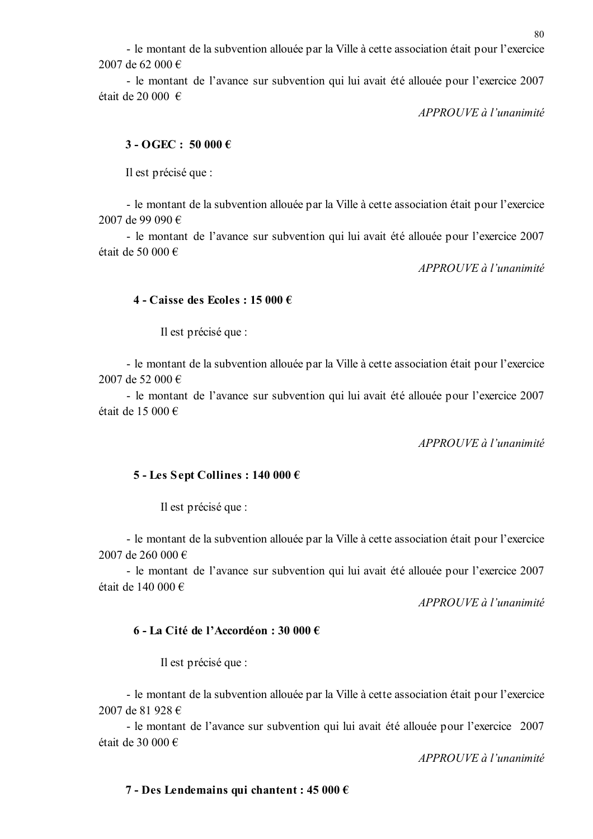- le montant de la subvention allouée par la Ville à cette association était pour l'exercice 2007 de 62 000 €

- le montant de l'avance sur subvention qui lui avait été allouée pour l'exercice 2007 était de 20 000 €

APPROUVE à l'unanimité

## $3 - OGEC: 50000 \in$

Il est précisé que :

- le montant de la subvention allouée par la Ville à cette association était pour l'exercice 2007 de 99 090 €

- le montant de l'avance sur subvention qui lui avait été allouée pour l'exercice 2007 était de 50 000 €

APPROUVE à l'unanimité

## 4 - Caisse des Ecoles : 15 000 €

Il est précisé que :

- le montant de la subvention allouée par la Ville à cette association était pour l'exercice 2007 de 52 000 €

- le montant de l'avance sur subvention qui lui avait été allouée pour l'exercice 2007 était de 15 000 €

APPROUVE à l'unanimité

## 5 - Les Sept Collines : 140 000 €

Il est précisé que :

- le montant de la subvention allouée par la Ville à cette association était pour l'exercice 2007 de 260 000  $\in$ 

- le montant de l'avance sur subvention qui lui avait été allouée pour l'exercice 2007 était de 140 000 €

APPROUVE à l'unanimité

## 6 - La Cité de l'Accordéon : 30 000 €

Il est précisé que :

- le montant de la subvention allouée par la Ville à cette association était pour l'exercice 2007 de 81 928 €

- le montant de l'avance sur subvention qui lui avait été allouée pour l'exercice 2007 était de 30 000 €

 $APPROUVE$  à l'unanimité

# 80

# 7 - Des Lendemains qui chantent : 45 000 €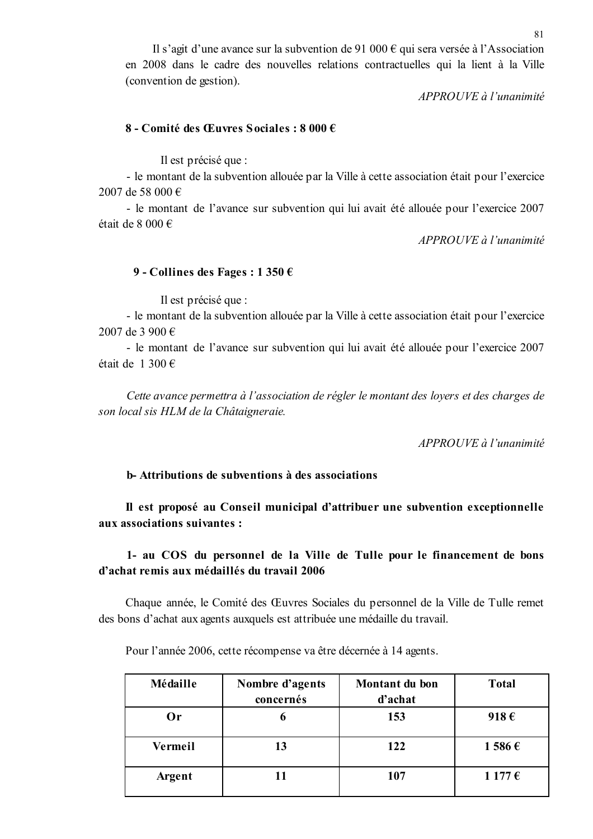Il s'agit d'une avance sur la subvention de 91 000  $\epsilon$  qui sera versée à l'Association en 2008 dans le cadre des nouvelles relations contractuelles qui la lient à la Ville (convention de gestion).

APPROUVE à l'unanimité

## 8 - Comité des Œuvres Sociales : 8 000 €

Il est précisé que :

- le montant de la subvention allouée par la Ville à cette association était pour l'exercice 2007 de 58 000 €

- le montant de l'avance sur subvention qui lui avait été allouée pour l'exercice 2007 était de 8 000  $\in$ 

APPROUVE à l'unanimité

## 9 - Collines des Fages : 1 350  $\epsilon$

Il est précisé que :

- le montant de la subvention allouée par la Ville à cette association était pour l'exercice 2007 de 3 900 €

- le montant de l'avance sur subvention qui lui avait été allouée pour l'exercice 2007 était de 1 300 €

Cette avance permettra à l'association de régler le montant des loyers et des charges de son local sis HLM de la Châtaigneraie.

APPROUVE à l'unanimité

## **b** Attributions de subventions à des associations

Il est proposé au Conseil municipal d'attribuer une subvention exceptionnelle aux associations suivantes :

1- au COS du personnel de la Ville de Tulle pour le financement de bons d'achat remis aux médaillés du travail 2006

Chaque année, le Comité des Œuvres Sociales du personnel de la Ville de Tulle remet des bons d'achat aux agents auxquels est attribuée une médaille du travail.

Pour l'année 2006, cette récompense va être décernée à 14 agents.

| Médaille | Nombre d'agents<br>concernés | Montant du bon<br>d'achat | <b>Total</b>   |
|----------|------------------------------|---------------------------|----------------|
| Or       | o                            | 153                       | 918 $\epsilon$ |
| Vermeil  | 13                           | 122                       | $1586 \in$     |
| Argent   | 11                           | 107                       | $1177 \in$     |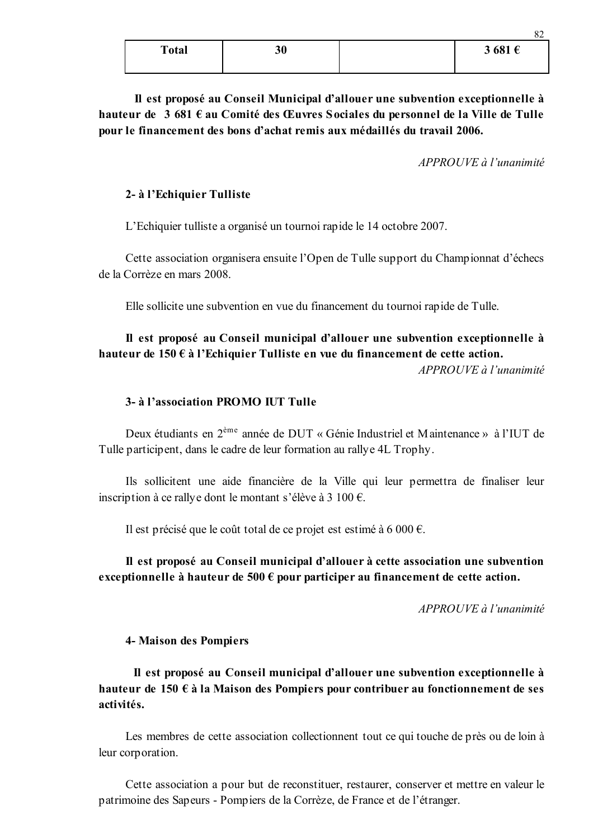| <b>Total</b> | 30 | 3681f<br>ັ |
|--------------|----|------------|
|              |    |            |

Il est proposé au Conseil Municipal d'allouer une subvention exceptionnelle à hauteur de 3 681 € au Comité des Œuvres Sociales du personnel de la Ville de Tulle pour le financement des bons d'achat remis aux médaillés du travail 2006.

 $APPROUVE$  à l'unanimité

82

#### 2- à l'Echiquier Tulliste

L'Echiquier tulliste a organisé un tournoi rapide le 14 octobre 2007.

Cette association organisera ensuite l'Open de Tulle support du Championnat d'échecs de la Corrèze en mars 2008.

Elle sollicite une subvention en vue du financement du tournoi rapide de Tulle.

# Il est proposé au Conseil municipal d'allouer une subvention exceptionnelle à hauteur de 150 € à l'Echiquier Tulliste en vue du financement de cette action.

 $APPROIIVE$  à l'unanimité

## 3- à l'association PROMO IUT Tulle

Deux étudiants en 2<sup>ème</sup> année de DUT « Génie Industriel et Maintenance » à l'IUT de Tulle participent, dans le cadre de leur formation au rallye 4L Trophy.

Ils sollicitent une aide financière de la Ville qui leur permettra de finaliser leur inscription à ce rally e dont le montant s'élève à 3 100  $\epsilon$ .

Il est précisé que le coût total de ce projet est estimé à 6 000  $\epsilon$ .

## Il est proposé au Conseil municipal d'allouer à cette association une subvention exceptionnelle à hauteur de 500  $\epsilon$  pour participer au financement de cette action.

APPROUVE à l'unanimité

**4- Maison des Pompiers** 

Il est proposé au Conseil municipal d'allouer une subvention exceptionnelle à hauteur de 150  $\epsilon$  à la Maison des Pompiers pour contribuer au fonctionnement de ses activités.

Les membres de cette association collectionnent tout ce qui touche de près ou de loin à leur corporation.

Cette association a pour but de reconstituer, restaurer, conserver et mettre en valeur le patrimoine des Sapeurs - Pompiers de la Corrèze, de France et de l'étranger.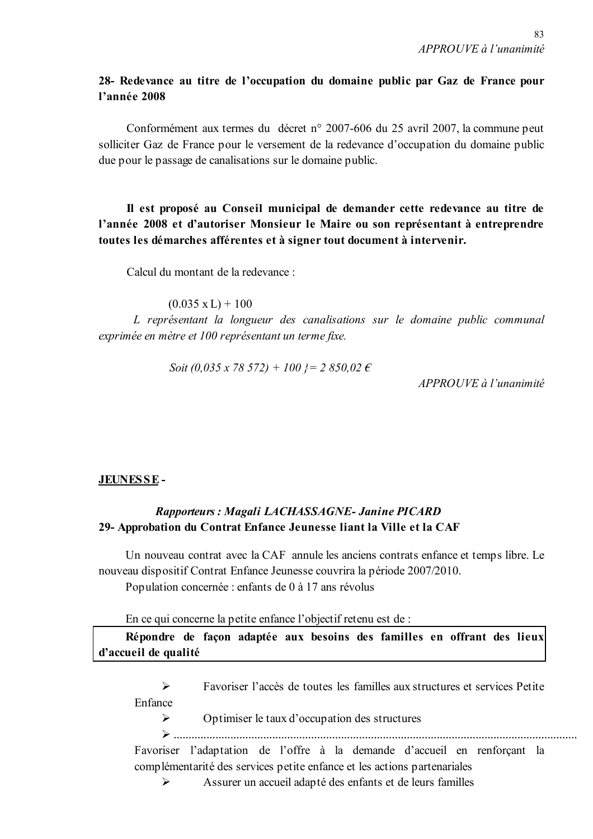## 28- Redevance au titre de l'occupation du domaine public par Gaz de France pour l'année 2008

Conformément aux termes du décret n° 2007-606 du 25 avril 2007, la commune peut solliciter Gaz de France pour le versement de la redevance d'occupation du domaine public due pour le passage de canalisations sur le domaine public.

## Il est proposé au Conseil municipal de demander cette redevance au titre de l'année 2008 et d'autoriser Monsieur le Maire ou son représentant à entreprendre toutes les démarches afférentes et à signer tout document à intervenir.

Calcul du montant de la redevance :

 $(0.035 \text{ x L}) + 100$ 

L représentant la longueur des canalisations sur le domaine public communal exprimée en mètre et 100 représentant un terme fixe.

Soit (0.035 x 78 572) + 100  $\ell$  = 2 850.02  $\epsilon$ 

 $APPROUVE \d{d} l'unanimité$ 

## JEUNESSE-

## Rapporteurs: Magali LACHASSAGNE- Janine PICARD 29- Approbation du Contrat Enfance Jeunesse liant la Ville et la CAF

Un nouveau contrat avec la CAF annule les anciens contrats enfance et temps libre. Le nouveau dispositif Contrat Enfance Jeunesse couvrira la période 2007/2010. Population concernée : enfants de 0 à 17 ans révolus

En ce qui concerne la petite enfance l'objectif retenu est de :

Répondre de façon adaptée aux besoins des familles en offrant des lieux d'accueil de qualité

 $\triangleright$ Favoriser l'accès de toutes les familles aux structures et services Petite Enfance

 $\blacktriangleright$ Optimiser le taux d'occupation des structures

Favoriser l'adaptation de l'offre à la demande d'accueil en renforçant la complémentarité des services petite enfance et les actions partenariales

 $\blacktriangleright$ Assurer un accueil adapté des enfants et de leurs familles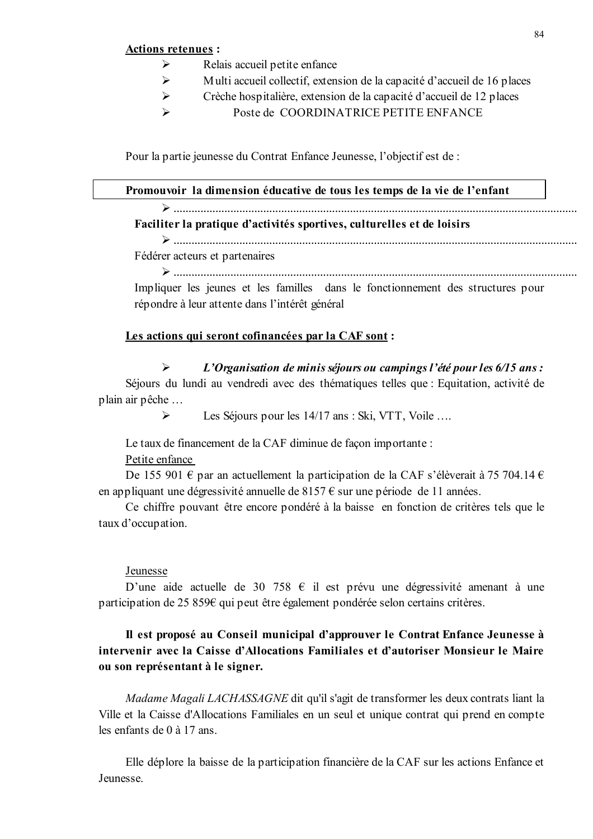#### **Actions retenues :**

- Relais accueil petite enfance  $\blacktriangleright$
- $\blacktriangleright$ Multi accueil collectif, extension de la capacité d'accueil de 16 places
- $\blacktriangleright$ Crèche hospitalière, extension de la capacité d'accueil de 12 places
- $\blacktriangleright$ Poste de COORDINATRICE PETITE ENFANCE

Pour la partie jeunesse du Contrat Enfance Jeunesse, l'objectif est de :

#### Promouvoir la dimension éducative de tous les temps de la vie de l'enfant

 $\sum$ Faciliter la pratique d'activités sportives, culturelles et de loisirs

## 

Fédérer acteurs et partenaires

Impliquer les jeunes et les familles dans le fonctionnement des structures pour répondre à leur attente dans l'intérêt général

## Les actions qui seront cofinancées par la CAF sont :

#### $\triangleright$ L'Organisation de minis séjours ou campings l'été pour les 6/15 ans :

Séjours du lundi au vendredi avec des thématiques telles que : Equitation, activité de plain air pêche ...

> $\blacktriangleright$ Les Séjours pour les 14/17 ans : Ski, VTT, Voile ....

Le taux de financement de la CAF diminue de facon importante : Petite enfance

De 155 901  $\epsilon$  par an actuellement la participation de la CAF s'élèverait à 75 704.14  $\epsilon$ en appliquant une dégressivité annuelle de 8157  $\epsilon$  sur une période de 11 années.

Ce chiffre pouvant être encore pondéré à la baisse en fonction de critères tels que le taux d'occupation.

#### Jeunesse

D'une aide actuelle de 30 758  $\epsilon$  il est prévu une dégressivité amenant à une participation de 25 859€ qui peut être également pondérée selon certains critères.

## Il est proposé au Conseil municipal d'approuver le Contrat Enfance Jeunesse à intervenir avec la Caisse d'Allocations Familiales et d'autoriser Monsieur le Maire ou son représentant à le signer.

Madame Magali LACHASSAGNE dit qu'il s'agit de transformer les deux contrats liant la Ville et la Caisse d'Allocations Familiales en un seul et unique contrat qui prend en compte les enfants de  $0$  à 17 ans

Elle déplore la baisse de la participation financière de la CAF sur les actions Enfance et **Jeunesse**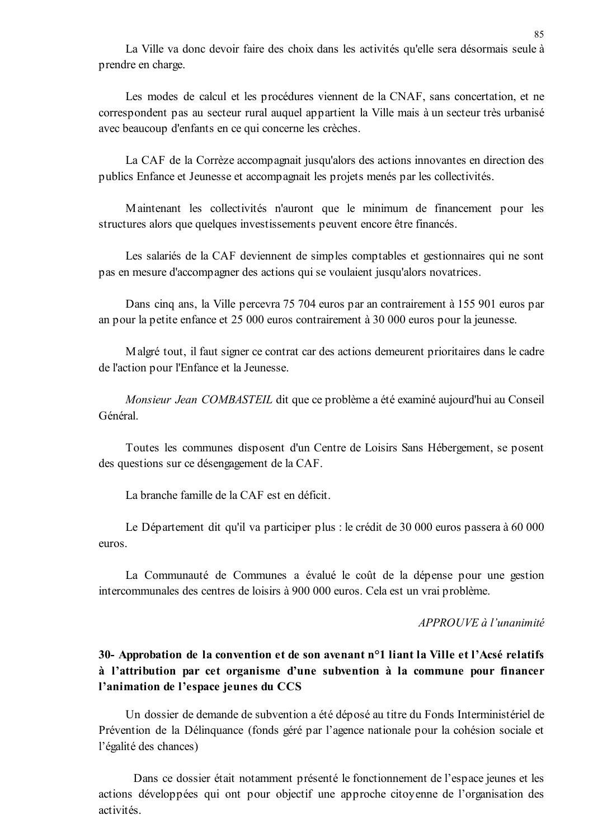La Ville va donc devoir faire des choix dans les activités qu'elle sera désormais seule à prendre en charge.

Les modes de calcul et les procédures viennent de la CNAF, sans concertation, et ne correspondent pas au secteur rural auquel appartient la Ville mais à un secteur très urbanisé avec beaucoup d'enfants en ce qui concerne les crèches.

La CAF de la Corrèze accompagnait jusqu'alors des actions innovantes en direction des publics Enfance et Jeunesse et accompagnait les projets menés par les collectivités.

Maintenant les collectivités n'auront que le minimum de financement pour les structures alors que quelques investissements peuvent encore être financés.

Les salariés de la CAF deviennent de simples comptables et gestionnaires qui ne sont pas en mesure d'accompagner des actions qui se voulaient jusqu'alors novatrices.

Dans cinq ans, la Ville percevra 75 704 euros par an contrairement à 155 901 euros par an pour la petite enfance et 25 000 euros contrairement à 30 000 euros pour la jeunesse.

Malgré tout, il faut signer ce contrat car des actions demeurent prioritaires dans le cadre de l'action pour l'Enfance et la Jeunesse.

Monsieur Jean COMBASTEIL dit que ce problème a été examiné aujourd'hui au Conseil Général.

Toutes les communes disposent d'un Centre de Loisirs Sans Hébergement, se posent des questions sur ce désengagement de la CAF.

La branche famille de la CAF est en déficit.

Le Département dit qu'il va participer plus : le crédit de 30 000 euros passera à 60 000 euros

La Communauté de Communes a évalué le coût de la dépense pour une gestion intercommunales des centres de loisirs à 900 000 euros. Cela est un vrai problème.

#### APPROUVE à l'unanimité

## 30- Approbation de la convention et de son avenant n°1 liant la Ville et l'Acsé relatifs à l'attribution par cet organisme d'une subvention à la commune pour financer l'animation de l'espace jeunes du CCS

Un dossier de demande de subvention a été déposé au titre du Fonds Interministériel de Prévention de la Délinquance (fonds géré par l'agence nationale pour la cohésion sociale et l'égalité des chances)

Dans ce dossier était notamment présenté le fonctionnement de l'espace jeunes et les actions développées qui ont pour objectif une approche citoyenne de l'organisation des activités.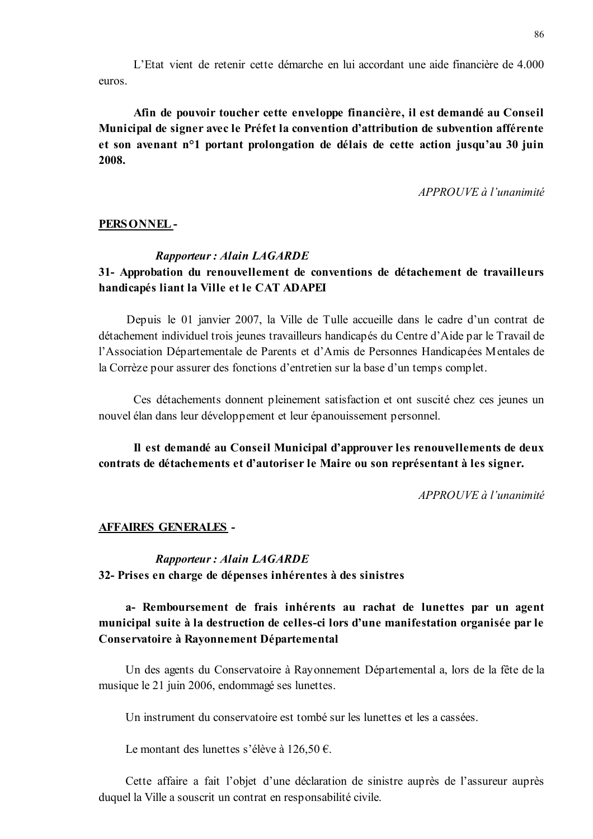L'Etat vient de retenir cette démarche en lui accordant une aide financière de 4.000 euros.

Afin de pouvoir toucher cette enveloppe financière, il est demandé au Conseil Municipal de signer avec le Préfet la convention d'attribution de subvention afférente et son avenant n<sup>o</sup>1 portant prolongation de délais de cette action jusqu'au 30 juin 2008.

APPROUVE à l'unanimité

#### PERSONNEL-

#### **Rapporteur: Alain LAGARDE**

## 31- Approbation du renouvellement de conventions de détachement de travailleurs handicapés liant la Ville et le CAT ADAPEI

Depuis le 01 janvier 2007, la Ville de Tulle accueille dans le cadre d'un contrat de détachement individuel trois jeunes travailleurs handicapés du Centre d'Aide par le Travail de l'Association Départementale de Parents et d'Amis de Personnes Handicapées Mentales de la Corrèze pour assurer des fonctions d'entretien sur la base d'un temps complet.

Ces détachements donnent pleinement satisfaction et ont suscité chez ces jeunes un nouvel élan dans leur développement et leur épanouissement personnel.

Il est demandé au Conseil Municipal d'approuver les renouvellements de deux contrats de détachements et d'autoriser le Maire ou son représentant à les signer.

APPROUVE à l'unanimité

#### **AFFAIRES GENERALES -**

## **Rapporteur: Alain LAGARDE** 32- Prises en charge de dépenses inhérentes à des sinistres

## a- Remboursement de frais inhérents au rachat de lunettes par un agent municipal suite à la destruction de celles-ci lors d'une manifestation organisée par le Conservatoire à Rayonnement Départemental

Un des agents du Conservatoire à Rayonnement Départemental a, lors de la fête de la musique le 21 juin 2006, endommagé ses lunettes.

Un instrument du conservatoire est tombé sur les lunettes et les a cassées.

Le montant des lunettes s'élève à 126.50 €.

Cette affaire a fait l'objet d'une déclaration de sinistre auprès de l'assureur auprès duquel la Ville a souscrit un contrat en responsabilité civile.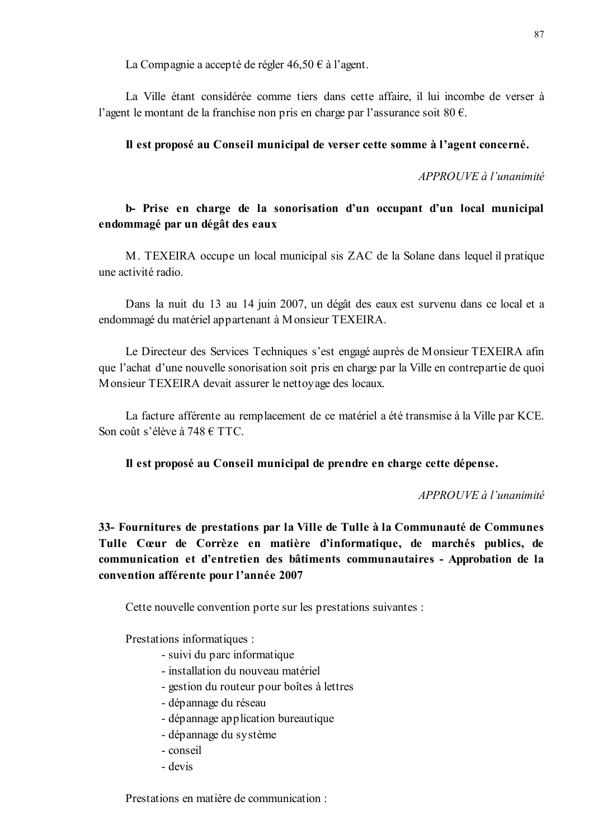La Compagnie a accepté de régler  $46,50 \in \hat{a}$  l'agent.

La Ville étant considérée comme tiers dans cette affaire, il lui incombe de verser à l'agent le montant de la franchise non pris en charge par l'assurance soit 80  $\epsilon$ .

## Il est proposé au Conseil municipal de verser cette somme à l'agent concerné.

 $APPROUVE \d0$  l'unanimité

## b- Prise en charge de la sonorisation d'un occupant d'un local municipal endommagé par un dégât des eaux

M. TEXEIRA occupe un local municipal sis ZAC de la Solane dans lequel il pratique une activité radio

Dans la nuit du 13 au 14 juin 2007, un dégât des eaux est survenu dans ce local et a endommagé du matériel appartenant à Monsieur TEXEIRA.

Le Directeur des Services Techniques s'est engagé auprès de Monsieur TEXEIRA afin que l'achat d'une nouvelle sonorisation soit pris en charge par la Ville en contrepartie de quoi Monsieur TEXEIRA devait assurer le nettoyage des locaux.

La facture afférente au remplacement de ce matériel a été transmise à la Ville par KCE. Son coût s'élève à 748 € TTC.

Il est proposé au Conseil municipal de prendre en charge cette dépense.

APPROUVE à l'unanimité

33- Fournitures de prestations par la Ville de Tulle à la Communauté de Communes Tulle Cœur de Corrèze en matière d'informatique, de marchés publics, de communication et d'entretien des bâtiments communautaires - Approbation de la convention afférente pour l'année 2007

Cette nouvelle convention porte sur les prestations suivantes :

Prestations informatiques :

- suivi du parc informatique
- installation du nouveau matériel
- gestion du routeur pour boîtes à lettres
- dépannage du réseau
- dépannage application bureautique
- dépannage du système
- conseil
- devis

Prestations en matière de communication :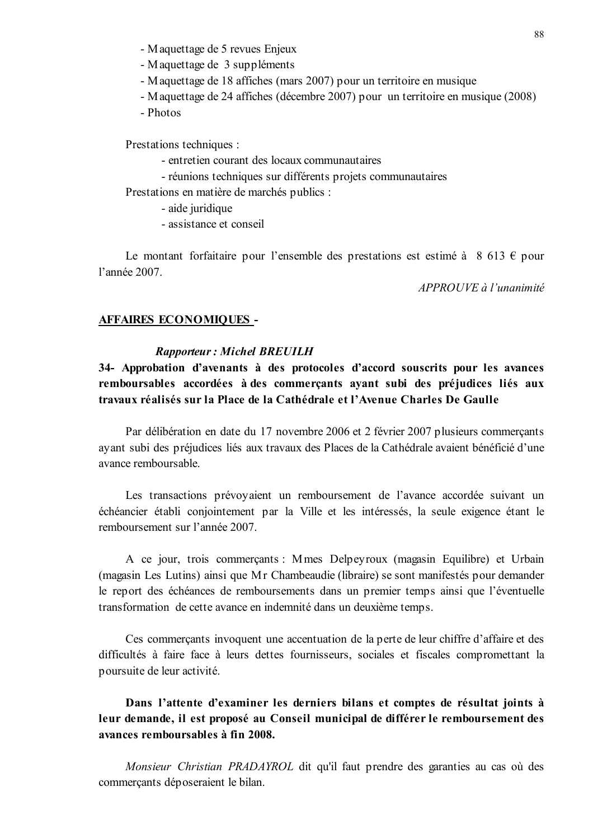- Maquettage de 5 revues Enjeux
- Maquettage de 3 suppléments
- Maquettage de 18 affiches (mars 2007) pour un territoire en musique
- Maquettage de 24 affiches (décembre 2007) pour un territoire en musique (2008)
- Photos

Prestations techniques :

- entretien courant des locaux communautaires
- réunions techniques sur différents projets communautaires

Prestations en matière de marchés publics :

- aide juridique
- assistance et conseil

Le montant forfaitaire pour l'ensemble des prestations est estimé à 8 613  $\epsilon$  pour l'année 2007

APPROUVE à l'unanimité

#### **AFFAIRES ECONOMIQUES -**

#### **Rapporteur: Michel BREUILH**

34- Approbation d'avenants à des protocoles d'accord souscrits pour les avances remboursables accordées à des commerçants ayant subi des préjudices liés aux travaux réalisés sur la Place de la Cathédrale et l'Avenue Charles De Gaulle

Par délibération en date du 17 novembre 2006 et 2 février 2007 plusieurs commercants ayant subi des préjudices liés aux travaux des Places de la Cathédrale avaient bénéficié d'une avance remboursable.

Les transactions prévoyaient un remboursement de l'avance accordée suivant un échéancier établi conjointement par la Ville et les intéressés, la seule exigence étant le remboursement sur l'année 2007.

A ce jour, trois commerçants : Mmes Delpeyroux (magasin Equilibre) et Urbain (magasin Les Lutins) ainsi que Mr Chambeaudie (libraire) se sont manifestés pour demander le report des échéances de remboursements dans un premier temps ainsi que l'éventuelle transformation de cette avance en indemnité dans un deuxième temps.

Ces commerçants invoquent une accentuation de la perte de leur chiffre d'affaire et des difficultés à faire face à leurs dettes fournisseurs, sociales et fiscales compromettant la poursuite de leur activité.

Dans l'attente d'examiner les derniers bilans et comptes de résultat joints à leur demande, il est proposé au Conseil municipal de différer le remboursement des avances remboursables à fin 2008.

Monsieur Christian PRADAYROL dit qu'il faut prendre des garanties au cas où des commercants déposeraient le bilan.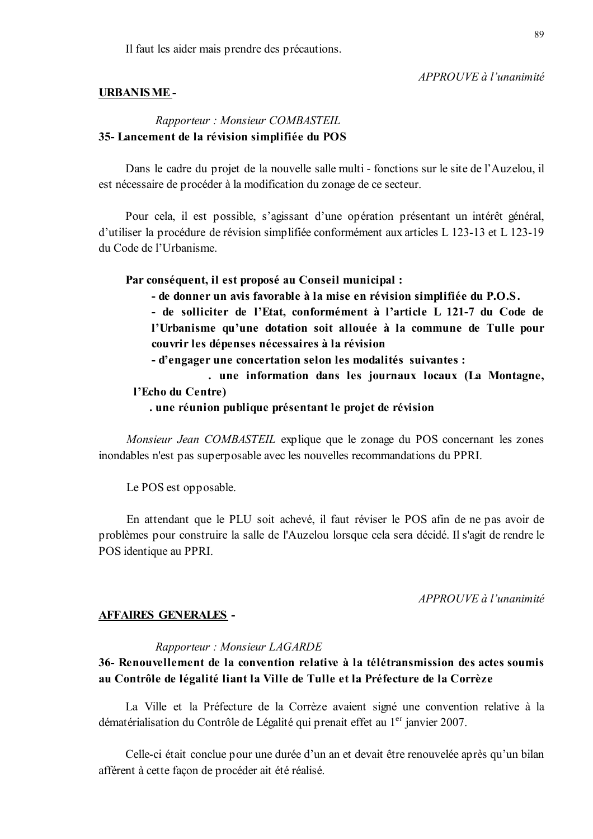Il faut les aider mais prendre des précautions.

#### APPROUVE à l'unanimité

#### **URBANISME-**

## Rapporteur: Monsieur COMBASTEIL 35-Lancement de la révision simplifiée du POS

Dans le cadre du projet de la nouvelle salle multi - fonctions sur le site de l'Auzelou, il est nécessaire de procéder à la modification du zonage de ce secteur.

Pour cela, il est possible, s'agissant d'une opération présentant un intérêt général, d'utiliser la procédure de révision simplifiée conformément aux articles L 123-13 et L 123-19 du Code de l'Urbanisme.

#### Par conséquent, il est proposé au Conseil municipal :

- de donner un avis favorable à la mise en révision simplifiée du P.O.S.

- de solliciter de l'Etat, conformément à l'article L 121-7 du Code de l'Urbanisme qu'une dotation soit allouée à la commune de Tulle pour couvrir les dépenses nécessaires à la révision

- d'engager une concertation selon les modalités suivantes :

. une information dans les journaux locaux (La Montagne, l'Echo du Centre)

#### . une réunion publique présentant le projet de révision

Monsieur Jean COMBASTEIL explique que le zonage du POS concernant les zones inondables n'est pas superposable avec les nouvelles recommandations du PPRI.

Le POS est opposable.

En attendant que le PLU soit achevé, il faut réviser le POS afin de ne pas avoir de problèmes pour construire la salle de l'Auzelou lorsque cela sera décidé. Il s'agit de rendre le POS identique au PPRI.

 $APPROIIVE$  à l'unanimité

#### **AFFAIRES GENERALES -**

#### Rapporteur: Monsieur LAGARDE

## 36- Renouvellement de la convention relative à la télétransmission des actes soumis au Contrôle de légalité liant la Ville de Tulle et la Préfecture de la Corrèze

La Ville et la Préfecture de la Corrèze avaient signé une convention relative à la dématérialisation du Contrôle de Légalité qui prenait effet au 1<sup>er</sup> janvier 2007.

Celle-ci était conclue pour une durée d'un an et devait être renouvelée après qu'un bilan afférent à cette façon de procéder ait été réalisé.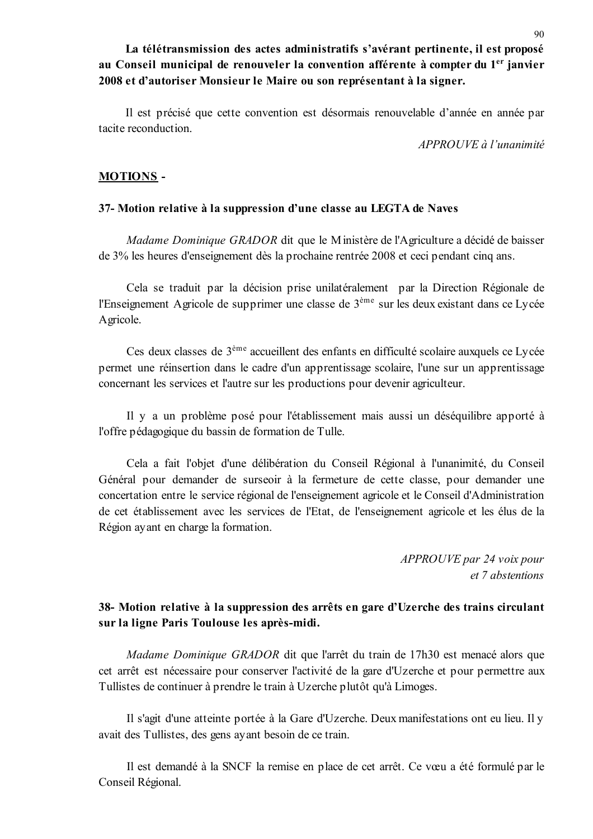La télétransmission des actes administratifs s'avérant pertinente, il est proposé au Conseil municipal de renouveler la convention afférente à compter du 1<sup>er</sup> janvier 2008 et d'autoriser Monsieur le Maire ou son représentant à la signer.

Il est précisé que cette convention est désormais renouvelable d'année en année par tacite reconduction

APPROUVE à l'unanimité

## **MOTIONS-**

#### 37- Motion relative à la suppression d'une classe au LEGTA de Naves

Madame Dominique GRADOR dit que le Ministère de l'Agriculture a décidé de baisser de 3% les heures d'enseignement dès la prochaine rentrée 2008 et ceci pendant cinq ans.

Cela se traduit par la décision prise unilatéralement par la Direction Régionale de l'Enseignement Agricole de supprimer une classe de 3<sup>ème</sup> sur les deux existant dans ce Lycée Agricole.

Ces deux classes de 3<sup>ème</sup> accueillent des enfants en difficulté scolaire auxquels ce Lycée permet une réinsertion dans le cadre d'un apprentissage scolaire, l'une sur un apprentissage concernant les services et l'autre sur les productions pour devenir agriculteur.

Il y a un problème posé pour l'établissement mais aussi un déséquilibre apporté à l'offre pédagogique du bassin de formation de Tulle.

Cela a fait l'objet d'une délibération du Conseil Régional à l'unanimité, du Conseil Général pour demander de surseoir à la fermeture de cette classe, pour demander une concertation entre le service régional de l'enseignement agricole et le Conseil d'Administration de cet établissement avec les services de l'Etat, de l'enseignement agricole et les élus de la Région ayant en charge la formation.

> APPROUVE par 24 voix pour et 7 abstentions

## 38- Motion relative à la suppression des arrêts en gare d'Uzerche des trains circulant sur la ligne Paris Toulouse les après-midi.

Madame Dominique GRADOR dit que l'arrêt du train de 17h30 est menacé alors que cet arrêt est nécessaire pour conserver l'activité de la gare d'Uzerche et pour permettre aux Tullistes de continuer à prendre le train à Uzerche plutôt qu'à Limoges.

Il s'agit d'une atteinte portée à la Gare d'Uzerche. Deux manifestations ont eu lieu. Il y avait des Tullistes, des gens avant besoin de ce train.

Il est demandé à la SNCF la remise en place de cet arrêt. Ce vœu a été formulé par le Conseil Régional.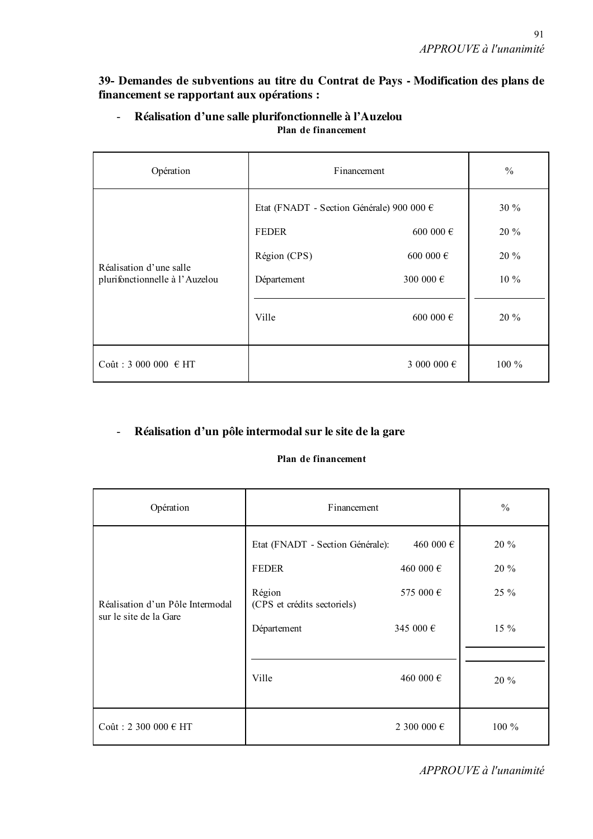39- Demandes de subventions au titre du Contrat de Pays - Modification des plans de financement se rapportant aux opérations :

| Opération                                                 | Financement                                                                                       |                                                  | $\frac{0}{0}$                            |
|-----------------------------------------------------------|---------------------------------------------------------------------------------------------------|--------------------------------------------------|------------------------------------------|
| Réalisation d'une salle<br>plurifonctionnelle à l'Auzelou | Etat (FNADT - Section Générale) 900 000 €<br><b>FEDER</b><br>Région (CPS)<br>Département<br>Ville | 600 000 €<br>600 000 €<br>300 000 €<br>600 000 € | 30 %<br>20 %<br>$20\%$<br>$10\%$<br>20 % |
| Coût: 3 000 000 € HT                                      |                                                                                                   | 3 000 000 €                                      | $100\%$                                  |

#### Réalisation d'une salle plurifonctionnelle à l'Auzelou  $\mathbb{Z}^{\mathbb{Z}^2}$ Plan de financement

#### Réalisation d'un pôle intermodal sur le site de la gare  $\mathbb{Z}^+$

## Plan de financement

| Opération                                                  | Financement                                                                                                       |                                                               | $\%$                                     |
|------------------------------------------------------------|-------------------------------------------------------------------------------------------------------------------|---------------------------------------------------------------|------------------------------------------|
| Réalisation d'un Pôle Intermodal<br>sur le site de la Gare | Etat (FNADT - Section Générale):<br><b>FEDER</b><br>Région<br>(CPS et crédits sectoriels)<br>Département<br>Ville | 460 000 €<br>460 000 €<br>575 000 €<br>345 000 €<br>460 000 € | $20\%$<br>20 %<br>25 %<br>$15\%$<br>20 % |
| Coût : 2 300 000 € HT                                      |                                                                                                                   | 2 300 000 €                                                   | $100\%$                                  |

APPROUVE à l'unanimité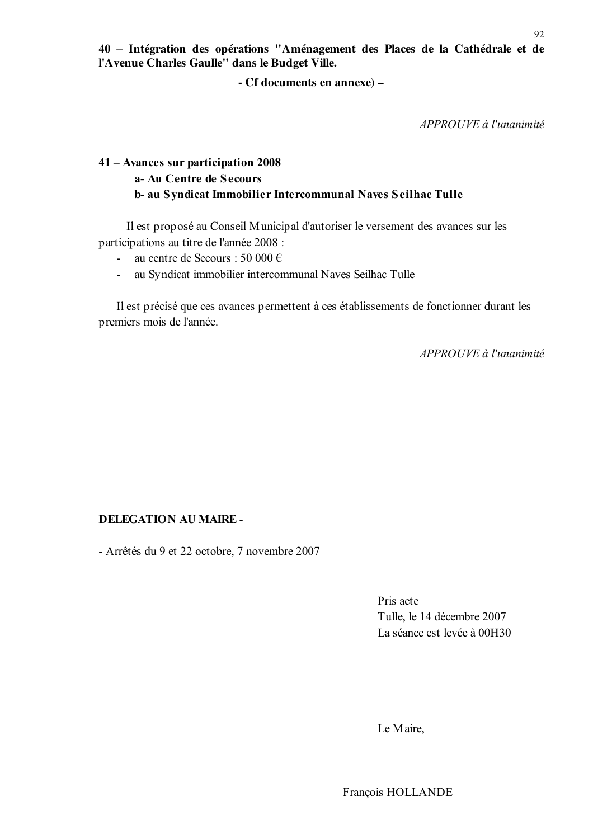40 - Intégration des opérations "Aménagement des Places de la Cathédrale et de l'Avenue Charles Gaulle" dans le Budget Ville.

- Cf documents en annexe) –

APPROUVE à l'unanimité

## 41 – Avances sur participation 2008 a- Au Centre de Secours b- au Syndicat Immobilier Intercommunal Naves Seilhac Tulle

Il est proposé au Conseil Municipal d'autoriser le versement des avances sur les participations au titre de l'année 2008 :

- au centre de Secours : 50 000 €  $\Delta \phi$
- au Syndicat immobilier intercommunal Naves Seilhac Tulle  $\sim$   $-$

Il est précisé que ces avances permettent à ces établissements de fonctionner durant les premiers mois de l'année.

APPROUVE à l'unanimité

## **DELEGATION AU MAIRE -**

- Arrêtés du 9 et 22 octobre, 7 novembre 2007

Pris acte Tulle, le 14 décembre 2007 La séance est levée à 00H30

Le Maire,

92